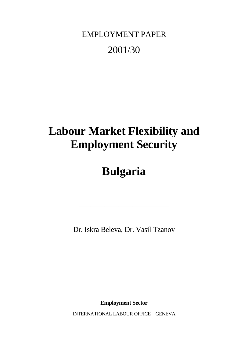EMPLOYMENT PAPER 2001/30

# **Labour Market Flexibility and Employment Security**

# **Bulgaria**

Dr. Iskra Beleva, Dr. Vasil Tzanov

\_\_\_\_\_\_\_\_\_\_\_\_\_\_\_\_\_\_\_\_\_\_\_\_\_\_\_\_\_\_\_\_

**Employment Sector**

INTERNATIONAL LABOUR OFFICE GENEVA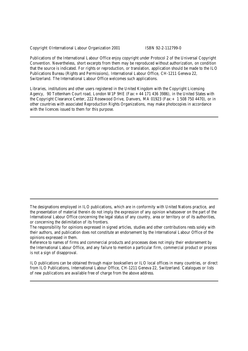Copyright © International Labour Organization 2001 ISBN 92-2-112799-0

Publications of the International Labour Office enjoy copyright under Protocol 2 of the Universal Copyright Convention. Nevertheless, short excerpts from them may be reproduced without authorization, on condition that the source is indicated. For rights or reproduction, or translation, application should be made to the ILO Publications Bureau (Rights and Permissions), International Labour Office, CH-1211 Geneva 22, Switzerland. The International Labour Office welcomes such applications.

Libraries, institutions and other users registered in the United Kingdom with the Copyright Licensing Agency, 90 Tottenham Court road, London W1P 9HE (Fax:+44 171 436 3986), in the United States with the Copyright Clearance Center, 222 Rosewood Drive, Danvers, MA 01923 (Fax:+ 1 508 750 4470), or in other countries with associated Reproduction Rights Organizations, may make photocopies in accordance with the licences issued to them for this purpose.

Reference to names of firms and commercial products and processes does not imply their endorsement by the International Labour Office, and any failure to mention a particular firm, commercial product or process is not a sign of disapproval.

ILO publications can be obtained through major booksellers or ILO local offices in many countries, or direct from ILO Publications, International Labour Office, CH-1211 Geneva 22, Switzerland. Catalogues or lists of new publications are available free of charge from the above address.

The designations employed in ILO publications, which are in conformity with United Nations practice, and the presentation of material therein do not imply the expression of any opinion whatsoever on the part of the International Labour Office concerning the legal status of any country, area or territory or of its authorities, or concerning the delimitation of its frontiers.

The responsibility for opinions expressed in signed articles, studies and other contributions rests solely with their authors, and publication does not constitute an endorsement by the International Labour Office of the opinions expressed in them.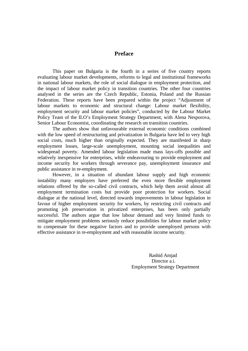**Preface**

This paper on Bulgaria is the fourth in a series of five country reports evaluating labour market developments, reforms to legal and institutional frameworks in national labour markets, the role of social dialogue in employment protection, and the impact of labour market policy in transition countries. The other four countries analysed in the series are the Czech Republic, Estonia, Poland and the Russian Federation. These reports have been prepared within the project "Adjustment of labour markets to economic and structural change: Labour market flexibility, employment security and labour market policies", conducted by the Labour Market Policy Team of the ILO's Employment Strategy Department, with Alena Nesporova, Senior Labour Economist, coordinating the research on transition countries.

The authors show that unfavourable external economic conditions combined with the low speed of restructuring and privatization in Bulgaria have led to very high social costs, much higher than originally expected. They are manifested in sharp employment losses, large-scale unemployment, mounting social inequalities and widespread poverty. Amended labour legislation made mass lays-offs possible and relatively inexpensive for enterprises, while endeavouring to provide employment and income security for workers through severance pay, unemployment insurance and public assistance in re-employment.

However, in a situation of abundant labour supply and high economic instability many employers have preferred the even more flexible employment relations offered by the so-called civil contracts, which help them avoid almost all employment termination costs but provide poor protection for workers. Social dialogue at the national level, directed towards improvements in labour legislation in favour of higher employment security for workers, by restricting civil contracts and promoting job preservation in privatized enterprises, has been only partially successful. The authors argue that low labour demand and very limited funds to mitigate employment problems seriously reduce possibilities for labour market policy to compensate for these negative factors and to provide unemployed persons with effective assistance in re-employment and with reasonable income security.

> Rashid Amjad Director a.i. Employment Strategy Department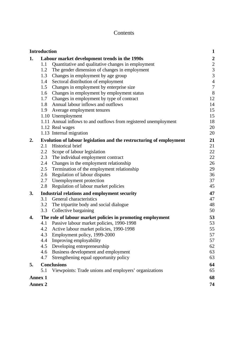# Contents

|                | <b>Introduction</b> |                                                                     | $\mathbf{1}$     |
|----------------|---------------------|---------------------------------------------------------------------|------------------|
| 1.             |                     | Labour market development trends in the 1990s                       | $\boldsymbol{2}$ |
|                | 1.1                 | Quantitative and qualitative changes in employment                  |                  |
|                | 1.2                 | The gender dimension of changes in employment                       | $\frac{2}{3}$    |
|                | 1.3                 | Changes in employment by age group                                  | 3                |
|                | 1.4                 | Sectoral distribution of employment                                 | $\overline{4}$   |
|                | 1.5                 | Changes in employment by enterprise size                            | $\boldsymbol{7}$ |
|                |                     | 1.6 Changes in employment by employment status                      | 8                |
|                |                     | 1.7 Changes in employment by type of contract                       | 12               |
|                |                     | 1.8 Annual labour inflows and outflows                              | 14               |
|                |                     | 1.9 Average employment tenures                                      | 15               |
|                |                     | 1.10 Unemployment                                                   | 15               |
|                |                     | 1.11 Annual inflows to and outflows from registered unemployment    | 18               |
|                |                     | 1.12 Real wages                                                     | 20               |
|                |                     | 1.13 Internal migration                                             | 20               |
| 2.             |                     | Evolution of labour legislation and the restructuring of employment | 21               |
|                |                     | 2.1 Historical brief                                                | 21               |
|                | 2.2                 | Scope of labour legislation                                         | 22               |
|                | 2.3                 | The individual employment contract                                  | 22               |
|                | 2.4                 | Changes in the employment relationship                              | 26               |
|                | $2.5^{\circ}$       | Termination of the employment relationship                          | 29               |
|                | 2.6                 | Regulation of labour disputes                                       | 36               |
|                |                     | 2.7 Unemployment protection                                         | 37               |
|                | 2.8                 | Regulation of labour market policies                                | 45               |
| 3.             |                     | Industrial relations and employment security                        | 47               |
|                | 3.1                 | General characteristics                                             | 47               |
|                |                     | 3.2 The tripartite body and social dialogue                         | 48               |
|                | 3.3                 | Collective bargaining                                               | 50               |
| 4.             |                     | The role of labour market policies in promoting employment          | 53               |
|                |                     | 4.1 Passive labour market policies, 1990-1998                       | 53               |
|                |                     | 4.2 Active labour market policies, 1990-1998                        | 55               |
|                |                     | 4.3 Employment policy, 1999-2000                                    | 57               |
|                |                     | 4.4 Improving employability                                         | 57               |
|                |                     | 4.5 Developing entrepreneurship                                     | 62               |
|                |                     | 4.6 Business development and employment                             | 63               |
|                | 4.7                 | Strengthening equal opportunity policy                              | 63               |
| 5.             |                     | <b>Conclusions</b>                                                  | 64               |
|                | 5.1                 | Viewpoints: Trade unions and employers' organizations               | 65               |
| <b>Annex 1</b> |                     |                                                                     | 68               |
| <b>Annex 2</b> |                     |                                                                     | 74               |
|                |                     |                                                                     |                  |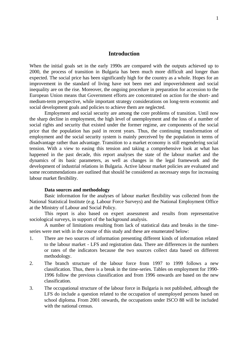# **Introduction**

When the initial goals set in the early 1990s are compared with the outputs achieved up to 2000, the process of transition in Bulgaria has been much more difficult and longer than expected. The social price has been significantly high for the country as a whole. Hopes for an improvement in the standard of living have not been met and impoverishment and social inequality are on the rise. Moreover, the ongoing procedure in preparation for accession to the European Union means that Government efforts are concentrated on action for the short- and medium-term perspective, while important strategy considerations on long-term economic and social development goals and policies to achieve them are neglected.

Employment and social security are among the core problems of transition. Until now the sharp decline in employment, the high level of unemployment and the loss of a number of social rights and security that existed under the former regime, are components of the social price that the population has paid in recent years. Thus, the continuing transformation of employment and the social security system is mainly perceived by the population in terms of disadvantage rather than advantage. Transition to a market economy is still engendering social tension. With a view to easing this tension and taking a comprehensive look at what has happened in the past decade, this report analyses the state of the labour market and the dynamics of its basic parameters, as well as changes in the legal framework and the development of industrial relations in Bulgaria. Active labour market policies are evaluated and some recommendations are outlined that should be considered as necessary steps for increasing labour market flexibility.

#### **Data sources and methodology**

Basic information for the analyses of labour market flexibility was collected from the National Statistical Institute (e.g. Labour Force Surveys) and the National Employment Office at the Ministry of Labour and Social Policy.

This report is also based on expert assessment and results from representative sociological surveys, in support of the background analysis.

A number of limitations resulting from lack of statistical data and breaks in the timeseries were met with in the course of this study and these are enumerated below:

- 1. There are two sources of information presenting different kinds of information related to the labour market - LFS and registration data. There are differences in the numbers or rates of the indicators because the two sources collect data based on different methodology.
- 2. The branch structure of the labour force from 1997 to 1999 follows a new classification. Thus, there is a break in the time-series. Tables on employment for 1990- 1996 follow the previous classification and from 1996 onwards are based on the new classification.
- 3. The occupational structure of the labour force in Bulgaria is not published, although the LFS do include a question related to the occupation of unemployed persons based on school diploma. From 2001 onwards, the occupations under ISCO 88 will be included with the national census.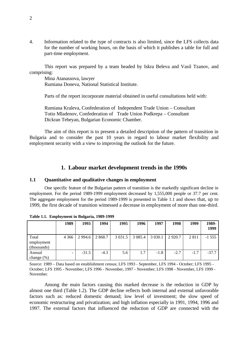4. Information related to the type of contracts is also limited, since the LFS collects data for the number of working hours, on the basis of which it publishes a table for full and part-time employment.

This report was prepared by a team headed by Iskra Beleva and Vasil Tzanov, and comprising:

Mina Atanassova, lawyer Rumiana Doneva, National Statistical Institute.

Parts of the report incorporate material obtained in useful consultations held with:

Rumiana Kraleva, Confederation of Independent Trade Union – Consultant Totio Mladenov, Confederation of Trade Union Podkrepa – Consultant Dickran Tebeyan, Bulgarian Economic Chamber.

The aim of this report is to present a detailed description of the pattern of transition in Bulgaria and to consider the past 10 years in regard to labour market flexibility and employment security with a view to improving the outlook for the future.

# **1. Labour market development trends in the 1990s**

## **1.1 Quantitative and qualitative changes in employment**

One specific feature of the Bulgarian pattern of transition is the markedly significant decline in employment. For the period 1989-1999 employment decreased by 1,555,000 people or 37.7 per cent. The aggregate employment for the period 1989-1999 is presented in Table 1.1 and shows that, up to 1999, the first decade of transition witnessed a decrease in employment of more than one-third.

|                                    | 1989    | 1993        | 1994    | 1995       | 1996       | 1997       | 1998      | 1999    | 1989-<br>1999 |
|------------------------------------|---------|-------------|---------|------------|------------|------------|-----------|---------|---------------|
| Total<br>employment<br>(thousands) | 4 3 6 6 | 2 9 9 4 . 6 | 2 868.7 | 3 0 3 1 .5 | 3 0 8 5 .4 | 3 0 3 0 .1 | 2 9 2 0.7 | 2 8 1 1 | $-1555$       |
| Annual<br>change $(\%)$            |         | $-31.5$     | $-4.3$  | 5.6        | 1.7        | $-1.8$     | $-2.7$    | $-1.7$  | $-37.7$       |

**Table 1.1. Employment in Bulgaria, 1989-1999**

Source: 1989 – Data based on establishment census; LFS 1993 - September, LFS 1994 - October; LFS 1995 - October; LFS 1995 - November; LFS 1996 - November, 1997 - November; LFS 1998 - November, LFS 1999 - November.

Among the main factors causing this marked decrease is the reduction in GDP by almost one third (Table 1.2). The GDP decline reflects both internal and external unfavorable factors such as: reduced domestic demand; low level of investment; the slow speed of economic restructuring and privatization; and high inflation especially in 1991, 1994, 1996 and 1997. The external factors that influenced the reduction of GDP are connected with the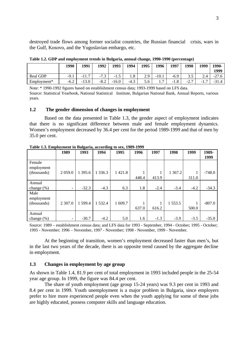destroyed trade flows among former socialist countries, the Russian financial crisis, wars in the Gulf, Kosovo, and the Yugoslavian embargo, etc.

|             | 1990   | 1991    | 1992       | 1993    | 1994   | 1995 | 1996                          | 1997   | 1998       | 1999       | 1990-   |
|-------------|--------|---------|------------|---------|--------|------|-------------------------------|--------|------------|------------|---------|
|             |        |         |            |         |        |      |                               |        |            |            | 1999    |
| Real GDP    | $-9.1$ | 117     | 72<br>-1.3 | $-1.$   | 1.8    | 2.9  | $-10.1$                       | $-6.9$ | 25<br>ر. ر | 2.4        | $-27.6$ |
| Employment* | $-6.2$ | $-13.0$ | $-8.2$     | $-16.0$ | $-4.3$ | 5.6  | $\overline{\phantom{0}}$<br>. | $-1.8$ | $-2.7$     | −<br>$-1.$ |         |

**Table 1.2. GDP and employment trends in Bulgaria, annual change, 1990-1990 (percentage)**

Note: \* 1990-1992 figures based on establishment census data; 1993-1999 based on LFS data. Source: Statistical Yearbook, National Statistical Institute, Bulgarian National Bank, Annual Reports, various years.

# **1.2 The gender dimension of changes in employment**

Based on the data presented in Table 1.3, the gender aspect of employment indicates that there is no significant difference between male and female employment dynamics. Women's employment decreased by 36.4 per cent for the period 1989-1999 and that of men by 35.0 per cent.

| Tubic Two Employment in Duighting according to best, 1909-1999 |            |             |             |            |       |        |             |        |               |  |  |
|----------------------------------------------------------------|------------|-------------|-------------|------------|-------|--------|-------------|--------|---------------|--|--|
|                                                                | 1989       | 1993        | 1994        | 1995       | 1996  | 1997   | 1998        | 1999   | 1989-<br>1999 |  |  |
| Female<br>employment<br>(thousands)                            | 2 0 5 9 .0 | 1 3 9 5 . 6 | 1 3 3 6 . 3 | 1 4 2 1 .8 | 448.4 | 413.9  | 1 3 6 7 . 2 | 311.0  | $-748.0$      |  |  |
| Annual<br>change $(\%)$                                        |            | $-32.3$     | $-4.3$      | 6.3        | 1.8   | $-2.4$ | $-3.4$      | $-4.2$ | $-34.3$       |  |  |
| Male<br>employment<br>(thousands)                              | 2 307.0    | 1 599.4     | 1 5 3 2.4   | 1 609.7    | 637.0 | 616.2  | 1 553.5     | 500.0  | $-807.0$      |  |  |
| Annual<br>change $(\%)$                                        |            | $-30.7$     | $-4.2$      | 5.0        | 1.6   | $-1.3$ | $-3.9$      | $-3.5$ | $-35.0$       |  |  |

**Table 1.3. Employment in Bulgaria, according to sex, 1989-1999** 

Source: 1989 – establishment census data; and LFS data for 1993 - September, 1994 - October; 1995 - October; 1995 - November; 1996 – November, 1997 - November; 1998 - November, 1999 - November.

At the beginning of transition, women's employment decreased faster than men's, but in the last two years of the decade, there is an opposite trend caused by the aggregate decline in employment.

#### **1.3 Changes in employment by age group**

As shown in Table 1.4, 81.9 per cent of total employment in 1993 included people in the 25-54 year age group. In 1999, the figure was 84.4 per cent.

The share of youth employment (age group 15-24 years) was 9.3 per cent in 1993 and 8.4 per cent in 1999. Youth unemployment is a major problem in Bulgaria, since employers prefer to hire more experienced people even when the youth applying for some of these jobs are highly educated, possess computer skills and language education.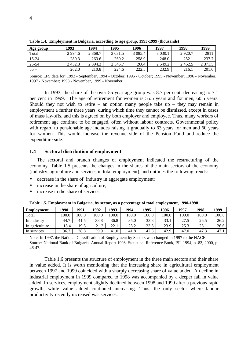| Age group | 1993        | 1994        | 1995       | 1996       | 1997       | 1998      | 1999       |
|-----------|-------------|-------------|------------|------------|------------|-----------|------------|
| Total     | 2 9 9 4 . 6 | 2 8 6 8 .7  | 3 0 3 1 .5 | 3 0 8 5 .4 | 3 0 3 0 .1 | 2 9 2 0.7 | 2811       |
| $15 - 24$ | 280.3       | 263.6       | 260.2      | 258.9      | 248.0      | 252.1     | 237.7      |
| 25-54     | 2452.3      | 2 3 9 4 . 3 | 2 5 4 6 .7 | 2604       | 2 549.2    | 2452.5    | 2 3 7 1 .5 |
| $55+$     | 262.0       | 210.8       | 224.6      | 222.5      | 232.9      | 216.1     | 201.0      |

**Table 1.4. Employment in Bulgaria, according to age group, 1993-1999 (thousands)**

Source: LFS data for: 1993 - September, 1994 - October; 1995 - October; 1995 - November; 1996 - November, 1997 - November; 1998 - November, 1999 - November.

In 1993, the share of the over-55 year age group was 8.7 per cent, decreasing to 7.1 per cent in 1999. The age of retirement for women is 55.5 years and for men, 60.5 years. Should they not wish to retire – an option many people take  $up$  – they may remain in employment a further three years, during which time they cannot be dismissed, except in cases of mass lay-offs, and this is agreed on by both employer and employee. Thus, many workers of retirement age continue to be engaged, often without labour contracts. Governmental policy with regard to pensionable age includes raising it gradually to 63 years for men and 60 years for women. This would increase the revenue side of the Pension Fund and reduce the expenditure side.

#### **1.4 Sectoral distribution of employment**

The sectoral and branch changes of employment indicated the restructuring of the economy. Table 1.5 presents the changes in the shares of the main sectors of the economy (industry, agriculture and services in total employment), and outlines the following trends:

- decrease in the share of industry in aggregate employment;
- increase in the share of agriculture;
- increase in the share of services.

| <b>Employment</b> | 1990  | 1991  | 1992  | 1993        | 1994  | 1995  | 1996  | 1997  | 1998   | 1999  |
|-------------------|-------|-------|-------|-------------|-------|-------|-------|-------|--------|-------|
| Total             | 100.0 | 100.0 | 100.0 | 100.0       | 100.0 | 100.0 | 100.0 | 100.0 | 100.0  | 100.0 |
| In industry       | 44.7  | 41.5  | 38.8  | 36.8        | 35.0  | 33.8  | 33.1  | 275   | 26.5   | 26.2  |
| In agriculture    | 18.4  | 19.5  | 21.2  | 221<br>44.1 | 23.2  | 23.8  | 23.9  | 25.3  | 26.1   | 26.6  |
| In services       | 36.7  | 38.8  | 39.9  | 41.0        | 41.8  | 42.3  | 42.9  | 47.0  | - 47.5 | 47.1  |

**Table 1.5. Employment in Bulgaria, by sector, as a percentage of total employment, 1990-1998**

Note: In 1997, the National Classification of Employment by Sectors was changed in 1997 to the NACE. Source: National Bank of Bulgaria, Annual Report 1998, Statistical Reference Book, ISI, 1994, p .82, 2000, p. 46-47.

Table 1.6 presents the structure of employment in the three main sectors and their share in value added. It is worth mentioning that the increasing share in agricultural employment between 1997 and 1999 coincided with a sharply decreasing share of value added. A decline in industrial employment in 1999 compared to 1998 was accompanied by a deeper fall in value added. In services, employment slightly declined between 1998 and 1999 after a previous rapid growth, while value added continued increasing. Thus, the only sector where labour productivity recently increased was services.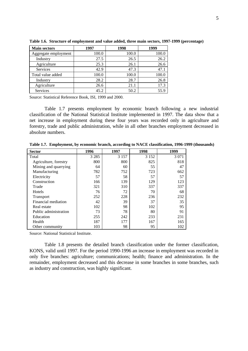| <b>Main sectors</b>  | 1997  | 1998  | 1999  |
|----------------------|-------|-------|-------|
| Aggregate employment | 100.0 | 100.0 | 100.0 |
| Industry             | 27.5  | 26.5  | 26.2  |
| Agriculture          | 25.3  | 26.1  | 26.6  |
| Services             | 42.9  | 47.3  | 47.1  |
| Total value added    | 100.0 | 100.0 | 100.0 |
| Industry             | 28.2  | 28.7  | 26.8  |
| Agriculture          | 26.6  | 21.1  | 17.3  |
| <b>Services</b>      | 45.2  | 50.2  | 55.9  |

**Table 1.6. Structure of employment and value added, three main sectors, 1997-1999 (percentage)**

Source: Statistical Reference Book, ISI, 1999 and 2000.

Table 1.7 presents employment by economic branch following a new industrial classification of the National Statistical Institute implemented in 1997. The data show that a net increase in employment during these four years was recorded only in agriculture and forestry, trade and public administration, while in all other branches employment decreased in absolute numbers.

| <b>Sector</b>         | 1996    | 1997    | 1998    | 1999    |
|-----------------------|---------|---------|---------|---------|
| Total                 | 3 2 8 5 | 3 1 5 7 | 3 1 5 2 | 3 0 7 1 |
| Agriculture, forestry | 800     | 800     | 825     | 818     |
| Mining and quarrying  | 64      | 60      | 55      | 47      |
| Manufacturing         | 782     | 752     | 723     | 662     |
| Electricity           | 57      | 58      | 57      | 57      |
| Construction          | 166     | 139     | 129     | 123     |
| Trade                 | 321     | 310     | 337     | 337     |
| Hotels                | 76      | 72      | 70      | 68      |
| <b>Transport</b>      | 252     | 228     | 236     | 232     |
| Financial mediation   | 42      | 39      | 37      | 35      |
| Real estate           | 102     | 98      | 102     | 95      |
| Public administration | 73      | 78      | 80      | 91      |
| Education             | 255     | 242     | 233     | 231     |
| Health                | 187     | 177     | 167     | 165     |
| Other community       | 103     | 98      | 95      | 102     |

**Table 1.7. Employment, by economic branch, according to NACE classification, 1996-1999 (thousands)**

Source: National Statistical Institute.

Table 1.8 presents the detailed branch classification under the former classification, KONS, valid until 1997. For the period 1990-1996 an increase in employment was recorded in only five branches: agriculture; communications; health; finance and administration. In the remainder, employment decreased and this decrease in some branches in some branches, such as industry and construction, was highly significant.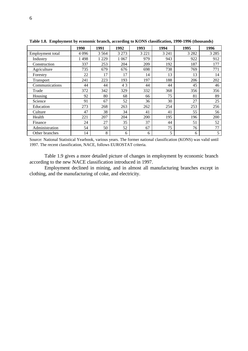|                  | 1990    | 1991    | 1992    | 1993    | 1994    | 1995    | 1996    |
|------------------|---------|---------|---------|---------|---------|---------|---------|
| Employment total | 4 0 9 6 | 3 5 6 4 | 3 2 7 3 | 3 2 2 1 | 3 2 4 1 | 3 2 8 2 | 3 2 8 5 |
| Industry         | 1498    | 1 2 2 9 | 1 0 6 7 | 979     | 943     | 922     | 912     |
| Construction     | 337     | 253     | 204     | 209     | 192     | 187     | 177     |
| Agriculture      | 735     | 679     | 676     | 698     | 738     | 769     | 771     |
| Forestry         | 22      | 17      | 17      | 14      | 13      | 13      | 14      |
| Transport        | 241     | 223     | 193     | 197     | 188     | 206     | 202     |
| Communications   | 44      | 44      | 43      | 44      | 44      | 45      | 46      |
| Trade            | 372     | 342     | 329     | 332     | 368     | 356     | 356     |
| Housing          | 92      | 80      | 68      | 66      | 75      | 81      | 89      |
| Science          | 91      | 67      | 52      | 36      | 30      | 27      | 25      |
| Education        | 273     | 268     | 263     | 262     | 254     | 253     | 256     |
| Culture          | 47      | 38      | 34      | 41      | 41      | 55      | 56      |
| Health           | 221     | 207     | 204     | 200     | 195     | 196     | 200     |
| Finance          | 24      | 27      | 35      | 37      | 44      | 51      | 52      |
| Administration   | 54      | 50      | 52      | 67      | 75      | 76      | 77      |
| Other branches   | 14      | 8       | 6       | 6       | 5       | 6       | 5       |

**Table 1.8. Employment by economic branch, according to KONS classification, 1990-1996 (thousands)**

Source: National Statistical Yearbook, various years. The former national classification (KONS) was valid until 1997. The recent classification, NACE, follows EUROSTAT criteria.

Table 1.9 gives a more detailed picture of changes in employment by economic branch according to the new NACE classification introduced in 1997.

Employment declined in mining, and in almost all manufacturing branches except in clothing, and the manufacturing of coke, and electricity.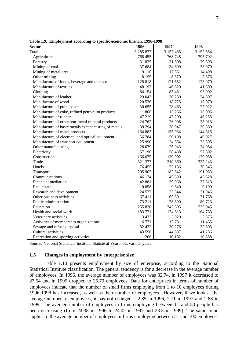| габле 1.9. Епірюушені ассогонів іб бресніс есопонніс біансіі, 1990-1996 | 1996          | 1997      | 1998      |
|-------------------------------------------------------------------------|---------------|-----------|-----------|
| Sector                                                                  |               |           |           |
| Total                                                                   | 3 2 8 5 8 7 7 | 3 157 435 | 3 152 554 |
| Agriculture                                                             | 768 455       | 768 745   | 795 792   |
| Forestry                                                                | 31835         | 31 608    | 29 3 93   |
| Mining of coal                                                          | 37 684        | 34 609    | 33 079    |
| Mining of metal ores                                                    | 19 116        | 17 561    | 14 4 98   |
| Other mining                                                            | 8 1 9 5       | 8 3 7 0   | 7876      |
| Manufacture of foods, beverage and tobacco                              | 128 818       | 121 652   | 123 970   |
| Manufacture of textiles                                                 | 48 193        | 46 829    | 41 509    |
| Clothing                                                                | 84 154        | 85 481    | 95 902    |
| Manufacture of leather                                                  | 29 042        | 30 239    | 24 897    |
| Manufacture of wood                                                     | 20 5 36       | 18725     | 17 079    |
| Manufacture of pulp, paper                                              | 30 655        | 28 4 63   | 27 922    |
| Manufacture of coke, refined petroleum products                         | 11 866        | 13 26 6   | 13 005    |
| Manufacture of rubber                                                   | 47 219        | 47 290    | 46 255    |
| Manufacture of other non-metal mineral products                         | 24 7 62       | 26 008    | 23 013    |
| Manufacture of basic metals except casting of metals                    | 39 29 4       | 38 947    | 36 589    |
| Manufacture of metal products                                           | 164 883       | 155 934   | 144 315   |
| Manufacture of electrical and optical equipment                         | 56 784        | 50 198    | 46 927    |
| Manufacture of transport equipment                                      | 25 9 9 0      | 24 3 5 4  | 22 3 95   |
| Other manufacturing                                                     | 28 079        | 25 943    | 24 054    |
| Electricity                                                             | 57 196        | 58 488    | 57 802    |
| Construction                                                            | 166 075       | 139 002   | 129 088   |
| Trade                                                                   | 321 377       | 310 369   | 337 243   |
| Hotels                                                                  | 76 455        | 72 136    | 70 545    |
| Transport                                                               | 205 902       | 182 642   | 191 053   |
| Communications                                                          | 46 174        | 45 5 89   | 45 628    |
| Financial mediation                                                     | 42 881        | 39 968    | 37 613    |
| Real estate                                                             | 10 058        | 9 640     | 9 1 9 9   |
| Research and development                                                | 24 577        | 23 344    | 21 9 45   |
| Other business activities                                               | 67411         | 65 691    | 71 768    |
| Public administration                                                   | 73 211        | 78 899    | 80723     |
| Education                                                               | 255 820       | 242 605   | 233 045   |
| Health and social work                                                  | 183771        | 174 613   | 164 763   |
| Veterinary activities                                                   | 3 4 3 3       | 3 0 29    | 2 3 7 5   |
| Activities of membership organizations                                  | 16771         | 12781     | 11 4 65   |
| Sewage and refuse disposal                                              | 32 432        | 30 276    | 32 303    |
| Cultural activities                                                     | 43 550        | 44 887    | 41 28 6   |
| Recreation and sporting activities                                      | 11 20 6       | 10 182    | 10888     |

**Table 1.9. Employment according to specific economic branch, 1996-1998**

Source: National Statistical Institute, Statistical Yearbook, various years.

# **1.5 Changes in employment by enterprise size**

Table 1.10 presents employment by size of enterprise, according to the National Statistical Institute classification. The general tendency is for a decrease in the average number of employees. In 1996, the average number of employees was 32.74, in 1997 it decreased to 27.54 and in 1995 dropped to 25.79 employees. Data for enterprises in terms of number of employees indicate that the number of small firms employing from 1 to 10 employees during 1996-1998 has increased, as well as their number of employees. However, if we look at the average number of employees, it has not changed – 2.85 in 1996, 2.71 in 1997 and 2.88 in 1999. The average number of employees in firms employing between 11 and 50 people has been decreasing (from 24.38 in 1996 to 24.02 in 1997 and 23.5 in 1999). The same trend applies to the average number of employees in firms employing between 51 and 100 employees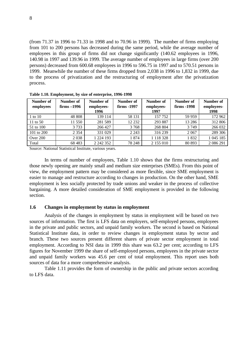(from 71.37 in 1996 to 71.33 in 1998 and to 70.96 in 1999). The number of firms employing from 101 to 200 persons has decreased during the same period, while the average number of employees in this group of firms did not change significantly (140.62 employees in 1996, 140.98 in 1997 and 139.96 in 1999. The average number of employees in large firms (over 200 persons) decreased from 600.68 employees in 1996 to 596.75 in 1997 and to 570.51 persons in 1999. Meanwhile the number of these firms dropped from 2,038 in 1996 to 1,832 in 1999, due to the process of privatization and the restructuring of employment after the privatization process.

| Number of<br>employees | Number of<br>firms $-1996$ | Number of<br>employees-<br>1996 | Number of<br>firms -1997 | Number of<br>employees-<br>1997 | Number of<br>firms -1998 | Number of<br>employees-<br>1998 |
|------------------------|----------------------------|---------------------------------|--------------------------|---------------------------------|--------------------------|---------------------------------|
| 1 to 10                | 48 808                     | 139 114                         | 58 131                   | 157 752                         | 59 959                   | 172 962                         |
| 11 to 50               | 11 550                     | 281 589                         | 12 2 3 2                 | 293 887                         | 13 2 8 6                 | 312 806                         |
| 51 to 100              | 3 7 3 3                    | 266 427                         | 3 7 6 8                  | 268 804                         | 3 7 4 9                  | 266 032                         |
| 101 to $200$           | 2 3 5 4                    | 331 029                         | 2 2 4 3                  | 316 239                         | 2 0 6 7                  | 289 306                         |
| Over 200               | 2 0 3 8                    | 1 224 193                       | 1874                     | 1 118 328                       | 1832                     | 1 045 185                       |
| Total                  | 68 4 83                    | 2 242 352                       | 78 248                   | 2 155 010                       | 80 893                   | 2 086 291                       |

**Table 1.10. Employment, by size of enterprise, 1996-1998**

Source: National Statistical Institute, various years.

In terms of number of employees, Table 1.10 shows that the firms restructuring and those newly opening are mainly small and medium size enterprises (SMEs). From this point of view, the employment pattern may be considered as more flexible, since SME employment is easier to manage and restructure according to changes in production. On the other hand, SME employment is less socially protected by trade unions and weaker in the process of collective bargaining. A more detailed consideration of SME employment is provided in the following section.

#### **1.6 Changes in employment by status in employment**

Analysis of the changes in employment by status in employment will be based on two sources of information. The first is LFS data on employers, self-employed persons, employees in the private and public sectors, and unpaid family workers. The second is based on National Statistical Institute data, in order to review changes in employment status by sector and branch. These two sources present different shares of private sector employment in total employment. According to NSI data in 1999 this share was 63.2 per cent; according to LFS figures for November 1999 the share of self-employed persons, employees in the private sector and unpaid family workers was 45.6 per cent of total employment. This report uses both sources of data for a more comprehensive analysis.

Table 1.11 provides the form of ownership in the public and private sectors according to LFS data.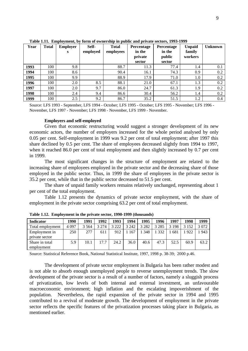| Year | <b>Total</b> | <b>Employer</b><br>S | Self-<br>employed | <b>Total</b><br>employees | Percentage<br>in the<br>private<br>sector | <b>Percentage</b><br>in the<br>public<br>sector | <b>Unpaid</b><br>family<br>workers | <b>Unknown</b> |
|------|--------------|----------------------|-------------------|---------------------------|-------------------------------------------|-------------------------------------------------|------------------------------------|----------------|
| 1993 | 100          | 9.8                  |                   | 88.7                      | 11.3                                      | 77.4                                            | 1.4                                | 0.1            |
| 1994 | 100          | 8.6                  |                   | 90.4                      | 16.1                                      | 74.3                                            | 0.9                                | 0.2            |
| 1995 | 100          | 9.9                  |                   | 88.9                      | 17.9                                      | 71.0                                            | 1.0                                | 0.2            |
| 1996 | 100          | 2.0                  | 8.5               | 88.1                      | 21.0                                      | 67.1                                            | 1.3                                | 0.2            |
| 1997 | 100          | 2.0                  | 9.7               | 86.0                      | 24.7                                      | 61.3                                            | 1.9                                | 0.2            |
| 1998 | 100          | 2.4                  | 9.4               | 86.6                      | 30.4                                      | 56.2                                            | 1.4                                | 0.2            |
| 1999 | 100          | 2.5                  | 9.2               | 86.7                      | 35.2                                      | 51.5                                            | 1.2                                | 0.4            |

**Table 1.11. Employment, by form of ownership in public and private sectors, 1993-1999**

Source: LFS 1993 - September, LFS 1994 - October; LFS 1995 - October; LFS 1995 - November; LFS 1996 - November, LFS 1997 - November; LFS 1998 - November, LFS 1999 - November.

#### **Employers and self-employed**

Given that economic restructuring would suggest a stronger development of its new economic actors, the number of employers increased for the whole period analysed by only 0.05 per cent. Self-employment in 1999 was 9.2 per cent of total employment; after 1997 this share declined by 0.5 per cent. The share of employees decreased slightly from 1994 to 1997, when it reached 86.0 per cent of total employment and then slightly increased by 0.7 per cent in 1999.

The most significant changes in the structure of employment are related to the increasing share of employees employed in the private sector and the decreasing share of those employed in the public sector. Thus, in 1999 the share of employees in the private sector is 35.2 per cent, while that in the public sector decreased to 51.5 per cent.

The share of unpaid family workers remains relatively unchanged, representing about 1 per cent of the total employment.

Table 1.12 presents the dynamics of private sector employment, with the share of employment in the private sector comprising 63.2 per cent of total employment.

| <b>Indicator</b> | 1990    | 1991    | 1992    | 1993  | 1994    | 1995    | 1996    | 1997    | 1998    | 1999  |
|------------------|---------|---------|---------|-------|---------|---------|---------|---------|---------|-------|
| Total employment | 4 0 9 7 | 3 5 6 4 | 3 2 7 4 | 3 222 | 3 2 4 2 | 3 2 8 2 | 3 2 8 5 | 3 1 9 8 | 3 1 5 2 | 3 072 |
| Employment in    | 250     | 277     | 611     | 912   | 1 1 6 7 | 1 348   | 1 3 3 2 | 1 681   | 1922    | 1943  |
| private sector   |         |         |         |       |         |         |         |         |         |       |
| Share in total   | 5.9     | 10.1    | 17.7    | 24.2  | 36.0    | 40.6    | 47.3    | 52.5    | 60.9    | 63.2  |
| employment       |         |         |         |       |         |         |         |         |         |       |

**Table 1.12. Employment in the private sector, 1990-1999 (thousands)**

Source: Statistical Reference Book, National Statistical Institute, 1997, 1998 p. 38-39; 2000 p.46.

The development of private sector employment in Bulgaria has been rather modest and is not able to absorb enough unemployed people to reverse unemployment trends. The slow development of the private sector is a result of a number of factors, namely a sluggish process of privatization, low levels of both internal and external investment, an unfavourable macroeconomic environment; high inflation and the escalating impoverishment of the population. Nevertheless, the rapid expansion of the private sector in 1994 and 1995 contributed to a revival of moderate growth. The development of employment in the private sector reflects the specific features of the privatization processes taking place in Bulgaria, as mentioned earlier.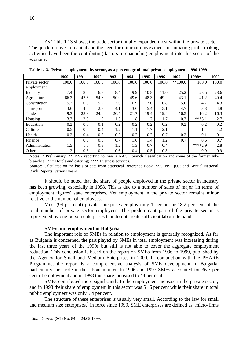As Table 1.13 shows, the trade sector initially expanded most within the private sector. The quick turnover of capital and the need for minimum investment for initiating profit-making activities have been the contributing factors to channeling employment into this sector of the economy.

|                  | 1990  | 1991  | 1992  | 1993  | 1994  | 1995  | 1996  | 1997                     | 1998*    | 1999  |
|------------------|-------|-------|-------|-------|-------|-------|-------|--------------------------|----------|-------|
| Private sector   | 100.0 | 100.0 | 100.0 | 100.0 | 100.0 | 100.0 | 100.0 | $**100.0$                | 100.0    | 100.0 |
| employment       |       |       |       |       |       |       |       |                          |          |       |
| Industry         | 7.4   | 8.6   | 6.8   | 8.4   | 9.9   | 10.8  | 11.0  | 25.2                     | 23.5     | 28.6  |
| Agriculture      | 66.3  | 47.6  | 54.6  | 50.9  | 49.6  | 48.3  | 49.2  | 43.1                     | 41.2     | 40.4  |
| Construction     | 5.2   | 6.5   | 5.2   | 7.6   | 6.9   | 7.0   | 6.8   | 5.6                      | 4.7      | 4.3   |
| <b>Transport</b> | 3.6   | 4.6   | 2.8   | 4.1   | 3.6   | 5.4   | 5.1   | 4.7                      | 3.8      | 4.8   |
| Trade            | 9.3   | 23.9  | 24.6  | 20.5  | 21.7  | 19.4  | 19.4  | 16.5                     | 16.2     | 16.3  |
| Housing          | 3.3   | 2.9   | 1.5   | 1.5   | 1.8   | 1.7   | 1.7   | 0.3                      | $***3.1$ | 2.7   |
| Education        | 0.2   | 0.3   | 0.1   | 0.2   | 0.2   | 0.2   | 0.2   | 0.2                      | 0.2      | 0.2   |
| Culture          | 0.5   | 0.5   | 0.4   | 1.2   | 1.1   | 1.7   | 2.1   | $\overline{\phantom{a}}$ | 1.4      | 1.2   |
| Health           | 0.2   | 0.4   | 0.3   | 0.5   | 0.7   | 0.7   | 0.7   | 0.2                      | 0.1      | 0.1   |
| Finance          |       | 0.6   | 0.3   | 0.7   | 1.0   | 1.4   | 1.2   | 0.7                      | 0.6      | 0.7   |
| Administration   | 1.5   | 1.0   | 0.8   | 1.2   | 1.3   | 0.7   | 0.4   | $\overline{\phantom{a}}$ | $***2.9$ | 2.8   |
| Other            | 1.2   | 0.8   | 0.0   | 0.6   | 0.4   | 0.5   | 0.3   | $\overline{\phantom{a}}$ | 0.9      | 0.9   |

**Table 1.13. Private employment, by sector, as a percentage of total private employment, 1990-1999**

Notes: \* Preliminary; \*\* 1997 reporting follows a NACE branch classification and some of the former subbranches; \*\*\* Hotels and catering; \*\*\*\* Business services.

Source: Calculated on the basis of data from Statistical Reference Book 1995, NSI, p.63 and Annual National Bank Reports, various years.

It should be noted that the share of people employed in the private sector in industry has been growing, especially in 1998. This is due to a number of sales of major (in terms of employment figures) state enterprises. Yet employment in the private sector remains minor relative to the number of employees.

Most (94 per cent) private enterprises employ only 1 person, or 18.2 per cent of the total number of private sector employees. The predominant part of the private sector is represented by one-person enterprises that do not create sufficient labour demand.

#### **SMEs and employment in Bulgaria**

The important role of SMEs in relation to employment is generally recognized. As far as Bulgaria is concerned, the part played by SMEs in total employment was increasing during the last three years of the 1990s but still is not able to cover the aggregate employment reduction. This conclusion is based on the report on SMEs from 1996 to 1999, published by the Agency for Small and Medium Enterprises in 2000. In conjunction with the PHARE Programme, the report is a comprehensive analysis of SME development in Bulgaria, particularly their role in the labour market. In 1996 and 1997 SMEs accounted for 36.7 per cent of employment and in 1998 this share increased to 44 per cent.

SMEs contributed more significantly to the employment increase in the private sector, and in 1998 their share of employment in this sector was 51.6 per cent while their share in total public employment was only 5.4 per cent.

The structure of these enterprises is usually very small. According to the law for small and medium size enterprises, $<sup>1</sup>$  in force since 1999, SME enterprises are defined as: micro-firms</sup>

l

<sup>1</sup> *State Gazeta* (SG) No. 84 of 24.09.1999.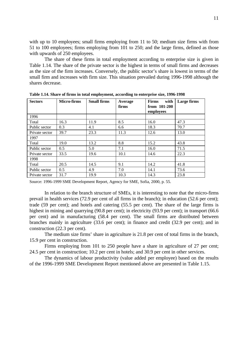with up to 10 employees; small firms employing from 11 to 50; medium size firms with from 51 to 100 employees; firms employing from 101 to 250; and the large firms, defined as those with upwards of 250 employees.

The share of these firms in total employment according to enterprise size is given in Table 1.14. The share of the private sector is the highest in terms of small firms and decreases as the size of the firm increases. Conversely, the public sector's share is lowest in terms of the small firm and increases with firm size. This situation prevailed during 1996-1998 although the shares decrease.

| <b>Sectors</b> | <b>Micro-firms</b> | <b>Small firms</b> | Average | <b>Firms</b><br>with      | Large firms |
|----------------|--------------------|--------------------|---------|---------------------------|-------------|
|                |                    |                    | firms   | from 101-200<br>employees |             |
| 1996           |                    |                    |         |                           |             |
| Total          | 16.3               | 11.9               | 8.5     | 16.0                      | 47.3        |
| Public sector  | 0.3                | 4.1                | 6.6     | 18.3                      | 70.7        |
| Private sector | 39.7               | 23.3               | 11.3    | 12.6                      | 13.0        |
| 1997           |                    |                    |         |                           |             |
| Total          | 19.0               | 13.2               | 8.8     | 15.2                      | 43.8        |
| Public sector  | 0.5                | 5.0                | 7.1     | 16.0                      | 71.5        |
| Private sector | 33.5               | 19.6               | 10.1    | 14.6                      | 22.3        |
| 1998           |                    |                    |         |                           |             |
| Total          | 20.5               | 14.5               | 9.1     | 14.2                      | 41.8        |
| Public sector  | 0.5                | 4.9                | 7.0     | 14.1                      | 73.6        |
| Private sector | 31.7               | 19.9               | 10.3    | 14.3                      | 23.8        |

**Table 1.14. Share of firms in total employment, according to enterprise size, 1996-1998**

Source: 1996-1999 SME Development Report, Agency for SME, Sofia, 2000, p. 55.

In relation to the branch structure of SMEs, it is interesting to note that the micro-firms prevail in health services (72.9 per cent of all firms in the branch); in education (52.6 per cent); trade (59 per cent); and hotels and catering (55.5 per cent). The share of the large firms is highest in mining and quarrying (90.8 per cent); in electricity (93.9 per cent); in transport (66.6 per cent) and in manufacturing (58.4 per cent). The small firms are distributed between branches mainly in agriculture (33.6 per cent); in finance and credit (32.9 per cent); and in construction (22.3 per cent).

The medium size firms' share in agriculture is 21.8 per cent of total firms in the branch, 15.9 per cent in construction.

Firms employing from 101 to 250 people have a share in agriculture of 27 per cent; 24.5 per cent in construction; 10.2 per cent in hotels; and 30.9 per cent in other services.

The dynamics of labour productivity (value added per employee) based on the results of the 1996-1999 SME Development Report mentioned above are presented in Table 1.15.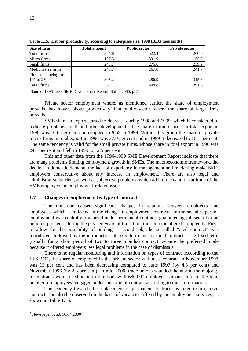| Size of firm         | <b>Total amount</b> | <b>Public sector</b> | <b>Private sector</b> |
|----------------------|---------------------|----------------------|-----------------------|
| Total firms          | 354.8               | 522.4                | 260.0                 |
| Micro-firms          | 157.5               | 391.9                | 155.3                 |
| Small firms          | 243.7               | 276.6                | 239.2                 |
| Medium size firms    | 248.7               | 267.0                | 241.7                 |
| Firms employing from |                     |                      |                       |
| 101 to 250           | 305.2               | 286.9                | 315.3                 |
| Large firms          | 529.7               | 608.8                | 391.6                 |

**Table 1.15. Labour productivity, according to enterprise size, 1998 (BLG thousands)**

Source: 1996-1999 SME Development Report, Sofia, 2000, p. 56.

Private sector employment where, as mentioned earlier, the share of employment prevails, has lower labour productivity than public sector, where the share of large firms prevails.

SME share in export started to decrease during 1998 and 1999, which is considered to indicate problems for their further development. The share of micro-firms in total export in 1996 was 10.6 per cent and dropped to 9.53 in 1999. Within this group the share of private micro-firms in total export in 1996 was 37.0 per cent and in 1999 it decreased to 16.1 per cent. The same tendency is valid for the small private firms, whose share in total export in 1996 was 24.1 per cent and fell in 1999 to 12.5 per cent.

This and other data from the 1996-1999 SME Development Report indicate that there are many problems limiting employment growth in SMEs. The macroeconomic framework, the decline in domestic demand, the lack of experience in management and marketing make SME employers conservative about any increase in employment. There are also legal and administrative barriers, as well as subjective problems, which add to the cautious attitude of the SME employers on employment-related issues.

#### **1.7 Changes in employment by type of contract**

The transition caused significant changes in relations between employers and employees, which is reflected in the change in employment contracts. In the socialist period, employment was centrally organized under permanent contracts guaranteeing job security one hundred per cent. During the past ten years of transition, the situation altered completely. First, to allow for the possibility of holding a second job, the so-called "civil contract" was introduced, followed by the introduction of fixed-term and seasonal contracts. The fixed-term (usually for a short period of two to three months) contract became the preferred mode because it offered employers less legal problems in the case of dismissals.

There is no regular monitoring and information on types of contract. According to the LFS 2/97, the share of employed in the private sector without a contract in November 1997 was 15 per cent and has been decreasing compared to June 1997 (by 4.5 per cent) and November 1996 (by 2.3 per cent). In mid-2000, trade unions sounded the alarm: the majority of contracts were for short-term duration, with 680,000 employees or one-third of the total number of employees<sup>2</sup> engaged under this type of contract according to their information.

The tendency towards the replacement of permanent contracts by fixed-term or civil contracts can also be observed on the basis of vacancies offered by the employment services, as shown in Table 1.16.

 $\overline{\phantom{0}}$ 

<sup>2</sup> Newspaper *Trud*, 10.04.2000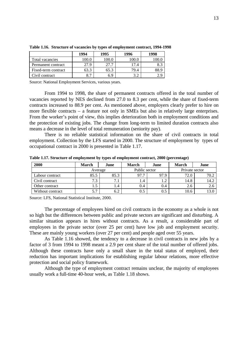|                     | 1994  | 1995  | 1996  | 1998 |
|---------------------|-------|-------|-------|------|
| Total vacancies     | .00.0 | 100.0 | 100.0 | .00. |
| Permanent contract  | 27.9  | 27.7  | 17.4  |      |
| Fixed-term contract |       | 65.3  | 79.4  | 88.9 |
| Civil contract      |       | 6.9   |       | Q    |

**Table 1.16. Structure of vacancies by types of employment contract, 1994-1998**

Source: National Employment Services, various years.

From 1994 to 1998, the share of permanent contracts offered in the total number of vacancies reported by NES declined from 27.0 to 8.3 per cent, while the share of fixed-term contracts increased to 88.9 per cent. As mentioned above, employers clearly prefer to hire on more flexible contracts – a feature not only in SMEs but also in relatively large enterprises. From the worker's point of view, this implies deterioration both in employment conditions and the protection of existing jobs. The change from long-term to limited duration contracts also means a decrease in the level of total remuneration (seniority pay).

There is no reliable statistical information on the share of civil contracts in total employment. Collection by the LFS started in 2000. The structure of employment by types of occupational contract in 2000 is presented in Table 1.17.

| 2000             | <b>March</b> | June | <b>March</b>  | June | <b>March</b>   | June |  |
|------------------|--------------|------|---------------|------|----------------|------|--|
|                  | Average      |      | Public sector |      | Private sector |      |  |
| Labour contract  | 85.5         | 85.3 | 97.7          | 97.9 | 72.0           | 70.2 |  |
| Civil contract   | 7.3          | 7.1  | 1.4           | 1.2  | 14.8           | 14.2 |  |
| Other contract   |              | 1.4  | 0.4           | 0.4  | 2.6            | 2.6  |  |
| Without contract | 5.7          | 6.2  | 0.5           | 0.5  | 10.6           |      |  |

**Table 1.17. Structure of employment by types of employment contract, 2000 (percentage)** 

Source: LFS, National Statistical Institute, 2000.

The percentage of employees hired on civil contracts in the economy as a whole is not so high but the differences between public and private sectors are significant and disturbing. A similar situation appears in hires without contracts. As a result, a considerable part of employees in the private sector (over 25 per cent) have low job and employment security. These are mainly young workers (over 27 per cent) and people aged over 55 years.

As Table 1.16 showed, the tendency to a decrease in civil contracts in new jobs by a factor of 3 from 1994 to 1998 meant a 2.9 per cent share of the total number of offered jobs. Although these contracts have only a small share in the total status of employed, their reduction has important implications for establishing regular labour relations, more effective protection and social policy framework.

Although the type of employment contract remains unclear, the majority of employees usually work a full-time 40-hour week, as Table 1.18 shows.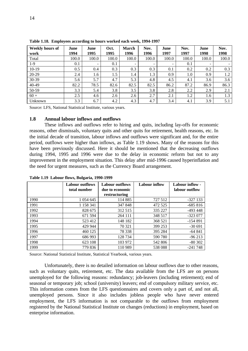| <b>Weekly hours of</b><br>work | June<br>1994 | June<br>1995             | Oct.<br>1995 | <b>March</b><br>1996     | Nov.<br>1996             | June<br>1997             | Nov.<br>1997 | June<br>1998             | Nov.<br>1998 |
|--------------------------------|--------------|--------------------------|--------------|--------------------------|--------------------------|--------------------------|--------------|--------------------------|--------------|
| Total                          | 100.0        | 100.0                    | 100.0        | 100.0                    | 100.0                    | 100.0                    | 100.0        | 100.0                    | 100.0        |
| $1-9$                          | 0.1          | $\overline{\phantom{0}}$ | 0.1          | $\overline{\phantom{m}}$ | $\overline{\phantom{0}}$ | $\overline{\phantom{0}}$ | 0.1          | $\overline{\phantom{0}}$ |              |
| $10-19$                        | 0.5          | 0.4                      | 0.3          | 0.3                      | 0.3                      | 0.1                      | 0.2          | 0.2                      | 0.3          |
| 20-29                          | 2.4          | 1.6                      | 1.5          | 1.4                      | 1.3                      | 0.9                      | 1.0          | 0.9                      | 1.2          |
| 30-39                          | 5.6          | 5.7                      | 4.7          | 5.3                      | 4.8                      | 4.5                      | 4.1          | 3.6                      | 3.6          |
| $40 - 49$                      | 82.2         | 78.5                     | 82.6         | 82.5                     | 82.5                     | 86.2                     | 87.2         | 86.9                     | 86.3         |
| 50-59                          | 3.3          | 5.4                      | 3.8          | 3.5                      | 3.8                      | 2.8                      | 2.2          | 2.9                      | 2.1          |
| $60 +$                         | 2.5          | 4.6                      | 2.6          | 2.6                      | 2.7                      | 2.1                      | 1.2          | 1.6                      | 1.3          |
| Unknown                        | 3.3          | 6.7                      | 4.2          | 4.3                      | 4.7                      | 3.4                      | 4.1          | 3.9                      | 5.1          |

**Table 1.18. Employees according to hours worked each week, 1994-1997**

Source: LFS, National Statistical Institute, various years.

#### **1.8 Annual labour inflows and outflows**

These inflows and outflows refer to hiring and quits, including lay-offs for economic reasons, other dismissals, voluntary quits and other quits for retirement, health reasons, etc. In the initial decade of transition, labour inflows and outflows were significant and, for the entire period, outflows were higher than inflows, as Table 1.19 shows. Many of the reasons for this have been previously discussed. Here it should be mentioned that the decreasing outflows during 1994, 1995 and 1996 were due to the delay in economic reform but not to any improvement in the employment situation. This delay after mid-1996 caused hyperinflation and the need for urgent measures, such as the Currency Board arrangement.

|      | Labour outflows<br>total number | Labour outflows<br>due to economic | Labour inflow | Labour inflow -<br>labour outflow |
|------|---------------------------------|------------------------------------|---------------|-----------------------------------|
|      |                                 | restructuring                      |               |                                   |
| 1990 | 1 0 54 6 45                     | 114 885                            | 727 512       | $-327133$                         |
| 1991 | 1 158 341                       | 347 848                            | 472 525       | $-685816$                         |
| 1992 | 828 675                         | 312 515                            | 335 227       | $-493448$                         |
| 1993 | 671 594                         | 264 111                            | 348 517       | $-323077$                         |
| 1994 | 523 412                         | 148 182                            | 368 521       | -154 891                          |
| 1995 | 429 944                         | 70 321                             | 399 253       | $-30691$                          |
| 1996 | 460 125                         | 78 338                             | 395 284       | -64 841                           |
| 1997 | 686 993                         | 128 734                            | 590 780       | $-96213$                          |
| 1998 | 623 108                         | 103 972                            | 542 806       | $-80302$                          |
| 1999 | 779 836                         | 110 989                            | 538 088       | $-241748$                         |

**Table 1.19 Labour flows, Bulgaria, 1990-1999**

Source: National Statistical Institute, Statistical Yearbook, various years.

Unfortunately, there is no detailed information on labour outflows due to other reasons, such as voluntary quits, retirement, etc. The data available from the LFS are on persons unemployed for the following reasons: redundancy; job-leavers (including retirement); end of seasonal or temporary job; school (university) leavers; end of compulsory military service, etc. This information comes from the LFS questionnaires and covers only a part of, and not all, unemployed persons. Since it also includes jobless people who have never entered employment, the LFS information is not comparable to the outflows from employment registered by the National Statistical Institute on changes (reductions) in employment, based on enterprise information.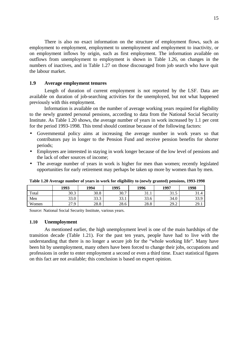There is also no exact information on the structure of employment flows, such as employment to employment, employment to unemployment and employment to inactivity, or on employment inflows by origin, such as first employment. The information available on outflows from unemployment to employment is shown in Table 1.26, on changes in the numbers of inactives, and in Table 1.27 on those discouraged from job search who have quit the labour market.

#### **1.9 Average employment tenures**

Length of duration of current employment is not reported by the LSF. Data are available on duration of job-searching activities for the unemployed, but not what happened previously with this employment.

Information is available on the number of average working years required for eligibility to the newly granted personal pensions, according to data from the National Social Security Institute. As Table 1.20 shows, the average number of years in work increased by 1.1 per cent for the period 1993-1998. This trend should continue because of the following factors:

- Governmental policy aims at increasing the average number in work years so that contributors pay in longer to the Pension Fund and receive pension benefits for shorter periods;
- Employees are interested in staying in work longer because of the low level of pensions and the lack of other sources of income;
- The average number of years in work is higher for men than women; recently legislated opportunities for early retirement may perhaps be taken up more by women than by men.

|       | 1993 | 1994         | 1995 | 1996        | 1997         | 1998 |
|-------|------|--------------|------|-------------|--------------|------|
| Total | 30.3 | 30.8         | 30.7 | $\sim$<br>. | 21<br>ن. د د | 31.4 |
| Men   | 33.0 | 22.2<br>JJ.J | 33.1 | 33.6        | 34.0         | 33.9 |
| Women | 27.9 | 28.8         | 28.6 | 28.8        | 29.2         | 29.1 |

**Table 1.20 Average number of years in work for eligibility to (newly granted) pensions, 1993-1998**

Source: National Social Security Institute, various years.

#### **1.10 Unemployment**

As mentioned earlier, the high unemployment level is one of the main hardships of the transition decade (Table 1.21). For the past ten years, people have had to live with the understanding that there is no longer a secure job for the "whole working life". Many have been hit by unemployment, many others have been forced to change their jobs, occupations and professions in order to enter employment a second or even a third time. Exact statistical figures on this fact are not available; this conclusion is based on expert opinion.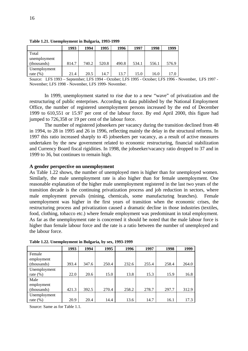|              | 1993  | 1994  | 1995  | 1996  | 1997  | 1998  | 1999  |
|--------------|-------|-------|-------|-------|-------|-------|-------|
| Total        |       |       |       |       |       |       |       |
| unemployment |       |       |       |       |       |       |       |
| (thousands)  | 814.7 | 740.2 | 520.8 | 490.8 | 534.1 | 556.1 | 576.9 |
| Unemployment |       |       |       |       |       |       |       |
| rate $(\% )$ | 21.4  | 20.5  | 14.7  | 13.7  | 15.0  | 16.0  | 17.0  |

**Table 1.21. Unemployment in Bulgaria, 1993-1999**

Source: LFS 1993 – September; LFS 1994 - October; LFS 1995 - October; LFS 1996 - November, LFS 1997 - November; LFS 1998 - November, LFS 1999- November.

In 1999, unemployment started to rise due to a new "wave" of privatization and the restructuring of public enterprises. According to data published by the National Employment Office, the number of registered unemployment persons increased by the end of December 1999 to 610,551 or 15.97 per cent of the labour force. By end April 2000, this figure had jumped to 726,358 or 19 per cent of the labour force.

The number of registered jobseekers per vacancy during the transition declined from 48 in 1994, to 28 in 1995 and 26 in 1996, reflecting mainly the delay in the structural reforms. In 1997 this ratio increased sharply to 45 jobseekers per vacancy, as a result of active measures undertaken by the new government related to economic restructuring, financial stabilization and Currency Board fiscal rigidities. In 1998, the jobseeker/vacancy ratio dropped to 37 and in 1999 to 36, but continues to remain high.

# **A gender perspective on unemployment**

As Table 1.22 shows, the number of unemployed men is higher than for unemployed women. Similarly, the male unemployment rate is also higher than for female unemployment. One reasonable explanation of the higher male unemployment registered in the last two years of the transition decade is the continuing privatization process and job reduction in sectors, where male employment prevails (mining, chemicals, some manufacturing branches). Female unemployment was higher in the first years of transition when the economic crises, the restructuring process and privatization caused a dramatic decline in those industries (textiles, food, clothing, tobacco etc.) where female employment was predominant in total employment. As far as the unemployment rate is concerned it should be noted that the male labour force is higher than female labour force and the rate is a ratio between the number of unemployed and the labour force.

|              | 1993  | 1994  | 1995  | 1996  | 1997  | 1998  | 1999  |
|--------------|-------|-------|-------|-------|-------|-------|-------|
| Female       |       |       |       |       |       |       |       |
| employment   |       |       |       |       |       |       |       |
| (thousands)  | 393.4 | 347.6 | 250.4 | 232.6 | 255.4 | 258.4 | 264.0 |
| Unemployment |       |       |       |       |       |       |       |
| rate $(\% )$ | 22.0  | 20.6  | 15.0  | 13.8  | 15.3  | 15.9  | 16.8  |
| Male         |       |       |       |       |       |       |       |
| employment   |       |       |       |       |       |       |       |
| (thousands)  | 421.3 | 392.5 | 270.4 | 258.2 | 278.7 | 297.7 | 312.9 |
| Unemployment |       |       |       |       |       |       |       |
| rate $(\% )$ | 20.9  | 20.4  | 14.4  | 13.6  | 14.7  | 16.1  | 17.3  |

**Table 1.22. Unemployment in Bulgaria, by sex, 1993-1999**

Source: Same as for Table 1.1.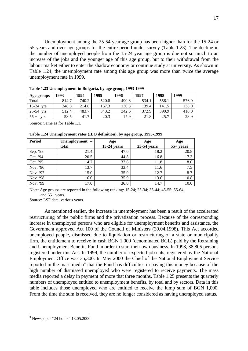Unemployment among the 25-54 year age group has been higher than for the 15-24 or 55 years and over age groups for the entire period under survey (Table 1.23). The decline in the number of unemployed people from the 15-24 year age group is due not so much to an increase of the jobs and the younger age of this age group, but to their withdrawal from the labour market either to enter the shadow economy or continue study at university. As shown in Table 1.24, the unemployment rate among this age group was more than twice the average unemployment rate in 1999.

| Age groups              | 1993  | 1994                  | 1995  | 1996  | 1997  | 1998  | 1999  |
|-------------------------|-------|-----------------------|-------|-------|-------|-------|-------|
| Total                   | 814.7 | 740.2                 | 520.8 | 490.8 | 534.1 | 556.1 | 576.9 |
| 15-24<br><b>Vrs</b>     | 248.8 | 214.8                 | 157.3 | 130.3 | 139.4 | 141.5 | 138.0 |
| $25 - 54$<br><b>VIS</b> | 512.4 | 483.7                 | 343.2 | 342.6 | 372.9 | 390.9 | 410.0 |
| $55+$<br>vrs            | 53.5  | $\overline{ }$<br>41. | 20.3  | 17.9  | 21.8  | 25.7  | 28.9  |

|  | Table 1.23 Unemployment in Bulgaria, by age group, 1993-1999 |  |  |  |
|--|--------------------------------------------------------------|--|--|--|
|--|--------------------------------------------------------------|--|--|--|

Source: Same as for Table 1.1.

**Table 1.24 Unemployment rates (ILO definition), by age group, 1993-1999**

| <b>Period</b> | Unemployment - | Age           | Age           | Age         |  |
|---------------|----------------|---------------|---------------|-------------|--|
|               | total          | $15-24$ years | $25-54$ years | $55+ years$ |  |
| Sep. '93      | 21.4           | 47.0          | 18.2          | 20.8        |  |
| Oct. '94      | 20.5           | 44.8          | 16.8          | 17.3        |  |
| Oct. '95      | 14.7           | 37.6          | 11.8          | 8.6         |  |
| Nov. '96      | 13.7           | 33.4          | 11.6          | 7.5         |  |
| Nov. '97      | 15.0           | 35.9          | 12.7          | 8.7         |  |
| Nov. '98      | 16.0           | 35.9          | 13.6          | 10.8        |  |
| Nov. '99      | 17.0           | 36.0          | 14.7          | 10.0        |  |

Note: Age groups are reported in the following ranking: 15-24; 25-34; 35-44; 45-55; 55-64; and 65+ years.

Source: LSF data, various years.

l

As mentioned earlier, the increase in unemployment has been a result of the accelerated restructuring of the public firms and the privatization process. Because of the corresponding increase in unemployed persons who are eligible for unemployment benefits and assistance, the Government approved Act 100 of the Council of Ministers (30.04.1998). This Act accorded unemployed people, dismissed due to liquidation or restructuring of a state or municipality firm, the entitlement to receive in cash BGN 1,000 (denominated BGL) paid by the Retraining and Unemployment Benefits Fund in order to start their own business. In 1998, 38,805 persons registered under this Act. In 1999, the number of expected job-cuts, registered by the National Employment Office was 35,300. In May 2000 the Chief of the National Employment Service reported in the mass media<sup>3</sup> that the Fund has difficulties in paying this money because of the high number of dismissed unemployed who were registered to receive payments. The mass media reported a delay in payment of more that three months. Table 1.25 presents the quarterly numbers of unemployed entitled to unemployment benefits, by total and by sectors. Data in this table includes those unemployed who are entitled to receive the lump sum of BGN 1,000. From the time the sum is received, they are no longer considered as having unemployed status.

<sup>3</sup> Newspaper "24 hours" 18.05.2000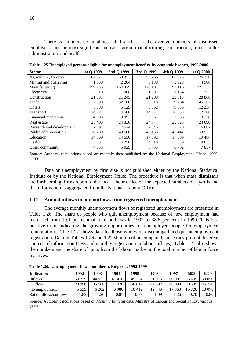There is an increase in almost all branches in the average numbers of dismissed employees, but the most significant increases are in manufacturing, construction, trade, public administration, and health.

| <b>Sector</b>            | 1st Q 1999 | 2nd Q 1999 | 3rd Q 1999 | 4th Q 1999 | 1st Q 2000 |
|--------------------------|------------|------------|------------|------------|------------|
| Agriculture, forestry    | 67 071     | 59 373     | 55 266     | 66 923     | 76 230     |
| Mining and quarrying     | 1859       | 2 2 0 4    | 3 1 8 8    | 3928       | 4 9 0 6    |
| Manufacturing            | 159 235    | 164 429    | 170 107    | 193 116    | 221 135    |
| Electricity              | 910        | 908        | 1 0 0 7    | 1 1 5 4    | 1 2 2 2    |
| Construction             | 21 681     | 21 245     | 21 208     | 23 813     | 28 866     |
| Trade                    | 32 098     | 32 188     | 33 818     | 39 264     | 45 167     |
| Hotels                   | 5888       | 5 1 29     | 5 0 6 2    | 9 3 5 6    | 12 2 34    |
| <b>Transport</b>         | 14 627     | 14 5 8 8   | 14 877     | 16 558     | 17768      |
| Financial mediation      | 4 3 0 3    | 3 9 9 3    | 3 8 6 1    | 3 5 3 6    | 3728       |
| Real estate              | 25 403     | 24 3 38    | 24 374     | 25 823     | 24 690     |
| Research and development | 7691       | 7 5 2 4    | 7 3 4 5    | 7 0 20     | 6 6 8 2    |
| Public administration    | 38 289     | 40 508     | 43 135     | 47447      | 53 553     |
| Education                | 14 5 69    | 14 550     | 17 592     | 17 609     | 19484      |
| Health                   | 3 6 3 1    | 4 2 5 6    | 4 6 1 8    | 5 3 3 9    | 9 0 5 5    |
| Other community          | 4 6 3 5    | 5 0 29     | 5 7 8 5    | 6 702      | 7857       |

**Table 1.25 Unemployed persons eligible for unemployment benefits, by economic branch, 1999-2000**

Source: Authors' calculations based on monthly data published by the National Employment Office, 1999, 2000.

Data on unemployment by firm size is not published either by the National Statistical Institute or by the National Employment Office. The procedure is that when mass dismissals are forthcoming, firms report to the local labour office on the expected numbers of lay-offs and this information is aggregated from the National Labour Office.

#### **1.11 Annual inflows to and outflows from registered unemployment**

The average monthly unemployment flows of registered unemployment are presented in Table 1.26. The share of people who quit unemployment because of new employment had increased from 19.1 per cent of total outflows in 1992 to 38.6 per cent in 1999. This is a positive trend indicating the growing opportunities for unemployed people for employment reintegration. Table 1.27 shows data for those who were discouraged and quit unemployment registration. Data in Tables 1.26 and 1.27 should not be compared, since they present different sources of information (LFS and monthly registration in labour offices). Table 1.27 also shows the numbers and the share of quits from the labour market in the total number of labour force inactives.

| Table 1.26. Unemployment flows (numbers), Bulgaria, 1992-1999 |  |  |
|---------------------------------------------------------------|--|--|
|---------------------------------------------------------------|--|--|

| <b>Indicators</b>      | 1992    | 1993    | 1994   | 1995    | 1996   | 1997   | 1998   | 1999   |
|------------------------|---------|---------|--------|---------|--------|--------|--------|--------|
| <b>Inflows</b>         | 53 279  | 44 9 32 | 41 410 | 45 224  | 51 975 | 60 907 | 35 695 | 58 050 |
| Outflows               | 28 990  | 35 568  | 51 028 | 50 612  | 47 392 | 48 099 | 50 545 | 46 720 |
| to employment          | 5 5 3 9 | 6 20 2  | 6980   | 10 4 12 | 12446  | 17 368 | 15 726 | 18 078 |
| Ratio inflows/outflows | 1.83    | .26     | 0.81   | 0.89    | .09    | .26    | 0.70   | 0.80   |

Source: Authors' calculations based on *Monthly Bulletin* data, Ministry of Labour and Social Policy, various years.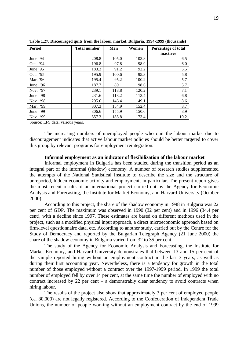| <b>Period</b> | <b>Total number</b> | Men   | Women | <b>Percentage of total</b><br>inactives |
|---------------|---------------------|-------|-------|-----------------------------------------|
| June '94      | 208.8               | 105.0 | 103.8 | 6.5                                     |
|               |                     |       |       |                                         |
| Oct. '94      | 196.8               | 97.8  | 98.9  | 6.0                                     |
| June '95      | 183.3               | 91.2  | 92.2  | 5.5                                     |
| Oct. '95      | 195.9               | 100.6 | 95.3  | 5.8                                     |
| Mar. '96      | 195.4               | 95.2  | 100.2 | 5.7                                     |
| June '96      | 187.7               | 89.1  | 98.6  | 5.7                                     |
| Nov. '97      | 239.1               | 118.8 | 120.2 | 7.1                                     |
| June '98      | 231.6               | 118.2 | 113.4 | 6.8                                     |
| Nov. '98      | 295.6               | 146.4 | 149.1 | 8.6                                     |
| Mar. '99      | 307.3               | 154.9 | 152.4 | 8.7                                     |
| June '99      | 306.6               | 155.9 | 150.6 | 8.9                                     |
| Nov. '99      | 357.3               | 183.8 | 173.4 | 10.2                                    |

**Table 1.27. Discouraged quits from the labour market, Bulgaria, 1994-1999 (thousands)**

Source: LFS data, various years.

The increasing numbers of unemployed people who quit the labour market due to discouragement indicates that active labour market policies should be better targeted to cover this group by relevant programs for employment reintegration.

## **Informal employment as an indicator of flexibilization of the labour market**

Informal employment in Bulgaria has been studied during the transition period as an integral part of the informal (shadow) economy. A number of research studies supplemented the attempts of the National Statistical Institute to describe the size and the structure of unreported, hidden economic activity and employment, in particular. The present report gives the most recent results of an international project carried out by the Agency for Economic Analysis and Forecasting, the Institute for Market Economy, and Harvard University (October 2000).

According to this project, the share of the shadow economy in 1998 in Bulgaria was 22 per cent of GDP. The maximum was observed in 1990 (32 per cent) and in 1996 (34.4 per cent), with a decline since 1997. These estimates are based on different methods used in the project, such as a modified physical input approach, a direct microeconomic approach based on firm-level questionnaire data, etc. According to another study, carried out by the Centre for the Study of Democracy and reported by the Bulgarian Telegraph Agency (21 June 2000) the share of the shadow economy in Bulgaria varied from 32 to 35 per cent.

The study of the Agency for Economic Analysis and Forecasting, the Institute for Market Economy, and Harvard University demonstrates that between 13 and 15 per cent of the sample reported hiring without an employment contract in the last 3 years, as well as during their first accounting year. Nevertheless, there is a tendency for growth in the total number of those employed without a contract over the 1997-1999 period. In 1999 the total number of employed fell by over 14 per cent, at the same time the number of employed with no contract increased by 22 per cent – a demonstrably clear tendency to avoid contracts when hiring labour.

The results of the project also show that approximately 3 per cent of employed people (ca. 80,000) are not legally registered. According to the Confederation of Independent Trade Unions, the number of people working without an employment contract by the end of 1999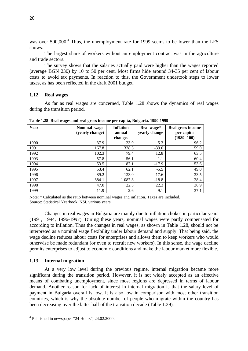was over 500,000.<sup>4</sup> Thus, the unemployment rate for 1999 seems to be lower than the LFS shows.

The largest share of workers without an employment contract was in the agriculture and trade sectors.

The survey shows that the salaries actually paid were higher than the wages reported (average BGN 230) by 10 to 50 per cent. Most firms hide around 34-35 per cent of labour costs to avoid tax payments. In reaction to this, the Government undertook steps to lower taxes, as has been reflected in the draft 2001 budget.

### **1.12 Real wages**

As far as real wages are concerned, Table 1.28 shows the dynamics of real wages during the transition period.

| Year | Nominal wage<br>(yearly change) | <b>Inflation</b><br>annual<br>changes | Real wage*<br>yearly change | Real gross income<br>per capita<br>$(1989=100)$ |
|------|---------------------------------|---------------------------------------|-----------------------------|-------------------------------------------------|
| 1990 | 37.9                            | 23.9                                  | 5.3                         | 96.2                                            |
| 1991 | 167.8                           | 338.5                                 | $-39.0$                     | 59.0                                            |
| 1992 | 102.3                           | 79.4                                  | 12.8                        | 63.5                                            |
| 1993 | 57.8                            | 56.1                                  | 1.1                         | 60.4                                            |
| 1994 | 53.5                            | 87.1                                  | $-17.9$                     | 53.6                                            |
| 1995 | 53.4                            | 62.1                                  | $-5.5$                      | 49.0                                            |
| 1996 | 89.2                            | 123.0                                 | $-17.6$                     | 33.5                                            |
| 1997 | 884.1                           | 1 0 8 7 . 8                           | $-18.8$                     | 28.4                                            |
| 1998 | 47.0                            | 22.3                                  | 22.3                        | 36.9                                            |
| 1999 | 11.9                            | 2.6                                   | 9.1                         | 37.1                                            |

**Table 1.28 Real wages and real gross income per capita, Bulgaria, 1990-1999**

Note: \* Calculated as the ratio between nominal wages and inflation. Taxes are included. Source: Statistical Yearbook, NSI, various years.

Changes in real wages in Bulgaria are mainly due to inflation chokes in particular years (1991, 1994, 1996-1997). During these years, nominal wages were partly compensated for according to inflation. Thus the changes in real wages, as shown in Table 1.28, should not be interpreted as a nominal wage flexibility under labour demand and supply. That being said, the wage decline reduces labour costs for enterprises and allows them to keep workers who would otherwise be made redundant (or even to recruit new workers). In this sense, the wage decline permits enterprises to adjust to economic conditions and make the labour market more flexible.

#### **1.13 Internal migration**

l

At a very low level during the previous regime, internal migration became more significant during the transition period. However, it is not widely accepted as an effective means of combating unemployment, since most regions are depressed in terms of labour demand. Another reason for lack of interest in internal migration is that the salary level of payment in Bulgaria overall is low. It is also low in comparison with most other transition countries, which is why the absolute number of people who migrate within the country has been decreasing over the latter half of the transition decade (Table 1.29).

<sup>&</sup>lt;sup>4</sup> Published in newspaper "24 Hours", 24.02.2000.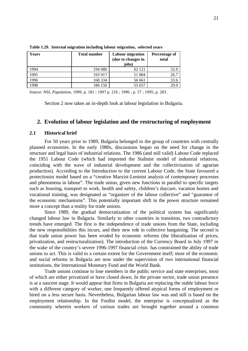| <b>Years</b> | <b>Total number</b> | <b>Labour migration</b><br>(due to changes in<br>jobs) | Percentage of<br>total |
|--------------|---------------------|--------------------------------------------------------|------------------------|
| 1994         | 194 080             | 62 121                                                 | 32.0                   |
| 1995         | 193 917             | 51 884                                                 | 26.7                   |
| 1996         | 168 334             | 56 661                                                 | 33.6                   |
| 1998         | 186 150             | 55 657                                                 | 29.0                   |

**Table 1.29. Internal migration including labour migration, selected years**

Source: NSI, *Population*, 1999, p. 181 ; 1997 p. 216 ; 1996 ; p. 57 ; 1995, p. 283.

Section 2 now takes an in-depth look at labour legislation in Bulgaria.

# **2. Evolution of labour legislation and the restructuring of employment**

# **2.1 Historical brief**

For 50 years prior to 1989, Bulgaria belonged to the group of countries with centrally planned economies. In the early 1980s, discussions began on the need for change in the structure and legal basis of industrial relations. The 1986 (and still valid) Labour Code replaced the 1951 Labour Code (which had imported the Stalinist model of industrial relations, coinciding with the wave of industrial development and the collectivization of agrarian production). According to the Introduction to the current Labour Code, the State favoured a protectionist model based on a "creative Marxist-Leninist analysis of contemporary processes and phenomena in labour". The trade union, given new functions in parallel to specific targets such as housing, transport to work, health and safety, children's daycare, vacation homes and vocational training, was designated as "organizer of the labour collective" and "guarantor of the economic mechanisms". This potentially important shift in the power structure remained more a concept than a reality for trade unions.

Since 1989, the gradual democratization of the political system has significantly changed labour law in Bulgaria. Similarly to other countries in transition, two contradictory trends have emerged. The first is the independence of trade unions from the State, including the new responsibilities this incurs, and their new role in collective bargaining. The second is that trade union power has been eroded by economic reforms (the liberalization of prices, privatization, and restructuralization). The introduction of the Currency Board in July 1997 in the wake of the country's severe 1996-1997 financial crisis has constrained the ability of trade unions to act. This is valid to a certain extent for the Government itself; most of the economic and social reforms in Bulgaria are now under the supervision of two international financial institutions, the International Monetary Fund and the World Bank.

Trade unions continue to lose members in the public service and state enterprises, most of which are either privatized or have closed down. In the private sector, trade union presence is at a nascent stage. It would appear that firms in Bulgaria are replacing the stable labour force with a different category of worker, one frequently offered atypical forms of employment or hired on a less secure basis. Nevertheless, Bulgarian labour law was and still is based on the employment relationship. In the Fordist model, the enterprise is conceptualized as the community wherein workers of various trades are brought together around a common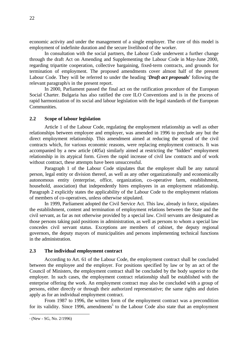economic activity and under the management of a single employer. The core of this model is employment of indefinite duration and the secure livelihood of the worker.

In consultation with the social partners, the Labour Code underwent a further change through the draft Act on Amending and Supplementing the Labour Code in May-June 2000, regarding tripartite cooperation, collective bargaining, fixed-term contracts, and grounds for termination of employment. The proposed amendments cover almost half of the present Labour Code. They will be referred to under the heading '*Draft act proposals*' following the relevant paragraph/s in the present report.

In 2000, Parliament passed the final act on the ratification procedure of the European Social Charter. Bulgaria has also ratified the core ILO Conventions and is in the process of rapid harmonization of its social and labour legislation with the legal standards of the European Communities.

#### **2.2 Scope of labour legislation**

Article 1 of the Labour Code, regulating the employment relationship as well as other relationships between employee and employer, was amended in 1996 to preclude any but the direct employment relationship. This amendment aimed at reducing the spread of the civil contracts which, for various economic reasons, were replacing employment contracts. It was accompanied by a new article (405a) similarly aimed at restricting the "hidden" employment relationship in its atypical form. Given the rapid increase of civil law contracts and of work without contract, these attempts have been unsuccessful.

Paragraph 1 of the Labour Code stipulates that the employer shall be any natural person, legal entity or division thereof, as well as any other organizationally and economically autonomous entity (enterprise, office, organization, co-operative farm, establishment, household, association) that independently hires employees in an employment relationship. Paragraph 2 explicitly states the applicability of the Labour Code to the employment relations of members of co-operatives, unless otherwise stipulated.

In 1999, Parliament adopted the Civil Service Act. This law, already in force, stipulates the establishment, content and termination of employment relations between the State and the civil servant, as far as not otherwise provided by a special law. Civil servants are designated as those persons taking paid positions in administration, as well as persons to whom a special law concedes civil servant status. Exceptions are members of cabinet, the deputy regional governors, the deputy mayors of municipalities and persons implementing technical functions in the administration.

# **2.3 The individual employment contract**

According to Art. 61 of the Labour Code, the employment contract shall be concluded between the employee and the employer. For positions specified by law or by an act of the Council of Ministers, the employment contract shall be concluded by the body superior to the employer. In such cases, the employment contract relationship shall be established with the enterprise offering the work. An employment contract may also be concluded with a group of persons, either directly or through their authorized representative; the same rights and duties apply as for an individual employment contract.

From 1987 to 1996, the written form of the employment contract was a precondition for its validity. Since 1996, amendments<sup>5</sup> to the Labour Code also state that an employment

l

<sup>5</sup> (New - SG, No. 2/1996)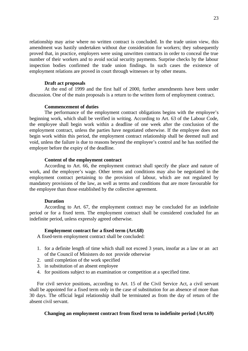relationship may arise where no written contract is concluded. In the trade union view, this amendment was hastily undertaken without due consideration for workers; they subsequently proved that, in practice, employers were using unwritten contracts in order to conceal the true number of their workers and to avoid social security payments. Surprise checks by the labour inspection bodies confirmed the trade union findings. In such cases the existence of employment relations are proved in court through witnesses or by other means.

#### **Draft act proposals**

At the end of 1999 and the first half of 2000, further amendments have been under discussion. One of the main proposals is a return to the written form of employment contract.

#### **Commencement of duties**

The performance of the employment contract obligations begins with the employee's beginning work, which shall be verified in writing. According to Art. 63 of the Labour Code, the employee shall begin work within a deadline of one week after the conclusion of the employment contract, unless the parties have negotiated otherwise. If the employee does not begin work within this period, the employment contract relationship shall be deemed null and void, unless the failure is due to reasons beyond the employee's control and he has notified the employer before the expiry of the deadline.

#### **Content of the employment contract**

According to Art. 66, the employment contract shall specify the place and nature of work, and the employee's wage. Other terms and conditions may also be negotiated in the employment contract pertaining to the provision of labour, which are not regulated by mandatory provisions of the law, as well as terms and conditions that are more favourable for the employee than those established by the collective agreement.

#### **Duration**

According to Art. 67, the employment contract may be concluded for an indefinite period or for a fixed term. The employment contract shall be considered concluded for an indefinite period, unless expressly agreed otherwise.

#### **Employment contract for a fixed term (Art.68)**

A fixed-term employment contract shall be concluded:

- 1. for a definite length of time which shall not exceed 3 years, insofar as a law or an act of the Council of Ministers do not provide otherwise
- 2. until completion of the work specified
- 3. in substitution of an absent employee
- 4. for positions subject to an examination or competition at a specified time.

For civil service positions, according to Art. 15 of the Civil Service Act, a civil servant shall be appointed for a fixed term only in the case of substitution for an absence of more than 30 days. The official legal relationship shall be terminated as from the day of return of the absent civil servant.

## **Changing an employment contract from fixed term to indefinite period (Art.69)**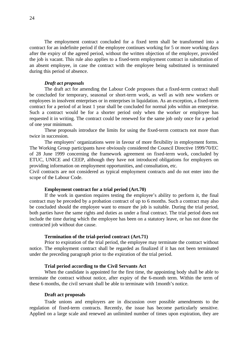The employment contract concluded for a fixed term shall be transformed into a contract for an indefinite period if the employee continues working for 5 or more working days after the expiry of the agreed period, without the written objection of the employer, provided the job is vacant. This rule also applies to a fixed-term employment contract in substitution of an absent employee, in case the contract with the employee being substituted is terminated during this period of absence.

#### *Draft act proposals*

The draft act for amending the Labour Code proposes that a fixed-term contract shall be concluded for temporary, seasonal or short-term work, as well as with new workers or employees in insolvent enterprises or in enterprises in liquidation. As an exception, a fixed-term contract for a period of at least 1 year shall be concluded for normal jobs within an enterprise. Such a contract would be for a shorter period only when the worker or employee has requested it in writing. The contract could be renewed for the same job only once for a period of one year minimum.

These proposals introduce the limits for using the fixed-term contracts not more than twice in succession.

The employers' organizations were in favour of more flexibility in employment forms. The Working Group participants have obviously considered the Council Directive 1999/70/EC of 28 June 1999 concerning the framework agreement on fixed-term work, concluded by ETUC, UNICE and CEEP, although they have not introduced obligations for employers on providing information on employment opportunities, and consultation, etc.

Civil contracts are not considered as typical employment contracts and do not enter into the scope of the Labour Code.

#### **Employment contract for a trial period (Art.70)**

If the work in question requires testing the employee's ability to perform it, the final contract may be preceded by a probation contract of up to 6 months. Such a contract may also be concluded should the employee want to ensure the job is suitable. During the trial period, both parties have the same rights and duties as under a final contract. The trial period does not include the time during which the employee has been on a statutory leave, or has not done the contracted job without due cause.

#### **Termination of the trial-period contract (Art.71)**

Prior to expiration of the trial period, the employee may terminate the contract without notice. The employment contract shall be regarded as finalized if it has not been terminated under the preceding paragraph prior to the expiration of the trial period.

#### **Trial period according to the Civil Servants Act**

When the candidate is appointed for the first time, the appointing body shall be able to terminate the contract without notice, after expiry of the 6-month term. Within the term of these 6 months, the civil servant shall be able to terminate with 1month's notice.

#### **Draft act proposals**

Trade unions and employers are in discussion over possible amendments to the regulation of fixed-term contracts. Recently, the issue has become particularly sensitive. Applied on a large scale and renewed an unlimited number of times upon expiration, they are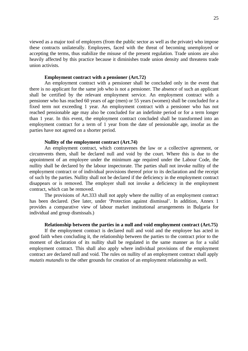viewed as a major tool of employers (from the public sector as well as the private) who impose these contracts unilaterally. Employees, faced with the threat of becoming unemployed or accepting the terms, thus stabilize the misuse of the present regulation. Trade unions are also heavily affected by this practice because it diminishes trade union density and threatens trade union activists.

#### **Employment contract with a pensioner (Art.72)**

An employment contract with a pensioner shall be concluded only in the event that there is no applicant for the same job who is not a pensioner. The absence of such an applicant shall be certified by the relevant employment service. An employment contract with a pensioner who has reached 60 years of age (men) or 55 years (women) shall be concluded for a fixed term not exceeding 1 year. An employment contract with a pensioner who has not reached pensionable age may also be concluded for an indefinite period or for a term longer than 1 year. In this event, the employment contract concluded shall be transformed into an employment contract for a term of 1 year from the date of pensionable age, insofar as the parties have not agreed on a shorter period.

#### **Nullity of the employment contract (Art.74)**

An employment contract, which contravenes the law or a collective agreement, or circumvents them, shall be declared null and void by the court. Where this is due to the appointment of an employee under the minimum age required under the Labour Code, the nullity shall be declared by the labour inspectorate. The parties shall not invoke nullity of the employment contract or of individual provisions thereof prior to its declaration and the receipt of such by the parties. Nullity shall not be declared if the deficiency in the employment contract disappears or is removed. The employer shall not invoke a deficiency in the employment contract, which can be removed.

The provisions of Art.333 shall not apply where the nullity of an employment contract has been declared. (See later, under 'Protection against dismissal'. In addition, Annex 1 provides a comparative view of labour market institutional arrangements in Bulgaria for individual and group dismissals.)

#### **Relationship between the parties in a null and void employment contract (Art.75)**

If the employment contract is declared null and void and the employee has acted in good faith when concluding it, the relationship between the parties to the contract prior to the moment of declaration of its nullity shall be regulated in the same manner as for a valid employment contract. This shall also apply where individual provisions of the employment contract are declared null and void. The rules on nullity of an employment contract shall apply *mutatis mutandis* to the other grounds for creation of an employment relationship as well.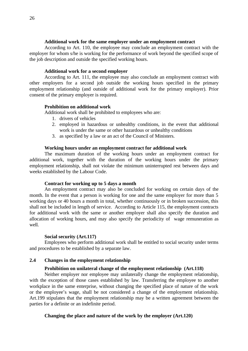# **Additional work for the same employer under an employment contract**

According to Art. 110, the employee may conclude an employment contract with the employer for whom s/he is working for the performance of work beyond the specified scope of the job description and outside the specified working hours.

#### **Additional work for a second employer**

According to Art. 111, the employee may also conclude an employment contract with other employers for a second job outside the working hours specified in the primary employment relationship (and outside of additional work for the primary employer). Prior consent of the primary employer is required.

#### **Prohibition on additional work**

Additional work shall be prohibited to employees who are:

- 1. drivers of vehicles
- 2. employed in hazardous or unhealthy conditions, in the event that additional work is under the same or other hazardous or unhealthy conditions
- 3. as specified by a law or an act of the Council of Ministers.

## **Working hours under an employment contract for additional work**

The maximum duration of the working hours under an employment contract for additional work, together with the duration of the working hours under the primary employment relationship, shall not violate the minimum uninterrupted rest between days and weeks established by the Labour Code.

#### **Contract for working up to 5 days a month**

An employment contract may also be concluded for working on certain days of the month. In the event that a person is working for one and the same employer for more than 5 working days or 40 hours a month in total, whether continuously or in broken succession, this shall not be included in length of service. According to Article 115, the employment contracts for additional work with the same or another employer shall also specify the duration and allocation of working hours, and may also specify the periodicity of wage remuneration as well.

#### **Social security (Art.117)**

Employees who perform additional work shall be entitled to social security under terms and procedures to be established by a separate law.

# **2.4 Changes in the employment relationship**

#### **Prohibition on unilateral change of the employment relationship (Art.118)**

Neither employer nor employee may unilaterally change the employment relationship, with the exception of those cases established by law. Transferring the employee to another workplace in the same enterprise, without changing the specified place of nature of the work or the employee's wage, shall be not considered a change of the employment relationship. Art.199 stipulates that the employment relationship may be a written agreement between the parties for a definite or an indefinite period.

## **Changing the place and nature of the work by the employer (Art.120)**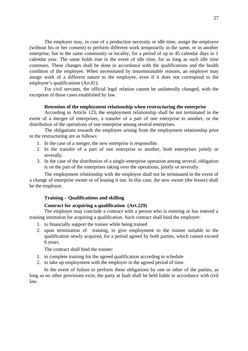The employer may, in case of a production necessity or idle time, assign the employee (without his or her consent) to perform different work temporarily in the same, or in another enterprise, but in the same community or locality, for a period of up to 45 calendar days in 1 calendar year. The same holds true in the event of idle time, for as long as such idle time continues. These changes shall be done in accordance with the qualifications and the health condition of the employee. When necessitated by insurmountable reasons, an employer may assign work of a different nature to the employee, even if it does not correspond to the employee's qualifications (Art.81).

For civil servants, the official legal relation cannot be unilaterally changed, with the exception of those cases established by law.

#### **Retention of the employment relationship when restructuring the enterprise**

According to Article 123, the employment relationship shall be not terminated in the event of a merger of enterprises, a transfer of a part of one enterprise to another, or the distribution of the operations of one enterprise among several enterprises.

The obligations towards the employee arising from the employment relationship prior to the restructuring are as follows:

- 1. In the case of a merger, the new enterprise is responsible.
- 2. In the transfer of a part of one enterprise to another, both enterprises jointly or severally.
- 3. In the case of the distribution of a single-enterprise operation among several, obligation is on the part of the enterprises taking over the operations, jointly or severally.

The employment relationship with the employee shall not be terminated in the event of a change of enterprise owner or of leasing it out. In this case, the new owner (the lessee) shall be the employer.

#### **Training – Qualifications and skilling**

## **Contract for acquiring a qualification (Art.229)**

The employer may conclude a contract with a person who is entering or has entered a training institution for acquiring a qualification. Such contract shall bind the employer:

- 1. to financially support the trainee while being trained
- 2. upon termination of training, to give employment to the trainee suitable to the qualification newly acquired, for a period agreed by both parties, which cannot exceed 6 years.

The contract shall bind the trainee:

- 1. to complete training for the agreed qualification according to schedule
- 2. to take up employment with the employer in the agreed period of time.

In the event of failure to perform these obligations by one or other of the parties, as long as no other provisions exist, the party at fault shall be held liable in accordance with civil law.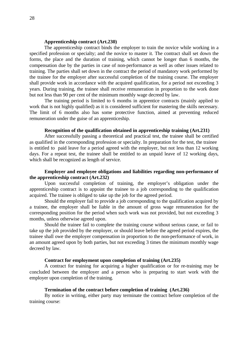#### **Apprenticeship contract (Art.230)**

The apprenticeship contract binds the employer to train the novice while working in a specified profession or specialty; and the novice to master it. The contract shall set down the forms, the place and the duration of training, which cannot be longer than 6 months, the compensation due by the parties in case of non-performance as well as other issues related to training. The parties shall set down in the contract the period of mandatory work performed by the trainee for the employer after successful completion of the training course. The employer shall provide work in accordance with the acquired qualification, for a period not exceeding 3 years. During training, the trainee shall receive remuneration in proportion to the work done but not less than 90 per cent of the minimum monthly wage decreed by law.

The training period is limited to 6 months in apprentice contracts (mainly applied to work that is not highly qualified) as it is considered sufficient for mastering the skills necessary. The limit of 6 months also has some protective function, aimed at preventing reduced remuneration under the guise of an apprenticeship.

#### **Recognition of the qualification obtained in apprenticeship training (Art.231)**

After successfully passing a theoretical and practical test, the trainee shall be certified as qualified in the corresponding profession or specialty. In preparation for the test, the trainee is entitled to paid leave for a period agreed with the employer, but not less than 12 working days. For a repeat test, the trainee shall be entitled to an unpaid leave of 12 working days, which shall be recognized as length of service.

# **Employer and employee obligations and liabilities regarding non-performance of the apprenticeship contract (Art.232)**

Upon successful completion of training, the employer's obligation under the apprenticeship contract is to appoint the trainee to a job corresponding to the qualification acquired. The trainee is obliged to take up the job for the agreed period.

Should the employer fail to provide a job corresponding to the qualification acquired by a trainee, the employer shall be liable in the amount of gross wage remuneration for the corresponding position for the period when such work was not provided, but not exceeding 3 months, unless otherwise agreed upon.

Should the trainee fail to complete the training course without serious cause, or fail to take up the job provided by the employer, or should leave before the agreed period expires, the trainee shall owe the employer compensation in proportion to the non-performance of work, in an amount agreed upon by both parties, but not exceeding 3 times the minimum monthly wage decreed by law.

#### **Contract for employment upon completion of training (Art.235)**

A contract for training for acquiring a higher qualification or for re-training may be concluded between the employer and a person who is preparing to start work with the employer upon completion of the training.

#### **Termination of the contract before completion of training (Art.236)**

By notice in writing, either party may terminate the contract before completion of the training course: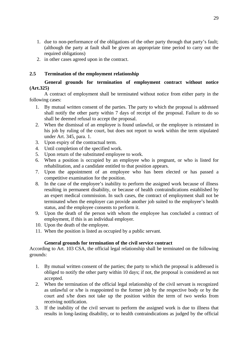- 1. due to non-performance of the obligations of the other party through that party's fault; (although the party at fault shall be given an appropriate time period to carry out the required obligations)
- 2. in other cases agreed upon in the contract.

# **2.5 Termination of the employment relationship**

# **General grounds for termination of employment contract without notice (Art.325)**

A contract of employment shall be terminated without notice from either party in the following cases:

- 1. By mutual written consent of the parties. The party to which the proposal is addressed shall notify the other party within 7 days of receipt of the proposal. Failure to do so shall be deemed refusal to accept the proposal.
- 2. When the dismissal of an employee is found unlawful, or the employee is reinstated in his job by ruling of the court, but does not report to work within the term stipulated under Art. 345, para. 1.
- 3. Upon expiry of the contractual term.
- 4. Until completion of the specified work.
- 5. Upon return of the substituted employee to work.
- 6. When a position is occupied by an employee who is pregnant, or who is listed for rehabilitation, and a candidate entitled to that position appears.
- 7. Upon the appointment of an employee who has been elected or has passed a competitive examination for the position.
- 8. In the case of the employee's inability to perform the assigned work because of illness resulting in permanent disability, or because of health contraindications established by an expert medical commission. In such cases, the contract of employment shall not be terminated when the employer can provide another job suited to the employee's health status, and the employee consents to perform it.
- 9. Upon the death of the person with whom the employee has concluded a contract of employment, if this is an individual employer.
- 10. Upon the death of the employee.
- 11. When the position is listed as occupied by a public servant.

# **General grounds for termination of the civil service contract**

According to Art. 103 CSA, the official legal relationship shall be terminated on the following grounds:

- 1. By mutual written consent of the parties; the party to which the proposal is addressed is obliged to notify the other party within 10 days; if not, the proposal is considered as not accepted.
- 2. When the termination of the official legal relationship of the civil servant is recognized as unlawful or s/he is reappointed to the former job by the respective body or by the court and s/he does not take up the position within the term of two weeks from receiving notification.
- 3. If the inability of the civil servant to perform the assigned work is due to illness that results in long-lasting disability, or to health contraindications as judged by the official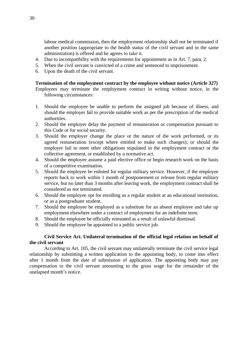labour medical commission, then the employment relationship shall not be terminated if another position (appropriate to the health status of the civil servant and in the same administration) is offered and he agrees to take it.

- 4. Due to incompatibility with the requirements for appointment as in Art. 7, para. 2.
- 5. When the civil servant is convicted of a crime and sentenced to imprisonment.
- 6. Upon the death of the civil servant.

# **Termination of the employment contract by the employee without notice (Article 327)**

Employees may terminate the employment contract in writing without notice, in the following circumstances:

- 1. Should the employee be unable to perform the assigned job because of illness, and should the employer fail to provide suitable work as per the prescription of the medical authorities.
- 2. Should the employer delay the payment of remuneration or compensation pursuant to this Code or for social security.
- 3. Should the employer change the place or the nature of the work performed, or its agreed remuneration (except where entitled to make such changes); or should the employer fail to meet other obligations stipulated in the employment contract or the collective agreement, or established by a normative act.
- 4. Should the employee assume a paid elective office or begin research work on the basis of a competitive examination.
- 5. Should the employee be enlisted for regular military service. However, if the employee reports back to work within 1 month of postponement or release from regular military service, but no later than 3 months after leaving work, the employment contract shall be considered as *not* terminated.
- 6. Should the employee opt for enrolling as a regular student at an educational institution, or as a postgraduate student.
- 7. Should the employee be employed as a substitute for an absent employee and take up employment elsewhere under a contract of employment for an indefinite term.
- 8. Should the employee be officially reinstated as a result of unlawful dismissal.
- 9. Should the employee be appointed to a public service job.

# **Civil Service Act. Unilateral termination of the official legal relation on behalf of the civil servant**

According to Art. 105, the civil servant may unilaterally terminate the civil service legal relationship by submitting a written application to the appointing body, to come into effect after 1 month from the date of submission of application. The appointing body may pay compensation to the civil servant amounting to the gross wage for the remainder of the unelapsed month's notice.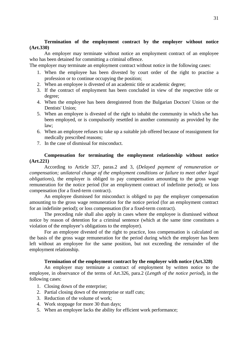# **Termination of the employment contract by the employer without notice (Art.330)**

An employer may terminate without notice an employment contract of an employee who has been detained for committing a criminal offence.

The employer may terminate an employment contract without notice in the following cases:

- 1. When the employee has been divested by court order of the right to practise a profession or to continue occupying the position;
- 2. When an employee is divested of an academic title or academic degree;
- 3. If the contract of employment has been concluded in view of the respective title or degree;
- 4. When the employee has been deregistered from the Bulgarian Doctors' Union or the Dentists' Union;
- 5. When an employee is divested of the right to inhabit the community in which s/he has been employed, or is compulsorily resettled in another community as provided by the law;
- 6. When an employee refuses to take up a suitable job offered because of reassignment for medically prescribed reasons;
- 7. In the case of dismissal for misconduct.

# **Compensation for terminating the employment relationship without notice (Art.221)**

According to Article 327, paras.2 and 3, (*Delayed payment of remuneration or compensation; unilateral change of the employment conditions or failure to meet other legal obligations*), the employer is obliged to pay compensation amounting to the gross wage remuneration for the notice period (for an employment contract of indefinite period); or loss compensation (for a fixed-term contract).

An employee dismissed for misconduct is obliged to pay the employer compensation amounting to the gross wage remuneration for the notice period (for an employment contract for an indefinite period); or loss compensation (for a fixed-term contract).

The preceding rule shall also apply in cases where the employee is dismissed without notice by reason of detention for a criminal sentence (which at the same time constitutes a violation of the employee's obligations to the employer).

For an employee divested of the right to practice, loss compensation is calculated on the basis of the gross wage remuneration for the period during which the employer has been left without an employee for the same position, but not exceeding the remainder of the employment relationship.

### **Termination of the employment contract by the employer with notice (Art.328)**

An employer may terminate a contract of employment by written notice to the employee, in observance of the terms of Art.326, para.2 (*Length of the notice period*), in the following cases:

- 1. Closing down of the enterprise;
- 2. Partial closing down of the enterprise or staff cuts;
- 3. Reduction of the volume of work;
- 4. Work stoppage for more 30 than days;
- 5. When an employee lacks the ability for efficient work performance;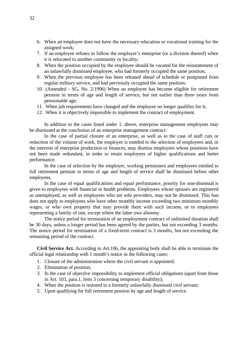- 6. When an employee does not have the necessary education or vocational training for the assigned work;
- 7. If an employee refuses to follow the employer's enterprise (or a division thereof) when it is relocated to another community or locality;
- 8. When the position occupied by the employee should be vacated for the reinstatement of an unlawfully dismissed employee, who had formerly occupied the same position;
- 9. When the previous employee has been released ahead of schedule or postponed from regular military service, and had previously occupied the same position;
- 10. (Amended SG, No. 2/1996) When an employee has become eligible for retirement pension in terms of age and length of service, but not earlier than three years from pensionable age;
- 11. When job requirements have changed and the employee no longer qualifies for it;
- 12. When it is objectively impossible to implement the contract of employment.

In addition to the cases listed under 1. above, enterprise management employees may be dismissed at the conclusion of an enterprise management contract.

In the case of partial closure of an enterprise, as well as in the case of staff cuts or reduction of the volume of work, the employer is entitled to the selection of employees and, in the interests of enterprise production or finances, may dismiss employees whose positions have not been made redundant, in order to retain employees of higher qualifications and better performance.

In the case of selection by the employer, working pensioners and employees entitled to full retirement pension in terms of age and length of service shall be dismissed before other employees.

In the case of equal qualifications and equal performance, priority for non-dismissal is given to employees with financial or health problems. Employees whose spouses are registered as unemployed, as well as employees who are sole providers, may not be dismissed. This ban does not apply to employees who have other monthly income exceeding two minimum monthly wages, or who own property that may provide them with such income, or to employees representing a family of one, except where the latter owe alimony.

The notice period for termination of an employment contract of unlimited duration shall be 30 days, unless a longer period has been agreed by the parties, but not exceeding 3 months. The notice period for termination of a fixed-term contract is 3 months, but not exceeding the remaining period of the contract.

**Civil Service Act.** According to Art.106, the appointing body shall be able to terminate the official legal relationship with 1 month's notice in the following cases:

- 1. Closure of the administration where the civil servant is appointed;
- 2. Elimination of position;
- 3. In the case of objective impossibility to implement official obligations (apart from those in Art. 103, para.1, item 3 concerning temporary disability);
- 4. When the position is restored to a formerly unlawfully dismissed civil servant;
- 5. Upon qualifying for full retirement pension by age and length of service.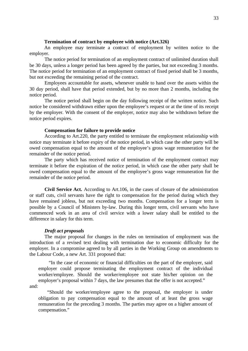### **Termination of contract by employee with notice (Art.326)**

An employee may terminate a contract of employment by written notice to the employer.

The notice period for termination of an employment contract of unlimited duration shall be 30 days, unless a longer period has been agreed by the parties, but not exceeding 3 months. The notice period for termination of an employment contract of fixed period shall be 3 months, but not exceeding the remaining period of the contract.

Employees accountable for assets, whenever unable to hand over the assets within the 30 day period, shall have that period extended, but by no more than 2 months, including the notice period.

The notice period shall begin on the day following receipt of the written notice. Such notice be considered withdrawn either upon the employee's request or at the time of its receipt by the employer. With the consent of the employer, notice may also be withdrawn before the notice period expires.

### **Compensation for failure to provide notice**

According to Art.220, the party entitled to terminate the employment relationship with notice may terminate it before expiry of the notice period, in which case the other party will be owed compensation equal to the amount of the employee's gross wage remuneration for the remainder of the notice period.

The party which has received notice of termination of the employment contract may terminate it before the expiration of the notice period, in which case the other party shall be owed compensation equal to the amount of the employee's gross wage remuneration for the remainder of the notice period.

**Civil Service Act.** According to Art.106, in the cases of closure of the administration or staff cuts, civil servants have the right to compensation for the period during which they have remained jobless, but not exceeding two months. Compensation for a longer term is possible by a Council of Ministers by-law. During this longer term, civil servants who have commenced work in an area of civil service with a lower salary shall be entitled to the difference in salary for this term.

#### *Draft act proposals*

The major proposal for changes in the rules on termination of employment was the introduction of a revised text dealing with termination due to economic difficulty for the employer. In a compromise agreed to by all parties in the Working Group on amendments to the Labour Code, a new Art. 331 proposed that:

 "In the case of economic or financial difficulties on the part of the employer, said employer could propose terminating the employment contract of the individual worker/employee. Should the worker/employee not state his/her opinion on the employer's proposal within 7 days, the law presumes that the offer is not accepted."

#### and:

"Should the worker/employee agree to the proposal, the employer is under obligation to pay compensation equal to the amount of at least the gross wage remuneration for the preceding 3 months. The parties may agree on a higher amount of compensation."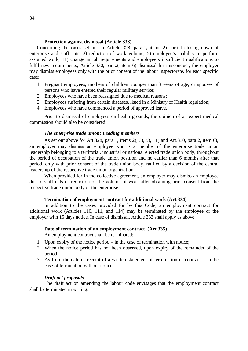### **Protection against dismissal (Article 333)**

Concerning the cases set out in Article 328, para.1, items 2) partial closing down of enterprise and staff cuts; 3) reduction of work volume; 5) employee's inability to perform assigned work; 11) change in job requirements and employee's insufficient qualifications to fulfil new requirements; Article 330, para.2, item 6) dismissal for misconduct; the employer may dismiss employees only with the prior consent of the labour inspectorate, for each specific case:

- 1. Pregnant employees, mothers of children younger than 3 years of age, or spouses of persons who have entered their regular military service;
- 2. Employees who have been reassigned due to medical reasons;
- 3. Employees suffering from certain diseases, listed in a Ministry of Health regulation;
- 4. Employees who have commenced a period of approved leave.

Prior to dismissal of employees on health grounds, the opinion of an expert medical commission should also be considered.

#### *The enterprise trade union: Leading members*

As set out above for Art.328, para.1, items 2), 3), 5), 11) and Art.330, para.2, item 6), an employer may dismiss an employee who is a member of the enterprise trade union leadership belonging to a territorial, industrial or national elected trade union body, throughout the period of occupation of the trade union position and no earlier than 6 months after that period, only with prior consent of the trade union body, ratified by a decision of the central leadership of the respective trade union organization.

When provided for in the collective agreement, an employer may dismiss an employee due to staff cuts or reduction of the volume of work after obtaining prior consent from the respective trade union body of the enterprise.

#### **Termination of employment contract for additional work (Art.334)**

In addition to the cases provided for by this Code, an employment contract for additional work (Articles 110, 111, and 114) may be terminated by the employee or the employer with 15 days notice. In case of dismissal, Article 333 shall apply as above.

### **Date of termination of an employment contract (Art.335)**

An employment contract shall be terminated:

- 1. Upon expiry of the notice period in the case of termination with notice;
- 2. When the notice period has not been observed, upon expiry of the remainder of the period;
- 3. As from the date of receipt of a written statement of termination of contract in the case of termination without notice.

#### *Draft act proposals*

The draft act on amending the labour code envisages that the employment contract shall be terminated in writing.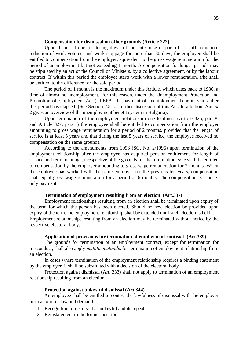### **Compensation for dismissal on other grounds (Article 222)**

Upon dismissal due to closing down of the enterprise or part of it; staff reduction; reduction of work volume; and work stoppage for more than 30 days, the employee shall be entitled to compensation from the employer, equivalent to the gross wage remuneration for the period of unemployment but not exceeding 1 month. A compensation for longer periods may be stipulated by an act of the Council of Ministers, by a collective agreement, or by the labour contract. If within this period the employee starts work with a lower remuneration, s/he shall be entitled to the difference for the said period.

The period of 1 month is the maximum under this Article, which dates back to 1980, a time of almost no unemployment. For this reason, under the Unemployment Protection and Promotion of Employment Act (UPEPA) the payment of unemployment benefits starts after this period has elapsed. (See Section 2.8 for further discussion of this Act. In addition, Annex 2 gives an overview of the unemployment benefit system in Bulgaria).

Upon termination of the employment relationship due to illness (Article 325, para.8, and Article 327, para.1) the employee shall be entitled to compensation from the employer amounting to gross wage remuneration for a period of 2 months, provided that the length of service is at least 5 years and that during the last 5 years of service, the employee received no compensation on the same grounds.

According to the amendments from 1996 (SG, No. 2/1996) upon termination of the employment relationship after the employee has acquired pension entitlement for length of service and retirement age, irrespective of the grounds for the termination, s/he shall be entitled to compensation by the employer amounting to gross wage remuneration for 2 months. When the employee has worked with the same employer for the previous ten years, compensation shall equal gross wage remuneration for a period of 6 months. The compensation is a onceonly payment.

### **Termination of employment resulting from an election (Art.337)**

Employment relationships resulting from an election shall be terminated upon expiry of the term for which the person has been elected. Should no new election be provided upon expiry of the term, the employment relationship shall be extended until such election is held. Employment relationships resulting from an election may be terminated without notice by the respective electoral body.

#### **Application of provisions for termination of employment contract (Art.339)**

The grounds for termination of an employment contract, except for termination for misconduct, shall also apply *mutatis mutandis* for termination of employment relationship from an election.

In cases where termination of the employment relationship requires a binding statement by the employer, it shall be substituted with a decision of the electoral body.

Protection against dismissal (Art. 333) shall not apply to termination of an employment relationship resulting from an election.

#### **Protection against unlawful dismissal (Art.344)**

An employee shall be entitled to contest the lawfulness of dismissal with the employer or in a court of law and demand:

- 1. Recognition of dismissal as unlawful and its repeal;
- 2. Reinstatement to the former position;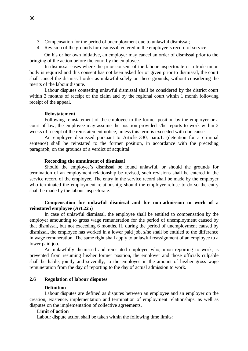- 3. Compensation for the period of unemployment due to unlawful dismissal;
- 4. Revision of the grounds for dismissal, entered in the employee's record of service.

On his or her own initiative, an employer may cancel an order of dismissal prior to the bringing of the action before the court by the employee.

In dismissal cases where the prior consent of the labour inspectorate or a trade union body is required and this consent has not been asked for or given prior to dismissal, the court shall cancel the dismissal order as unlawful solely on these grounds, without considering the merits of the labour dispute.

Labour disputes contesting unlawful dismissal shall be considered by the district court within 3 months of receipt of the claim and by the regional court within 1 month following receipt of the appeal.

### **Reinstatement**

Following reinstatement of the employee to the former position by the employer or a court of law, the employee may assume the position provided s/he reports to work within 2 weeks of receipt of the reinstatement notice, unless this term is exceeded with due cause.

An employee dismissed pursuant to Article 330, para.1. (detention for a criminal sentence) shall be reinstated to the former position, in accordance with the preceding paragraph, on the grounds of a verdict of acquittal.

#### **Recording the annulment of dismissal**

Should the employee's dismissal be found unlawful, or should the grounds for termination of an employment relationship be revised, such revisions shall be entered in the service record of the employee. The entry in the service record shall be made by the employer who terminated the employment relationship; should the employer refuse to do so the entry shall be made by the labour inspectorate.

### **Compensation for unlawful dismissal and for non-admission to work of a reinstated employee (Art.225)**

In case of unlawful dismissal, the employee shall be entitled to compensation by the employer amounting to gross wage remuneration for the period of unemployment caused by that dismissal, but not exceeding 6 months. If, during the period of unemployment caused by dismissal, the employee has worked in a lower paid job, s/he shall be entitled to the difference in wage remuneration. The same right shall apply to unlawful reassignment of an employee to a lower paid job.

An unlawfully dismissed and reinstated employee who, upon reporting to work, is prevented from resuming his/her former position, the employer and those officials culpable shall be liable, jointly and severally, to the employee in the amount of his/her gross wage remuneration from the day of reporting to the day of actual admission to work.

### **2.6 Regulation of labour disputes**

#### **Definition**

Labour disputes are defined as disputes between an employee and an employer on the creation, existence, implementation and termination of employment relationships, as well as disputes on the implementation of collective agreements.

### **Limit of action**

Labour dispute action shall be taken within the following time limits: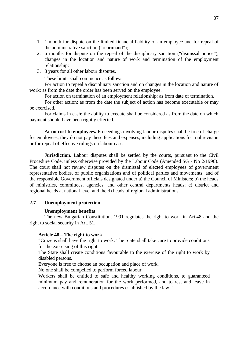- 1. 1 month for dispute on the limited financial liability of an employee and for repeal of the administrative sanction ("reprimand");
- 2. 6 months for dispute on the repeal of the disciplinary sanction ("dismissal notice"), changes in the location and nature of work and termination of the employment relationship;
- 3. 3 years for all other labour disputes.

These limits shall commence as follows:

For action to repeal a disciplinary sanction and on changes in the location and nature of work: as from the date the order has been served on the employee.

For action on termination of an employment relationship: as from date of termination.

For other action: as from the date the subject of action has become executable or may be exercised.

For claims in cash: the ability to execute shall be considered as from the date on which payment should have been rightly effected.

**At no cost to employees.** Proceedings involving labour disputes shall be free of charge for employees; they do not pay these fees and expenses, including applications for trial revision or for repeal of effective rulings on labour cases.

**Jurisdiction.** Labour disputes shall be settled by the courts, pursuant to the Civil Procedure Code, unless otherwise provided by the Labour Code (Amended SG - No 2/1996). The court shall not review disputes on the dismissal of elected employees of government representative bodies, of public organizations and of political parties and movements; and of the responsible Government officials designated under a) the Council of Ministers; b) the heads of ministries, committees, agencies, and other central departments heads; c) district and regional heads at national level and the d) heads of regional administrations.

### **2.7 Unemployment protection**

### **Unemployment benefits**

The new Bulgarian Constitution, 1991 regulates the right to work in Art.48 and the right to social security in Art. 51.

### **Article 48 – The right to work**

"Citizens shall have the right to work. The State shall take care to provide conditions for the exercising of this right.

The State shall create conditions favourable to the exercise of the right to work by disabled persons.

Everyone is free to choose an occupation and place of work.

No one shall be compelled to perform forced labour.

Workers shall be entitled to safe and healthy working conditions, to guaranteed minimum pay and remuneration for the work performed, and to rest and leave in accordance with conditions and procedures established by the law."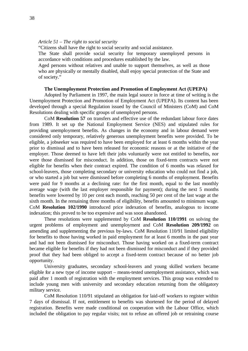### *Article 51 – The right to social security*

"Citizens shall have the right to social security and social assistance.

The State shall provide social security for temporary unemployed persons in accordance with conditions and procedures established by the law.

Aged persons without relatives and unable to support themselves, as well as those who are physically or mentally disabled, shall enjoy special protection of the State and of society."

#### **The Unemployment Protection and Promotion of Employment Act (UPEPA)**

Adopted by Parliament in 1997, the main legal source in force at time of writing is the Unemployment Protection and Promotion of Employment Act (UPEPA). Its content has been developed through a special Regulation issued by the Council of Ministers (CoM) and CoM Resolutions dealing with specific groups of unemployed persons.

CoM **Resolution 57** on transfers and effective use of the redundant labour force dates from 1989. It set up the National Employment Service (NES) and stipulated rules for providing unemployment benefits. As changes in the economy and in labour demand were considered only temporary, relatively generous unemployment benefits were provided. To be eligible, a jobseeker was required to have been employed for at least 6 months within the year prior to dismissal and to have been released for economic reasons or at the initiative of the employer. Those deemed to have left their jobs voluntarily were not entitled to benefits, nor were those dismissed for misconduct. In addition, those on fixed-term contracts were not eligible for benefits when their contract expired. The condition of 6 months was relaxed for school-leavers, those completing secondary or university education who could not find a job, or who started a job but were dismissed before completing 6 months of employment. Benefits were paid for 9 months at a declining rate: for the first month, equal to the last monthly average wage (with the last employer responsible for payment); during the next 5 months benefits were lowered by 10 per cent each month, reaching 50 per cent of the last wage at the sixth month. In the remaining three months of eligibility, benefits amounted to minimum wage. CoM **Resolution 102/1990** introduced price indexation of benefits, analogous to income indexation; this proved to be too expensive and was soon abandoned.

These resolutions were supplemented by CoM **Resolution 110/1991** on solving the urgent problems of employment and unemployment and CoM **Resolution 209/1992** on amending and supplementing the previous by-laws. CoM Resolution 110/91 limited eligibility for benefits to those having worked in paid employment for at least 6 months in the past year and had not been dismissed for misconduct. Those having worked on a fixed-term contract became eligible for benefits if they had not been dismissed for misconduct and if they provided proof that they had been obliged to accept a fixed-term contract because of no better job opportunity.

University graduates, secondary school-leavers and young skilled workers became eligible for a new type of income support – means-tested unemployment assistance, which was paid after 1 month of registration with the employment services. This group was extended to include young men with university and secondary education returning from the obligatory military service.

CoM Resolution 110/91 stipulated an obligation for laid-off workers to register within 7 days of dismissal. If not, entitlement to benefits was shortened for the period of delayed registration. Benefits were made conditional on cooperation with the Labour Office, which included the obligation to pay regular visits; not to refuse an offered job or retraining course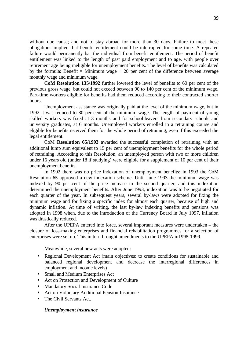without due cause; and not to stay abroad for more than 30 days. Failure to meet these obligations implied that benefit entitlement could be interrupted for some time. A repeated failure would permanently bar the individual from benefit entitlement. The period of benefit entitlement was linked to the length of past paid employment and to age, with people over retirement age being ineligible for unemployment benefits. The level of benefits was calculated by the formula: Benefit = Minimum wage  $+20$  per cent of the difference between average monthly wage and minimum wage.

**CoM Resolution 135/1992** further lowered the level of benefits to 60 per cent of the previous gross wage, but could not exceed between 90 to 140 per cent of the minimum wage. Part-time workers eligible for benefits had them reduced according to their contracted shorter hours.

Unemployment assistance was originally paid at the level of the minimum wage, but in 1992 it was reduced to 80 per cent of the minimum wage. The length of payment of young skilled workers was fixed at 3 months and for school-leavers from secondary schools and university graduates, at 6 months. Unemployed workers enrolled in a retraining course and eligible for benefits received them for the whole period of retraining, even if this exceeded the legal entitlement.

CoM **Resolution 65/1993** awarded the successful completion of retraining with an additional lump sum equivalent to 15 per cent of unemployment benefits for the whole period of retraining. According to this Resolution, an unemployed person with two or more children under 16 years old (under 18 if studying) were eligible for a supplement of 10 per cent of their unemployment benefits.

In 1992 there was no price indexation of unemployment benefits; in 1993 the CoM Resolution 65 approved a new indexation scheme. Until June 1993 the minimum wage was indexed by 90 per cent of the price increase in the second quarter, and this indexation determined the unemployment benefits. After June 1993, indexation was to be negotiated for each quarter of the year. In subsequent years, several by-laws were adopted for fixing the minimum wage and for fixing a specific index for almost each quarter, because of high and dynamic inflation. At time of writing, the last by-law indexing benefits and pensions was adopted in 1998 when, due to the introduction of the Currency Board in July 1997, inflation was drastically reduced.

After the UPEPA entered into force, several important measures were undertaken – the closure of loss-making enterprises and financial rehabilitation programmes for a selection of enterprises were set up. This in turn brought amendments to the UPEPA in1998-1999.

Meanwhile, several new acts were adopted:

- Regional Development Act (main objectives: to create conditions for sustainable and balanced regional development and decrease the interregional differences in employment and income levels)
- Small and Medium Enterprises Act
- Act on Protection and Development of Culture
- Mandatory Social Insurance Code
- Act on Voluntary Additional Pension Insurance
- The Civil Servants Act.

### *Unemployment insurance*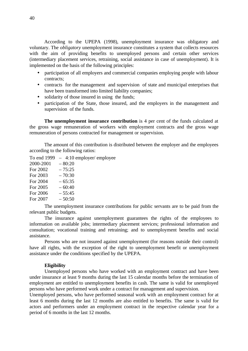According to the UPEPA (1998), unemployment insurance was obligatory and voluntary. The *obligatory* unemployment insurance constitutes a system that collects resources with the aim of providing benefits to unemployed persons and certain other services (intermediary placement services, retraining, social assistance in case of unemployment). It is implemented on the basis of the following principles:

- participation of all employers and commercial companies employing people with labour contracts;
- contracts for the management and supervision of state and municipal enterprises that have been transformed into limited liability companies;
- solidarity of those insured in using the funds;
- participation of the State, those insured, and the employers in the management and supervision of the funds.

**The unemployment insurance contribution** is 4 per cent of the funds calculated at the gross wage remuneration of workers with employment contracts and the gross wage remuneration of persons contracted for management or supervision.

The amount of this contribution is distributed between the employer and the employees according to the following ratios:

To end 1999 – 4:10 employer/ employee

| 2000-2001 | $-80:20$ |
|-----------|----------|
| For 2002  | $-75:25$ |
| For 2003  | $-70:30$ |
| For 2004  | $-65:35$ |
| For 2005  | $-60:40$ |
| For 2006  | $-55:45$ |
| For 2007  | $-50:50$ |
|           |          |

The unemployment insurance contributions for public servants are to be paid from the relevant public budgets.

The insurance against unemployment guarantees the rights of the employees to information on available jobs; intermediary placement services; professional information and consultation; vocational training and retraining; and to unemployment benefits and social assistance.

Persons who are not insured against unemployment (for reasons outside their control) have all rights, with the exception of the right to unemployment benefit or unemployment assistance under the conditions specified by the UPEPA.

### **Eligibility**

Unemployed persons who have worked with an employment contract and have been under insurance at least 9 months during the last 15 calendar months before the termination of employment are entitled to unemployment benefits in cash. The same is valid for unemployed persons who have performed work under a contract for management and supervision.

Unemployed persons, who have performed seasonal work with an employment contract for at least 6 months during the last 12 months are also entitled to benefits. The same is valid for actors and performers under an employment contract in the respective calendar year for a period of 6 months in the last 12 months.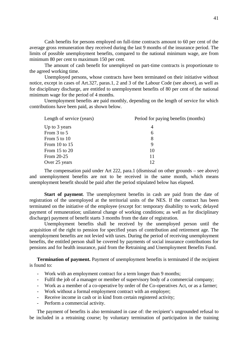Cash benefits for persons employed on full-time contracts amount to 60 per cent of the average gross remuneration they received during the last 9 months of the insurance period. The limits of possible unemployment benefits, compared to the national minimum wage, are from minimum 80 per cent to maximum 150 per cent.

The amount of cash benefit for unemployed on part-time contracts is proportionate to the agreed working time.

Unemployed persons, whose contracts have been terminated on their initiative without notice, except in cases of Art.327, paras.1, 2 and 3 of the Labour Code (see above), as well as for disciplinary discharge, are entitled to unemployment benefits of 80 per cent of the national minimum wage for the period of 4 months.

Unemployment benefits are paid monthly, depending on the length of service for which contributions have been paid, as shown below.

| Length of service (years) | Period for paying benefits (months) |
|---------------------------|-------------------------------------|
| Up to 3 years             | 4                                   |
| From 3 to 5               | 6                                   |
| From 5 to 10              | 8                                   |
| From 10 to 15             | 9                                   |
| From 15 to 20             | 10                                  |
| From 20-25                | 11                                  |
| Over 25 years             | 12                                  |

The compensation paid under Art 222, para.1 (dismissal on other grounds – see above) and unemployment benefits are not to be received in the same month, which means unemployment benefit should be paid after the period stipulated below has elapsed.

**Start of payment**. The unemployment benefits in cash are paid from the date of registration of the unemployed at the territorial units of the NES. If the contract has been terminated on the initiative of the employee (except for: temporary disability to work; delayed payment of remuneration; unilateral change of working conditions; as well as for disciplinary discharge) payment of benefit starts 3 months from the date of registration.

Unemployment benefits shall be received by the unemployed person until the acquisition of the right to pension for specified years of contribution and retirement age. The unemployment benefits are not levied with taxes. During the period of receiving unemployment benefits, the entitled person shall be covered by payments of social insurance contributions for pensions and for health insurance, paid from the Retraining and Unemployment Benefits Fund.

**Termination of payment.** Payment of unemployment benefits is terminated if the recipient is found to:

- Work with an employment contract for a term longer than 9 months;
- Fulfil the job of a manager or member of supervisory body of a commercial company;
- Work as a member of a co-operative by order of the Co-operatives Act, or as a farmer;
- Work without a formal employment contract with an employer;
- Receive income in cash or in kind from certain registered activity;
- Perform a commercial activity.

The payment of benefits is also terminated in case of: the recipient's ungrounded refusal to be included in a retraining course; by voluntary termination of participation in the training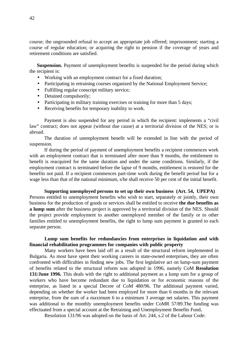course; the ungrounded refusal to accept an appropriate job offered; imprisonment; starting a course of regular education; or acquiring the right to pension if the coverage of years and retirement conditions are satisfied.

**Suspension.** Payment of unemployment benefits is suspended for the period during which the recipient is:

- Working with an employment contract for a fixed duration;
- Participating in retraining courses organized by the National Employment Service;
- Fulfilling regular conscript military service;
- Detained compulsorily;
- Participating in military training exercises or training for more than 5 days;
- Receiving benefits for temporary inability to work.

Payment is also suspended for any period in which the recipient: implements a "civil law" contract; does not appear (without due cause) at a territorial division of the NES; or is abroad.

The duration of unemployment benefit will be extended in line with the period of suspension.

If during the period of payment of unemployment benefits a recipient commences work with an employment contract that is terminated after more than 9 months, the entitlement to benefit is reacquired for the same duration and under the same conditions. Similarly, if the employment contract is terminated before the lapse of 9 months, entitlement is restored for the benefits not paid. If a recipient commences part-time work during the benefit period but for a wage less than that of the national minimum, s/he shall receive 50 per cent of the initial benefit.

#### **Supporting unemployed persons to set up their own business (Art. 54, UPEPA)**

Persons entitled to unemployment benefits who wish to start, separately or jointly, their own business for the production of goods or services shall be entitled to receive **the due benefits as a lump sum** after the business project is approved by a territorial division of the NES. Should the project provide employment to another unemployed member of the family or to other families entitled to unemployment benefits, the right to lump sum payment is granted to each separate person.

### **Lump sum benefits for redundancies from enterprises in liquidation and with financial rehabilitation programmes for companies with public property**

Many workers have been laid off as a result of the structural reform implemented in Bulgaria. As most have spent their working careers in state-owned enterprises, they are often confronted with difficulties in finding new jobs. The first legislative act on lump-sum payment of benefits related to the structural reform was adopted in 1996, namely CoM **Resolution 131/June 1996.** This deals with the right to additional payment as a lump sum for a group of workers who have become redundant due to liquidation or for economic reasons of the enterprise, as listed in a special Decree of CoM 480/96. The additional payment varied, depending on whether the worker had been employed for more than 6 months in the relevant enterprise, from the sum of a maximum 6 to a minimum 3 average net salaries. This payment was additional to the monthly unemployment benefits under CoMR 57/89.The funding was effectuated from a special account at the Retraining and Unemployment Benefits Fund**.**

Resolution 131/96 was adopted on the basis of Art. 244, s.2 of the Labour Code: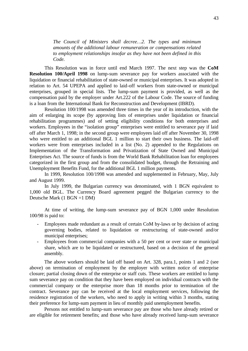*The Council of Ministers shall decree…2. The types and minimum amounts of the additional labour remuneration or compensations related to employment relationships insofar as they have not been defined in this Code.*

This Resolution was in force until end March 1997. The next step was the **CoM Resolution 100/April 1998** on lump-sum severance pay for workers associated with the liquidation or financial rehabilitation of state-owned or municipal enterprises. It was adopted in relation to Art. 54 UPEPA and applied to laid-off workers from state-owned or municipal enterprises, grouped in special lists. The lump-sum payment is provided, as well as the compensation paid by the employer under Art.222 of the Labour Code. The source of funding is a loan from the International Bank for Reconstruction and Development (IBRD).

Resolution 100/1998 was amended three times in the year of its introduction, with the aim of enlarging its scope (by approving lists of enterprises under liquidation or financial rehabilitation programmes) and of setting eligibility conditions for both enterprises and workers. Employees in the "isolation group" enterprises were entitled to severance pay if laid off after March 1, 1998; in the second group were employees laid off after November 30, 1998 who were entitled to an additional BGL 1 million to start their own business. The laid-off workers were from enterprises included in a list (No. 2) appended to the Regulations on Implementation of the Transformation and Privatization of State Owned and Municipal Enterprises Act. The source of funds is from the World Bank Rehabilitation loan for employees categorized in the first group and from the consolidated budget, through the Retraining and Unemployment Benefits Fund, for the additional BGL 1 million payments.

In 1999, Resolution 100/1998 was amended and supplemented in February, May, July and August 1999.

In July 1999, the Bulgarian currency was denominated, with 1 BGN equivalent to 1,000 old BGL. The Currency Board agreement pegged the Bulgarian currency to the Deutsche Mark (1 BGN =1 DM)

At time of writing, the lump-sum severance pay of BGN 1,000 under Resolution 100/98 is paid to:

- Employees made redundant as a result of certain CoM by-laws or by decision of acting governing bodies, related to liquidation or restructuring of state-owned and/or municipal enterprises;
- Employees from commercial companies with a 50 per cent or over state or municipal share, which are to be liquidated or restructured, based on a decision of the general assembly.

The above workers should be laid off based on Art. 328, para.1, points 1 and 2 (see above) on termination of employment by the employer with written notice of enterprise closure; partial closing down of the enterprise or staff cuts. These workers are entitled to lump sum severance pay on condition that they have been employed on individual contracts with the commercial company or the enterprise more than 18 months prior to termination of the contract. Severance pay can be received at the local employment services, following the residence registration of the workers, who need to apply in writing within 3 months, stating their preference for lump-sum payment in lieu of monthly paid unemployment benefits.

Persons not entitled to lump-sum severance pay are those who have already retired or are eligible for retirement benefits; and those who have already received lump-sum severance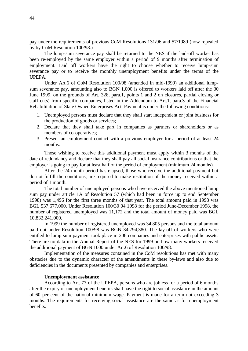pay under the requirements of previous CoM Resolutions 131/96 and 57/1989 (now repealed by by CoM Resolution 100/98.)

The lump-sum severance pay shall be returned to the NES if the laid-off worker has been re-employed by the same employer within a period of 9 months after termination of employment. Laid off workers have the right to choose whether to receive lump-sum severance pay or to receive the monthly unemployment benefits under the terms of the UPEPA.

Under Art.6 of CoM Resolution 100/98 (amended in mid-1999) an additional lumpsum severance pay, amounting also to BGN 1,000 is offered to workers laid off after the 30 June 1999, on the grounds of Art. 328, para.1, points 1 and 2 on closures, partial closing or staff cuts) from specific companies, listed in the Addendum to Art.1, para.3 of the Financial Rehabilitation of State Owned Enterprises Act. Payment is under the following conditions:

- 1. Unemployed persons must declare that they shall start independent or joint business for the production of goods or services;
- 2. Declare that they shall take part in companies as partners or shareholders or as members of co-operatives;
- 3. Present an employment contact with a previous employer for a period of at least 24 months.

Those wishing to receive this additional payment must apply within 3 months of the date of redundancy and declare that they shall pay all social insurance contributions or that the employer is going to pay for at least half of the period of employment (minimum 24 months).

After the 24-month period has elapsed, those who receive the additional payment but do not fulfill the conditions, are required to make restitution of the money received within a period of 1 month.

The total number of unemployed persons who have received the above mentioned lump sum pay under article 1A of Resolution 57 (which had been in force up to end September 1998) was 1,496 for the first three months of that year. The total amount paid in 1998 was BGL 537,677,000. Under Resolution 100/30 04 1998 for the period June-December 1998, the number of registered unemployed was 11,172 and the total amount of money paid was BGL 10,832,241,000.

In 1999 the number of registered unemployed was 34,805 persons and the total amount paid out under Resolution 100/98 was BGN 34,794,380. The lay-off of workers who were entitled to lump sum payment took place in 206 companies and enterprises with public assets. There are no data in the Annual Report of the NES for 1999 on how many workers received the additional payment of BGN 1000 under Art.6 of Resolution 100/98.

Implementation of the measures contained in the CoM resolutions has met with many obstacles due to the dynamic character of the amendments in these by-laws and also due to deficiencies in the documents presented by companies and enterprises.

#### **Unemployment assistance**

According to Art. 77 of the UPEPA, persons who are jobless for a period of 6 months after the expiry of unemployment benefits shall have the right to social assistance in the amount of 60 per cent of the national minimum wage. Payment is made for a term not exceeding 3 months. The requirements for receiving social assistance are the same as for unemployment benefits.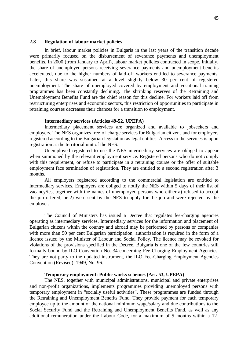### **2.8 Regulation of labour market policies**

In brief, labour market policies in Bulgaria in the last years of the transition decade were primarily focused on the disbursement of severance payments and unemployment benefits. In 2000 (from January to April), labour market policies contracted in scope. Initially, the share of unemployed persons receiving severance payments and unemployment benefits accelerated, due to the higher numbers of laid-off workers entitled to severance payments. Later, this share was sustained at a level slightly below 30 per cent of registered unemployment. The share of unemployed covered by employment and vocational training programmes has been constantly declining. The shrinking reserves of the Retraining and Unemployment Benefits Fund are the chief reason for this decline. For workers laid off from restructuring enterprises and economic sectors, this restriction of opportunities to participate in retraining courses decreases their chances for a transition to employment.

### **Intermediary services (Articles 49-52, UPEPA)**

Intermediary placement services are organized and available to jobseekers and employers. The NES organizes free-of-charge services for Bulgarian citizens and for employers registered according to the Bulgarian legislation as legal entities. Access to the services is upon registration at the territorial unit of the NES.

Unemployed registered to use the NES intermediary services are obliged to appear when summoned by the relevant employment service. Registered persons who do not comply with this requirement, or refuse to participate in a retraining course or the offer of suitable employment face termination of registration. They are entitled to a second registration after 3 months.

All employers registered according to the commercial legislation are entitled to intermediary services. Employers are obliged to notify the NES within 5 days of their list of vacancy/ies, together with the names of unemployed persons who either a) refused to accept the job offered, or 2) were sent by the NES to apply for the job and were rejected by the employer.

The Council of Ministers has issued a Decree that regulates fee-charging agencies operating as intermediary services. Intermediary services for the information and placement of Bulgarian citizens within the country and abroad may be performed by persons or companies with more than 50 per cent Bulgarian participation; authorization is required in the form of a licence issued by the Minister of Labour and Social Policy. The licence may be revoked for violations of the provisions specified in the Decree. Bulgaria is one of the few countries still formally bound by ILO Convention No. 34 concerning Fee Charging Employment Agencies. They are not party to the updated instrument, the ILO Fee-Charging Employment Agencies Convention (Revised), 1949, No. 96.

#### **Temporary employment: Public works schemes (Art. 53, UPEPA)**

The NES, together with municipal administrations, municipal and private enterprises and non-profit organizations, implements programmes providing unemployed persons with temporary employment in "socially useful activities". These programmes are funded through the Retraining and Unemployment Benefits Fund. They provide payment for each temporary employee up to the amount of the national minimum wage/salary and due contributions to the Social Security Fund and the Retraining and Unemployment Benefits Fund, as well as any additional remuneration under the Labour Code, for a maximum of 5 months within a 12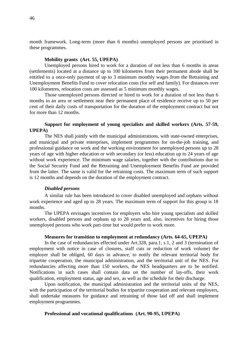month framework. Long-term (more than 6 months) unemployed persons are prioritised in these programmes.

#### **Mobility grants (Art. 55, UPEPA)**

Unemployed persons hired to work for a duration of not less than 6 months in areas (settlements) located at a distance up to 100 kilometres from their permanent abode shall be entitled to a once-only payment of up to 3 minimum monthly wages from the Retraining and Unemployment Benefits Fund to cover relocation costs (for self and family). For distances over 100 kilometres, relocation costs are assessed as 5 minimum monthly wages.

Those unemployed persons directed or hired to work for a duration of not less than 6 months in an area or settlement near their permanent place of residence receive up to 50 per cent of their daily costs of transportation for the duration of the employment contract but not for more than 12 months.

## **Support for employment of young specialists and skilled workers (Arts. 57-59, UPEPA)**

The NES shall jointly with the municipal administrations, with state-owned enterprises, and municipal and private enterprises, implement programmes for on-the-job training, and professional guidance on work and the working environment for unemployed persons up to 28 years of age with higher education or with secondary (or less) education up to 24 years of age without work experience. The minimum wage salaries, together with the contributions due to the Social Security Fund and the Retraining and Unemployment Benefits Fund are provided from the latter. The same is valid for the retraining costs. The maximum term of such support is 12 months and depends on the duration of the employment contract.

#### *Disabled persons*

A similar rule has been introduced to cover disabled unemployed and orphans without work experience and aged up to 28 years. The maximum term of support for this group is 18 months.

The UPEPA envisages incentives for employers who hire young specialists and skilled workers, disabled persons and orphans up to 28 years and, also, incentives for hiring those unemployed persons who work part-time but would prefer to work more.

### **Measures for transition to employment at redundancy (Arts. 64-65, UPEPA)**

In the case of redundancies effected under Art.328, para.1, s.1, 2 and 3 (termination of employment with notice in case of closures, staff cuts or reduction of work volume) the employer shall be obliged, 60 days in advance, to notify the relevant territorial body for tripartite cooperation, the municipal administration, and the territorial unit of the NES. For redundancies affecting more than 150 workers, the NES headquarters are to be notified. Notifications in such cases shall contain data on the number of lay-offs, their work qualification, employment status, age and sex, as well as the schedule for their discharge.

Upon notification, the municipal administration and the territorial units of the NES, with the participation of the territorial bodies for tripartite cooperation and relevant employers, shall undertake measures for guidance and retraining of those laid off and shall implement employment programmes.

### **Professional and vocational qualifications (Art. 90-95, UPEPA)**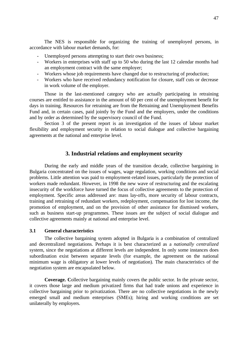The NES is responsible for organizing the training of unemployed persons, in accordance with labour market demands, for:

- Unemployed persons attempting to start their own business;
- Workers in enterprises with staff up to 50 who during the last 12 calendar months had an employment contract with the same employer;
- Workers whose job requirements have changed due to restructuring of production;
- Workers who have received redundancy notification for closure, staff cuts or decrease in work volume of the employer.

Those in the last-mentioned category who are actually participating in retraining courses are entitled to assistance in the amount of 60 per cent of the unemployment benefit for days in training. Resources for retraining are from the Retraining and Unemployment Benefits Fund and, in certain cases, paid jointly by the Fund and the employers, under the conditions and by order as determined by the supervisory council of the Fund.

Section 3 of the present report is an investigation of the issues of labour market flexibility and employment security in relation to social dialogue and collective bargaining agreements at the national and enterprise level.

### **3. Industrial relations and employment security**

During the early and middle years of the transition decade, collective bargaining in Bulgaria concentrated on the issues of wages, wage regulation, working conditions and social problems. Little attention was paid to employment-related issues, particularly the protection of workers made redundant. However, in 1998 the new wave of restructuring and the escalating insecurity of the workforce have turned the focus of collective agreements to the protection of employment. Specific areas addressed are: mass lay-offs, more security of labour contracts, training and retraining of redundant workers, redeployment, compensation for lost income, the promotion of employment, and on the provision of other assistance for dismissed workers, such as business start-up programmes. These issues are the subject of social dialogue and collective agreements mainly at national and enterprise level.

### **3.1 General characteristics**

The collective bargaining system adopted in Bulgaria is a combination of centralized and decentralized negotiations. Perhaps it is best characterized as a *nationally centralized* system, since the negotiations at different levels are independent. In only some instances does subordination exist between separate levels (for example, the agreement on the national minimum wage is obligatory at lower levels of negotiation). The main characteristics of the negotiation system are encapsulated below.

**Coverage. C**ollective bargaining mainly covers the public sector. In the private sector, it covers those large and medium privatized firms that had trade unions and experience in collective bargaining prior to privatization. There are no collective negotiations in the newly emerged small and medium enterprises (SMEs); hiring and working conditions are set unilaterally by employers.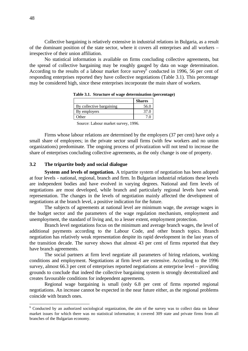Collective bargaining is relatively extensive in industrial relations in Bulgaria, as a result of the dominant position of the state sector, where it covers all enterprises and all workers – irrespective of their union affiliation.

No statistical information is available on firms concluding collective agreements, but the spread of collective bargaining may be roughly gauged by data on wage determination. According to the results of a labour market force survey $6$  conducted in 1996, 56 per cent of responding enterprises reported they have collective negotiations (Table 3.1). This percentage may be considered high, since these enterprises incorporate the main share of workers.

|                          | <b>Shares</b> |
|--------------------------|---------------|
| By collective bargaining | 56.0          |
| By employers             | -37 U         |
| Other                    |               |

| Table 3.1. Structure of wage determination (percentage) |  |  |  |  |  |
|---------------------------------------------------------|--|--|--|--|--|
|---------------------------------------------------------|--|--|--|--|--|

Source: Labour market survey, 1996.

Firms whose labour relations are determined by the employers (37 per cent) have only a small share of employees; in the private sector small firms (with few workers and no union organizations) predominate. The ongoing process of privatization will not tend to increase the share of enterprises concluding collective agreements, as the only change is one of property.

### **3.2 The tripartite body and social dialogue**

**System and levels of negotiation.** A tripartite system of negotiation has been adopted at four levels - national, regional, branch and firm. In Bulgarian industrial relations these levels are independent bodies and have evolved in varying degrees. National and firm levels of negotiations are most developed, while branch and particularly regional levels have weak representation. The changes in the levels of negotiation mainly affected the development of negotiations at the branch level, a positive indication for the future.

The subjects of agreements at national level are minimum wage, the average wages in the budget sector and the parameters of the wage regulation mechanism, employment and unemployment, the standard of living and, to a lesser extent, employment protection.

Branch level negotiations focus on the minimum and average branch wages, the level of additional payments according to the Labour Code, and other branch topics. Branch negotiation has relatively weak representation despite its rapid development in the last years of the transition decade. The survey shows that almost 43 per cent of firms reported that they have branch agreements.

The social partners at firm level negotiate all parameters of hiring relations, working conditions and employment. Negotiations at firm level are extensive. According to the 1996 survey, almost 66.3 per cent of enterprises reported negotiations at enterprise level – providing grounds to conclude that indeed the collective bargaining system is strongly decentralized and creates favourable conditions for independent agreements.

Regional wage bargaining is small (only 6.8 per cent of firms reported regional negotiations. An increase cannot be expected in the near future either, as the regional problems coincide with branch ones.

l

<sup>&</sup>lt;sup>6</sup> Conducted by an authorized sociological organization, the aim of the survey was to collect data on labour market issues for which there was no statistical information; it covered 309 state and private firms from all branches of the Bulgarian economy.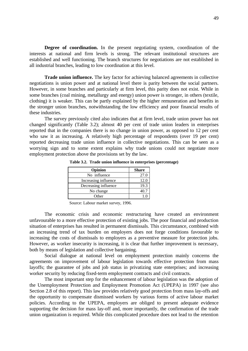**Degree of coordination.** In the present negotiating system, coordination of the interests at national and firm levels is strong. The relevant institutional structures are established and well functioning. The branch structures for negotiations are not established in all industrial branches, leading to low coordination at this level.

**Trade union influence.** The key factor for achieving balanced agreements in collective negotiations is union power and at national level there is parity between the social partners. However, in some branches and particularly at firm level, this parity does not exist. While in some branches (coal mining, metallurgy and energy) union power is stronger, in others (textile, clothing) it is weaker. This can be partly explained by the higher remuneration and benefits in the stronger union branches, notwithstanding the low efficiency and poor financial results of these industries.

The survey previously cited also indicates that at firm level, trade union power has not changed significantly (Table 3.2); almost 40 per cent of trade union leaders in enterprises reported that in the companies there is no change in union power, as opposed to 12 per cent who saw it as increasing. A relatively high percentage of respondents (over 19 per cent) reported decreasing trade union influence in collective negotiations. This can be seen as a worrying sign and to some extent explains why trade unions could not negotiate more employment protection above the provisions set by the law.

| Opinion              | <b>Share</b> |
|----------------------|--------------|
| No influence         | 27.0         |
| Increasing influence | 12.0         |
| Decreasing influence | 19.3         |
| No change            | 40.7         |
| Other                |              |

**Table 3.2. Trade union influence in enterprises (percentage)**

Source: Labour market survey, 1996.

The economic crisis and economic restructuring have created an environment unfavourable to a more effective protection of existing jobs. The poor financial and production situation of enterprises has resulted in permanent dismissals. This circumstance, combined with an increasing trend of tax burden on employers does not forge conditions favourable to increasing the costs of dismissals to employers as a preventive measure for protection jobs. However, as worker insecurity is increasing, it is clear that further improvement is necessary, both by means of legislation and collective bargaining.

Social dialogue at national level on employment protection mainly concerns the agreements on improvement of labour legislation towards effective protection from mass layoffs; the guarantee of jobs and job status in privatizing state enterprises; and increasing worker security by reducing fixed-term employment contracts and civil contracts.

The most important step for the enhancement of labour legislation was the adoption of the Unemployment Protection and Employment Promotion Act (UPEPA) in 1997 (see also Section 2.8 of this report). This law provides relatively good protection from mass lay-offs and the opportunity to compensate dismissed workers by various forms of active labour market policies. According to the UPEPA, employers are obliged to present adequate evidence supporting the decision for mass lay-off and, more importantly, the confirmation of the trade union organization is required. While this complicated procedure does not lead to the retention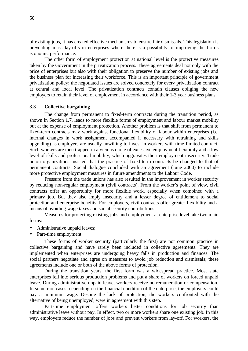of existing jobs, it has created effective mechanisms to ensure fair dismissals. This legislation is preventing mass lay-offs in enterprises where there is a possibility of improving the firm's economic performance.

The other form of employment protection at national level is the protective measures taken by the Government in the privatization process. These agreements deal not only with the price of enterprises but also with their obligation to preserve the number of existing jobs and the business plan for increasing their workforce. This is an important principle of government privatization policy: the negotiated issues are solved concretely for every privatization contract at central and local level. The privatization contracts contain clauses obliging the new employers to retain their level of employment in accordance with their 1-3 year business plans.

### **3.3 Collective bargaining**

The change from permanent to fixed-term contracts during the transition period, as shown in Section 1.7, leads to more flexible forms of employment and labour market mobility but at the expense of employment protection. Another problem is that shift from permanent to fixed-term contracts may work against functional flexibility of labour within enterprises (i.e. internal changes in work assignment accompanied if necessary with retraining and skills upgrading) as employers are usually unwilling to invest in workers with time-limited contract. Such workers are then trapped in a vicious circle of excessive employment flexibility and a low level of skills and professional mobility, which aggravates their employment insecurity. Trade union organizations insisted that the practice of fixed-term contracts be changed to that of permanent contracts. Social dialogue concluded with an agreement (June 2000) to include more protective employment measures in future amendments to the Labour Code.

Pressure from the trade unions has also resulted in the improvement in worker security by reducing non-regular employment (civil contracts). From the worker's point of view, civil contracts offer an opportunity for more flexible work, especially when combined with a primary job. But they also imply insecurity and a lesser degree of entitlement to social protection and enterprise benefits. For employers, civil contracts offer greater flexibility and a means of avoiding wage taxes and social security contributions.

Measures for protecting existing jobs and employment at enterprise level take two main forms:

- Administrative unpaid leaves;
- Part-time employment.

These forms of worker security (particularly the first) are not common practice in collective bargaining and have rarely been included in collective agreements. They are implemented when enterprises are undergoing heavy falls in production and finances. The social partners negotiate and agree on measures to avoid job reduction and dismissals; these agreements include one or both of the above forms of protection.

During the transition years, the first form was a widespread practice. Most state enterprises fell into serious production problems and put a share of workers on forced unpaid leave. During administrative unpaid leave, workers receive no remuneration or compensation. In some rare cases, depending on the financial condition of the enterprise, the employers could pay a minimum wage. Despite the lack of protection, the workers confronted with the alternative of being unemployed, were in agreement with this step.

Part-time employment offers workers better conditions for job security than administrative leave without pay. In effect, two or more workers share one existing job. In this way, employers reduce the number of jobs and prevent workers from lay-off. For workers, the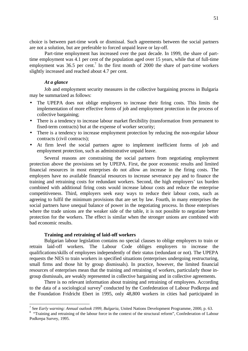choice is between part-time work or dismissal. Such agreements between the social partners are not a solution, but are preferable to forced unpaid leave or lay-off.

Part-time employment has increased over the past decade. In 1999, the share of parttime employment was 4.1 per cent of the population aged over 15 years, while that of full-time employment was 36.5 per cent.<sup>7</sup> In the first month of 2000 the share of part-time workers slightly increased and reached about 4.7 per cent.

### *At a glance*

l

Job and employment security measures in the collective bargaining process in Bulgaria may be summarized as follows:

- The UPEPA does not oblige employers to increase their firing costs. This limits the implementation of more effective forms of job and employment protection in the process of collective bargaining;
- There is a tendency to increase labour market flexibility (transformation from permanent to fixed-term contracts) but at the expense of worker security;
- There is a tendency to increase employment protection by reducing the non-regular labour contracts (civil contracts);
- At firm level the social partners agree to implement inefficient forms of job and employment protection, such as administrative unpaid leave.

Several reasons are constraining the social partners from negotiating employment protection above the provisions set by UPEPA. First, the poor economic results and limited financial resources in most enterprises do not allow an increase in the firing costs. The employers have no available financial resources to increase severance pay and to finance the training and retraining costs for redundant workers. Second, the high employers' tax burden combined with additional firing costs would increase labour costs and reduce the enterprise competitiveness. Third, employers seek easy ways to reduce their labour costs, such as agreeing to fulfil the minimum provisions that are set by law. Fourth, in many enterprises the social partners have unequal balance of power in the negotiating process. In those enterprises where the trade unions are the weaker side of the table, it is not possible to negotiate better protection for the workers. The effect is similar when the stronger unions are combined with bad economic results.

### **Training and retraining of laid-off workers**

Bulgarian labour legislation contains no special clauses to oblige employers to train or retrain laid-off workers. The Labour Code obliges employers to increase the qualifications/skills of employees independently of their status (redundant or not). The UPEPA requests the NES to train workers in specified situations (enterprises undergoing restructuring, small firms and those hit by group dismissals). In practice, however, the limited financial resources of enterprises mean that the training and retraining of workers, particularly those ingroup dismissals, are weakly represented in collective bargaining and in collective agreements.

There is no relevant information about training and retraining of employees. According to the data of a sociological survey<sup>8</sup> conducted by the Confederation of Labour Podkrepa and the Foundation Fridricht Ebert in 1995, only 48,800 workers in cities had participated in

<sup>7</sup> See *Early warning: Annual outlook 1999, Bulgaria*, United Nations Development Programme, 2000, p. 63.

<sup>&</sup>lt;sup>8</sup> "Training and retraining of the labour force in the context of the structural reform", Confederation of Labour Podkrepa Survey, 1995.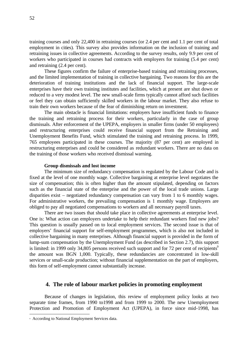training courses and only 22,400 in retraining courses (or 2.4 per cent and 1.1 per cent of total employment in cities). This survey also provides information on the inclusion of training and retraining issues in collective agreements. According to the survey results, only 9.9 per cent of workers who participated in courses had contracts with employers for training (5.4 per cent) and retraining (2.4 per cent).

These figures confirm the failure of enterprise-based training and retraining processes, and the limited implementation of training in collective bargaining. Two reasons for this are the deterioration of training institutions and the lack of financial support. The large-scale enterprises have their own training institutes and facilities, which at present are shut down or reduced to a very modest level. The new small-scale firms typically cannot afford such facilities or feel they can obtain sufficiently skilled workers in the labour market. They also refuse to train their own workers because of the fear of diminishing return on investment.

The main obstacle is financial limitations: employers have insufficient funds to finance the training and retraining process for their workers, particularly in the case of group dismissals. After enforcement of the UPEPA, employers in smaller firms (under 50 employees) and restructuring enterprises could receive financial support from the Retraining and Unemployment Benefits Fund, which stimulated the training and retraining process. In 1999, 765 employees participated in these courses. The majority (87 per cent) are employed in restructuring enterprises and could be considered as redundant workers. There are no data on the training of those workers who received dismissal warning.

#### **Group dismissals and lost income**

The minimum size of redundancy compensation is regulated by the Labour Code and is fixed at the level of one monthly wage. Collective bargaining at enterprise level negotiates the size of compensation; this is often higher than the amount stipulated, depending on factors such as the financial state of the enterprise and the power of the local trade unions. Large disparities exist – negotiated redundancy compensation can vary from 1 to 6 monthly wages. For administrative workers, the prevailing compensation is 1 monthly wage. Employers are obliged to pay all negotiated compensations to workers and all necessary payroll taxes.

There are two issues that should take place in collective agreements at enterprise level. One is: What action can employers undertake to help their redundant workers find new jobs? This question is usually passed on to local employment services. The second issue is that of employers' financial support for self-employment programmes, which is also not included in collective bargaining in many enterprises. Although financial support is provided in the form of lump-sum compensation by the Unemployment Fund (as described in Section 2.7), this support is limited: in 1999 only 34,805 persons received such support and for 72 per cent of recipients<sup>9</sup> the amount was BGN 1,000. Typically, these redundancies are concentrated in low-skill services or small-scale production; without financial supplementation on the part of employers, this form of self-employment cannot substantially increase.

### **4. The role of labour market policies in promoting employment**

Because of changes in legislation, this review of employment policy looks at two separate time frames, from 1990 to1998 and from 1999 to 2000. The new Unemployment Protection and Promotion of Employment Act (UPEPA), in force since mid-1998, has

l

<sup>9</sup> According to National Employment Services data.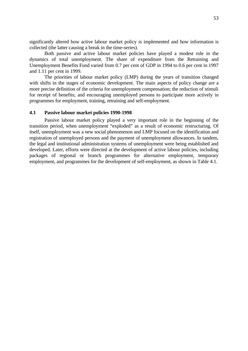significantly altered how active labour market policy is implemented and how information is collected (the latter causing a break in the time-series).

Both passive and active labour market policies have played a modest role in the dynamics of total unemployment. The share of expenditure from the Retraining and Unemployment Benefits Fund varied from 0.7 per cent of GDP in 1994 to 0.6 per cent in 1997 and 1.11 per cent in 1999.

The priorities of labour market policy (LMP) during the years of transition changed with shifts in the stages of economic development. The main aspects of policy change are a more precise definition of the criteria for unemployment compensation; the reduction of stimuli for receipt of benefits; and encouraging unemployed persons to participate more actively in programmes for employment, training, retraining and self-employment.

### **4.1 Passive labour market policies 1990-1998**

Passive labour market policy played a very important role in the beginning of the transition period, when unemployment "exploded" as a result of economic restructuring. Of itself, unemployment was a new social phenomenon and LMP focused on the identification and registration of unemployed persons and the payment of unemployment allowances. In tandem, the legal and institutional administration systems of unemployment were being established and developed. Later, efforts were directed at the development of active labour policies, including packages of regional or branch programmes for alternative employment, temporary employment, and programmes for the development of self-employment, as shown in Table 4.1.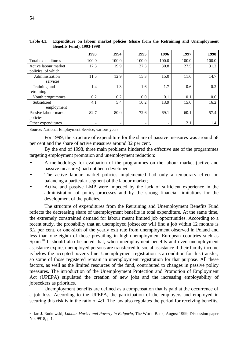|                       | 1993  | 1994                     | 1995                     | 1996  | 1997  | 1998  |
|-----------------------|-------|--------------------------|--------------------------|-------|-------|-------|
| Total expenditures    | 100.0 | 100.0                    | 100.0                    | 100.0 | 100.0 | 100.0 |
| Active labour market  | 17.3  | 19.9                     | 27.3                     | 30.8  | 27.5  | 31.2  |
| policies, of which:   |       |                          |                          |       |       |       |
| Administration        | 11.5  | 12.9                     | 15.3                     | 15.0  | 11.6  | 14.7  |
| services              |       |                          |                          |       |       |       |
| Training and          | 1.4   | 1.3                      | 1.6                      | 1.7   | 0.6   | 0.2   |
| retraining            |       |                          |                          |       |       |       |
| Youth programmes      | 0.2   | 0.2                      | 0.0                      | 0.1   | 0.1   | 0.6   |
| Subsidized            | 4.1   | 5.4                      | 10.2                     | 13.9  | 15.0  | 16.2  |
| employment            |       |                          |                          |       |       |       |
| Passive labour market | 82.7  | 80.0                     | 72.6                     | 69.1  | 60.1  | 57.4  |
| policies              |       |                          |                          |       |       |       |
| Other expenditures    |       | $\overline{\phantom{0}}$ | $\overline{\phantom{0}}$ | -     | 12.1  | 11.4  |

**Table 4.1. Expenditure on labour market policies (share from the Retraining and Unemployment Benefits Fund), 1993-1998** 

Source: National Employment Service, various years.

For 1999, the structure of expenditure for the share of passive measures was around 58 per cent and the share of active measures around 32 per cent.

By the end of 1998, three main problems hindered the effective use of the programmes targeting employment promotion and unemployment reduction:

- A methodology for evaluation of the programmes on the labour market (active and passive measures) had not been developed;
- The active labour market policies implemented had only a temporary effect on balancing a particular segment of the labour market;
- Active and passive LMP were impeded by the lack of sufficient experience in the administration of policy processes and by the strong financial limitations for the development of the policies.

The structure of expenditures from the Retraining and Unemployment Benefits Fund reflects the decreasing share of unemployment benefits in total expenditure. At the same time, the extremely constrained demand for labour meant limited job opportunities. According to a recent study, the probability that an unemployed jobseeker will find a job within 12 months is 6.2 per cent, or one-sixth of the yearly exit rate from unemployment observed in Poland and less than one-eighth of those prevailing in high-unemployment European countries such as Spain.<sup>10</sup> It should also be noted that, when unemployment benefits and even unemployment assistance expire, unemployed persons are transferred to social assistance if their family income is below the accepted poverty line. Unemployment registration is a condition for this transfer, so some of those registered remain in unemployment registration for that purpose. All these factors, as well as the limited resources of the fund, contributed to changes in passive policy measures. The introduction of the Unemployment Protection and Promotion of Employment Act (UPEPA) stipulated the creation of new jobs and the increasing employability of jobseekers as priorities.

Unemployment benefits are defined as a compensation that is paid at the occurrence of a job loss. According to the UPEPA, the participation of the employers and employed in securing this risk is in the ratio of 4:1. The law also regulates the period for receiving benefits,

l

<sup>10</sup> Jan J. Rutkowski, *Labour Market and Poverty in Bulgaria*, The World Bank, August 1999, Discussion paper No. 9918, p.1.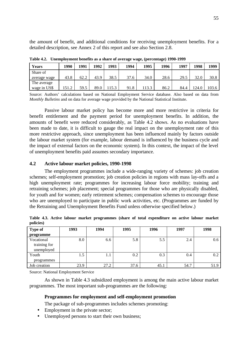the amount of benefit, and additional conditions for receiving unemployment benefits. For a detailed description, see Annex 2 of this report and see also Section 2.8.

| Years        | 1990  | 1991 | 1992 | 1993 | 1994 | 1995  | 1996 | 1997 | 1998  | 1999  |
|--------------|-------|------|------|------|------|-------|------|------|-------|-------|
| Share of     |       |      |      |      |      |       |      |      |       |       |
| average wage | 43.8  | 62.2 | 43.9 | 38.5 | 37.6 | 34.0  | 28.6 | 29.5 | 32.0  | 30.8  |
| The average  |       |      |      |      |      |       |      |      |       |       |
| wage in US\$ | 151.2 | 59.5 | 89.0 | 15.3 | 91.8 | 113.3 | 86.2 | 84.4 | 124.0 | 103.6 |

**Table 4.2. Unemployment benefits as a share of average wage, (percentage) 1990-1999**

Source: Authors' calculations based on National Employment Service database. Also based on data from *Monthly Bulletins* and on data for average wage provided by the National Statistical Institute.

Passive labour market policy has become more and more restrictive in criteria for benefit entitlement and the payment period for unemployment benefits. In addition, the amounts of benefit were reduced considerably, as Table 4.2 shows. As no evaluations have been made to date, it is difficult to gauge the real impact on the unemployment rate of this more restrictive approach, since unemployment has been influenced mainly by factors outside the labour market system (for example, labour demand is influenced by the business cycle and the impact of external factors on the economic system). In this context, the impact of the level of unemployment benefits paid assumes secondary importance.

### **4.2 Active labour market policies, 1990-1998**

The employment programmes include a wide-ranging variety of schemes: job creation schemes; self-employment promotion; job creation policies in regions with mass lay-offs and a high unemployment rate; programmes for increasing labour force mobility; training and retraining schemes; job placement; special programmes for those who are physically disabled, for youth and for women; early retirement schemes; compensation schemes to encourage those who are unemployed to participate in public work activities, etc. (Programmes are funded by the Retraining and Unemployment Benefits Fund unless otherwise specified below.)

**Table 4.3. Active labour market programmes (share of total expenditure on active labour market policies)**

| <b>Type of</b> | 1993 | 1994 | 1995 | 1996 | 1997 | 1998 |
|----------------|------|------|------|------|------|------|
| programme      |      |      |      |      |      |      |
| Vocational     | 8.0  | 6.6  | 5.8  | 5.5  | 2.4  | 0.6  |
| training for   |      |      |      |      |      |      |
| unemployed     |      |      |      |      |      |      |
| Youth          | 1.5  | 1.1  | 0.2  | 0.3  | 0.4  | 0.2  |
| programmes     |      |      |      |      |      |      |
| Job creation   | 23.9 | 27.2 | 37.6 | 45.1 | 54.7 | 51.9 |

Source: National Employment Service

As shown in Table 4.3 subsidized employment is among the main active labour market programmes. The most important sub-programmes are the following:

### **Programmes for employment and self-employment promotion**

The package of sub-programmes includes schemes promoting:

- Employment in the private sector;
- Unemployed persons to start their own business;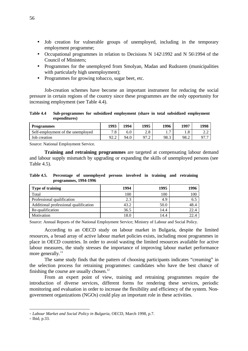- Job creation for vulnerable groups of unemployed, including in the temporary employment programme;
- Occupational programmes in relation to Decisions N 142\1992 and N 56\1994 of the Council of Ministers;
- Programmes for the unemployed from Smolyan, Madan and Rudozem (municipalities with particularly high unemployment);
- Programmes for growing tobacco, sugar beet, etc.

Job-creation schemes have become an important instrument for reducing the social pressure in certain regions of the country since these programmes are the only opportunity for increasing employment (see Table 4.4).

**Table 4.4 Sub-programmes for subsidized employment (share in total subsidized employment expenditures)**

| <b>Programmes</b>                 | 1993 | 1994 | 1995       | 1996 | 1997 | 1998       |
|-----------------------------------|------|------|------------|------|------|------------|
| Self-employment of the unemployed | 70   | 6.0  | າ ວ<br>۵.c |      | 1.0  | <u>. .</u> |
| Job creation                      | 92.2 | 94.0 | 072<br>ے . | 98.3 | 98.2 | 97.7       |

Source: National Employment Service.

**Training and retraining programmes** are targeted at compensating labour demand and labour supply mismatch by upgrading or expanding the skills of unemployed persons (see Table 4.5).

**Table 4.5. Percentage of unemployed persons involved in training and retraining programmes, 1994-1996**

| <b>Type of training</b>               | 1994 | 1995 | 1996 |
|---------------------------------------|------|------|------|
| Total                                 | 100  | 100  | 100  |
| Professional qualification            | 2.3  | 4.9  | 6.1  |
| Additional professional qualification | 43.2 | 50.0 | 48.4 |
| Re-qualification                      | 36.5 | 14.4 | 22.4 |
| Motivation                            | 18.0 | 14.4 | 22.4 |

Source: Annual Reports of the National Employment Service; Ministry of Labour and Social Policy.

According to an OECD study on labour market in Bulgaria, despite the limited resources, a broad array of active labour market policies exists, including most programmes in place in OECD countries. In order to avoid wasting the limited resources available for active labour measures, the study stresses the importance of improving labour market performance more generally. $^{11}$ 

The same study finds that the pattern of choosing participants indicates "creaming" in the selection process for retraining programmes: candidates who have the best chance of finishing the course are usually chosen. $12$ 

From an expert point of view, training and retraining programmes require the introduction of diverse services, different forms for rendering these services, periodic monitoring and evaluation in order to increase the flexibility and efficiency of the system. Nongovernment organizations (NGOs) could play an important role in these activities.

l

<sup>11</sup> *Labour Market and Social Policy in Bulgaria*, OECD, March 1998, p.7.

<sup>12</sup> Ibid, p.33.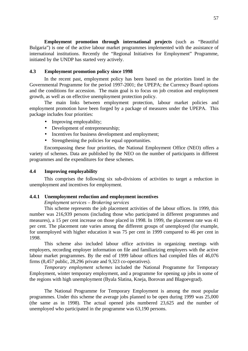**Employment promotion through international projects** (such as "Beautiful Bulgaria") is one of the active labour market programmes implemented with the assistance of international institutions. Recently the "Regional Initiatives for Employment" Programme, initiated by the UNDP has started very actively.

### **4.3 Employment promotion policy since 1998**

In the recent past, employment policy has been based on the priorities listed in the Governmental Programme for the period 1997-2001; the UPEPA; the Currency Board options and the conditions for accession. The main goal is to focus on job creation and employment growth, as well as on effective unemployment protection policy.

The main links between employment protection, labour market policies and employment promotion have been forged by a package of measures under the UPEPA. This package includes four priorities:

- Improving employability;
- Development of entrepreneurship;
- Incentives for business development and employment;
- Strengthening the policies for equal opportunities.

Encompassing these four priorities, the National Employment Office (NEO) offers a variety of schemes. Data are published by the NEO on the number of participants in different programmes and the expenditures for these schemes.

### **4.4 Improving employability**

This comprises the following six sub-divisions of activities to target a reduction in unemployment and incentives for employment.

### **4.4.1 Unemployment reduction and employment incentives**

*Employment services – Brokering services*

This scheme represents the job placement activities of the labour offices. In 1999, this number was 216,939 persons (including those who participated in different programmes and measures), a 15 per cent increase on those placed in 1998. In 1999, the placement rate was 41 per cent. The placement rate varies among the different groups of unemployed (for example, for unemployed with higher education it was 75 per cent in 1999 compared to 46 per cent in 1998.

This scheme also included labour office activities in organizing meetings with employers, recording employer information on file and familiarizing employers with the active labour market programmes. By the end of 1999 labour offices had compiled files of 46,076 firms (8,457 public, 28,296 private and 9,323 co-operatives).

*Temporary employment schemes* included the National Programme for Temporary Employment, winter temporary employment, and a programme for opening up jobs in some of the regions with high unemployment (Byala Slatina, Kneja, Borovan and Blagoevgrad).

The National Programme for Temporary Employment is among the most popular programmes. Under this scheme the average jobs planned to be open during 1999 was 25,000 (the same as in 1998). The actual opened jobs numbered 23,625 and the number of unemployed who participated in the programme was 63,190 persons.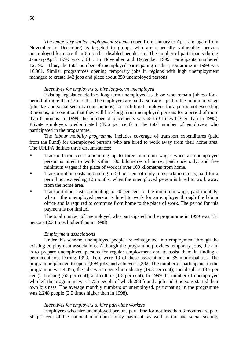*The temporary winter employment scheme* (open from January to April and again from November to December) is targeted to groups who are especially vulnerable: persons unemployed for more than 6 months, disabled people, etc. The number of participants during January-April 1999 was 3,811. In November and December 1999, participants numbered 12,190. Thus, the total number of unemployed participating in this programme in 1999 was 16,001. Similar programmes opening temporary jobs in regions with high unemployment managed to create 142 jobs and place about 350 unemployed persons.

### *Incentives for employers to hire long-term unemployed*

Existing legislation defines long-term unemployed as those who remain jobless for a period of more than 12 months. The employers are paid a subsidy equal to the minimum wage (plus tax and social security contributions) for each hired employee for a period not exceeding 3 months, on condition that they will hire long-term unemployed persons for a period of more than 6 months. In 1999, the number of placements was 684 (3 times higher than in 1998). Private employers predominated (89.6 per cent) in the total number of employers who participated in the programme.

The *labour mobility programme* includes coverage of transport expenditures (paid from the Fund) for unemployed persons who are hired to work away from their home area. The UPEPA defines three circumstances:

- Transportation costs amounting up to three minimum wages when an unemployed person is hired to work within 100 kilometres of home, paid once only; and five minimum wages if the place of work is over 100 kilometres from home.
- Transportation costs amounting to 50 per cent of daily transportation costs, paid for a period not exceeding 12 months, when the unemployed person is hired to work away from the home area.
- Transportation costs amounting to 20 per cent of the minimum wage, paid monthly, when the unemployed person is hired to work for an employer through the labour office and is required to commute from home to the place of work. The period for this payment is not limited.

The total number of unemployed who participated in the programme in 1999 was 731 persons (2.3 times higher than in 1998).

#### *Employment associations*

Under this scheme, unemployed people are reintegrated into employment through the existing employment associations. Although the programme provides temporary jobs, the aim is to prepare unemployed persons for regular employment and to assist them in finding a permanent job. During 1999, there were 19 of these associations in 35 municipalities. The programme planned to open 2,894 jobs and achieved 2,282. The number of participants in the programme was 4,455; the jobs were opened in industry (19.8 per cent); social sphere (3.7 per cent); housing (66 per cent); and culture (1.6 per cent). In 1999 the number of unemployed who left the programme was 1,755 people of which 283 found a job and 3 persons started their own business. The average monthly numbers of unemployed, participating in the programme was 2,248 people (2.5 times higher than in 1998).

## *Incentives for employers to hire part-time workers*

Employers who hire unemployed persons part-time for not less than 3 months are paid 50 per cent of the national minimum hourly payment, as well as tax and social security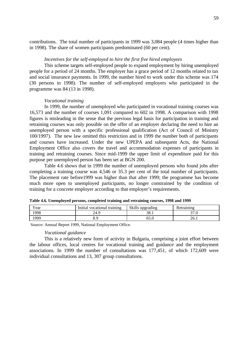contributions. The total number of participants in 1999 was 3,084 people (4 times higher than in 1998). The share of women participants predominated (60 per cent).

#### *Incentives for the self-employed to hire the first five hired employees*

This scheme targets self-employed people to expand employment by hiring unemployed people for a period of 24 months. The employer has a grace period of 12 months related to tax and social insurance payments. In 1999, the number hired to work under this scheme was 174 (30 persons in 1998). The number of self-employed employers who participated in the programme was 84 (13 in 1998).

### *Vocational training*

In 1999, the number of unemployed who participated in vocational training courses was 16,573 and the number of courses 1,091 compared to 602 in 1998. A comparison with 1998 figures is misleading in the sense that the previous legal basis for participation in training and retraining courses was only possible on the offer of an employer declaring the need to hire an unemployed person with a specific professional qualification (Act of Council of Ministry 100/1997). The new law omitted this restriction and in 1999 the number both of participants and courses have increased. Under the new UPEPA and subsequent Acts, the National Employment Office also covers the travel and accommodation expenses of participants in training and retraining courses. Since mid-1999 the upper limit of expenditure paid for this purpose per unemployed person has been set at BGN 200.

Table 4.6 shows that in 1999 the number of unemployed persons who found jobs after completing a training course was 4,546 or 35.3 per cent of the total number of participants. The placement rate before1999 was higher than that after 1999; the programme has become much more open to unemployed participants, no longer constrained by the condition of training for a concrete employer according to that employer's requirements.

| Year | Initial vocational training | Skills upgrading | n.<br>Retraining |
|------|-----------------------------|------------------|------------------|
| 1998 | $\Omega$<br>24.9            | 38.1             | າາ<br>. U<br>້   |
| 1999 | 8.9                         | 0.U              | ገሬ<br>40.I       |

**Table 4.6. Unemployed persons, completed training and retraining courses, 1998 and 1999**

Source: Annual Report 1999, National Employment Office.

#### *Vocational guidance*

This is a relatively new form of activity in Bulgaria, comprising a joint effort between the labour offices, local centres for vocational training and guidance and the employment associations. In 1999 the number of consultations was 177,451, of which 172,609 were individual consultations and 13, 307 group consultations.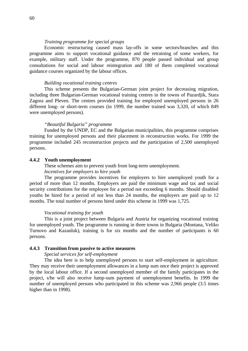### *Training programme for special groups*

Economic restructuring caused mass lay-offs in some sectors/branches and this programme aims to support vocational guidance and the retraining of some workers, for example, military staff. Under the programme, 870 people passed individual and group consultations for social and labour reintegration and 180 of them completed vocational guidance courses organized by the labour offices.

#### *Building vocational training centres*

This scheme presents the Bulgarian-German joint project for decreasing migration, including three Bulgarian-German vocational training centres in the towns of Pazardjik, Stara Zagora and Pleven. The centres provided training for employed unemployed persons in 26 different long- or short-term courses (in 1999, the number trained was 3,320, of which 849 were unemployed persons).

### *"Beautiful Bulgaria" programme*

Funded by the UNDP, EC and the Bulgarian municipalities, this programme comprises training for unemployed persons and their placement in reconstruction works. For 1999 the programme included 245 reconstruction projects and the participation of 2,500 unemployed persons.

### **4.4.2 Youth unemployment**

These schemes aim to prevent youth from long-term unemployment. *Incentives for employers to hire youth*

The programme provides incentives for employers to hire unemployed youth for a period of more than 12 months. Employers are paid the minimum wage and tax and social security contributions for the employee for a period not exceeding 6 months. Should disabled youths be hired for a period of not less than 24 months, the employers are paid up to 12 months. The total number of persons hired under this scheme in 1999 was 1,725.

#### *Vocational training for youth*

This is a joint project between Bulgaria and Austria for organizing vocational training for unemployed youth. The programme is running in three towns in Bulgaria (Montana, Veliko Turnovo and Kazanluk), training is for six months and the number of participants is 60 persons.

### **4.4.3 Transition from passive to active measures**

*Special services for self-employment*

The idea here is to help unemployed persons to start self-employment in agriculture. They may receive their unemployment allowances in a lump sum once their project is approved by the local labour office. If a second unemployed member of the family participates in the project, s/he will also receive lump-sum payment of unemployment benefits. In 1999 the number of unemployed persons who participated in this scheme was 2,966 people (3.5 times higher than in 1998).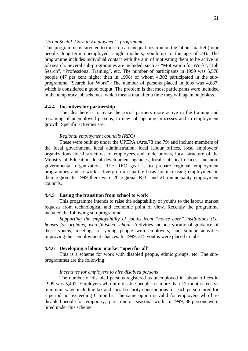### *"From Social Care to Employment" programme*

This programme is targeted to those on an unequal position on the labour market (poor people, long-term unemployed, single mothers, youth up to the age of 24). The programme includes individual contact with the aim of motivating them to be active in job search. Several sub-programmes are included, such as "Motivation for Work", "Job Search", "Professional Training", etc. The number of participants in 1999 was 5,578 people (47 per cent higher than in 1998) of whom 4,302 participated in the subprogramme "Search for Work". The number of persons placed in jobs was 4,687, which is considered a good output. The problem is that most participants were included in the temporary job schemes, which means that after a time they will again be jobless.

### **4.4.4 Incentives for partnership**

The idea here is to make the social partners more active in the training and retraining of unemployed persons, in new job opening processes and in employment growth. Specific activities are:

### *Regional employment councils (REC)*

These were built up under the UPEPA (Arts.78 and 79) and include members of the local government, local administration, local labour offices, local employers' organizations, local structures of employees and trade unions, local structure of the Ministry of Education, local development agencies, local statistical offices, and nongovernmental organizations. The REC goal is to prepare regional employment programmes and to work actively on a tripartite basis for increasing employment in their region. In 1999 there were 26 regional REC and 21 municipality employment councils.

### **4.4.5 Easing the transition from school to work**

This programme intends to raise the adaptability of youths to the labour market requests from technological and economic point of view. Recently the programme included the following sub-programme:

*Supporting the employability of youths from "house care" institutions (i.e. houses for orphans) who finished school.* Activities include vocational guidance of these youths, meetings of young people with employers, and similar activities improving their employment chances. In 1999, 315 youths were placed in jobs.

### **4.4.6 Developing a labour market "open for all"**

This is a scheme for work with disabled people, ethnic groups, etc. The subprogrammes are the following:

### *Incentives for employers to hire disabled persons*

The number of disabled persons registered as unemployed in labour offices in 1999 was 5,492. Employers who hire disable people for more than 12 months receive minimum wage including tax and social security contributions for each person hired for a period not exceeding 6 months. The same option is valid for employers who hire disabled people for temporary, part-time or seasonal work. In 1999, 88 persons were hired under this scheme.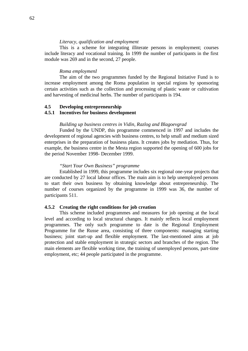### *Literacy, qualification and employment*

This is a scheme for integrating illiterate persons in employment; courses include literacy and vocational training. In 1999 the number of participants in the first module was 269 and in the second, 27 people.

### *Roma employmenI*

The aim of the two programmes funded by the Regional Initiative Fund is to increase employment among the Roma population in special regions by sponsoring certain activities such as the collection and processing of plastic waste or cultivation and harvesting of medicinal herbs. The number of participants is 194.

#### **4.5 Developing entrepreneurship**

### **4.5.1 Incentives for business development**

### *Building up business centres in Vidin, Razlog and Blagoevgrad*

Funded by the UNDP, this programme commenced in 1997 and includes the development of regional agencies with business centres, to help small and medium sized enterprises in the preparation of business plans. It creates jobs by mediation. Thus, for example, the business centre in the Mesta region supported the opening of 600 jobs for the period November 1998- December 1999.

#### *"Start Your Own Business" programme*

Established in 1999, this programme includes six regional one-year projects that are conducted by 27 local labour offices. The main aim is to help unemployed persons to start their own business by obtaining knowledge about entrepreneurship. The number of courses organized by the programme in 1999 was 36, the number of participants 511.

### **4.5.2 Creating the right conditions for job creation**

This scheme included programmes and measures for job opening at the local level and according to local structural changes. It mainly reflects local employment programmes. The only such programme to date is the Regional Employment Programme for the Russe area, consisting of three components: managing starting business; joint start-up and flexible employment. The last-mentioned aims at job protection and stable employment in strategic sectors and branches of the region. The main elements are flexible working time, the training of unemployed persons, part-time employment, etc; 44 people participated in the programme.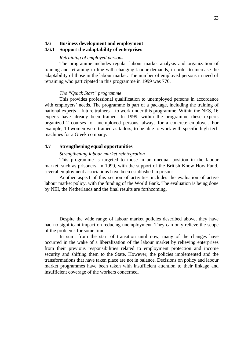### **4.6 Business development and employment**

## **4.6.1 Support the adaptability of enterprises**

### *Retraining of employed persons*

The programme includes regular labour market analysis and organization of training and retraining in line with changing labour demands, in order to increase the adaptability of those in the labour market. The number of employed persons in need of retraining who participated in this programme in 1999 was 770.

### *The "Quick Start" programme*

This provides professional qualification to unemployed persons in accordance with employers' needs. The programme is part of a package, including the training of national experts – future trainers – to work under this programme. Within the NES, 16 experts have already been trained. In 1999, within the programme these experts organized 2 courses for unemployed persons, always for a concrete employer. For example, 10 women were trained as tailors, to be able to work with specific high-tech machines for a Greek company.

### **4.7 Strengthening equal opportunities**

#### *Strengthening labour market reintegration*

This programme is targeted to those in an unequal position in the labour market, such as prisoners. In 1999, with the support of the British Know-How Fund, several employment associations have been established in prisons.

Another aspect of this section of activities includes the evaluation of active labour market policy, with the funding of the World Bank. The evaluation is being done by NEI, the Netherlands and the final results are forthcoming.

\_\_\_\_\_\_\_\_\_\_\_\_\_\_\_\_\_

Despite the wide range of labour market policies described above, they have had no significant impact on reducing unemployment. They can only relieve the scope of the problems for some time.

In sum, from the start of transition until now, many of the changes have occurred in the wake of a liberalization of the labour market by relieving enterprises from their previous responsibilities related to employment protection and income security and shifting them to the State. However, the policies implemented and the transformations that have taken place are not in balance. Decisions on policy and labour market programmes have been taken with insufficient attention to their linkage and insufficient coverage of the workers concerned.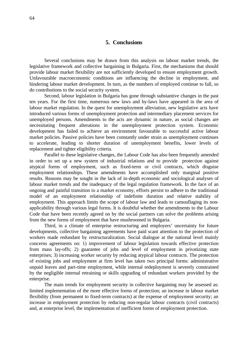## **5. Conclusions**

Several conclusions may be drawn from this analysis on labour market trends, the legislative framework and collective bargaining in Bulgaria. First, the mechanisms that should provide labour market flexibility are not sufficiently developed to ensure employment growth. Unfavourable macroeconomic conditions are influencing the decline in employment, and hindering labour market development. In turn, as the numbers of employed continue to fall, so do contributions to the social security system.

Second, labour legislation in Bulgaria has gone through substantive changes in the past ten years. For the first time, numerous new laws and by-laws have appeared in the area of labour market regulation. In the quest for unemployment alleviation, new legislative acts have introduced various forms of unemployment protection and intermediary placement services for unemployed persons. Amendments to the acts are dynamic in nature, as social changes are necessitating frequent alterations in the unemployment protection system. Economic development has failed to achieve an environment favourable to successful active labour market policies. Passive policies have been constantly under strain as unemployment continues to accelerate, leading to shorter duration of unemployment benefits, lower levels of replacement and tighter eligibility criteria.

Parallel to these legislative changes, the Labour Code has also been frequently amended in order to set up a new system of industrial relations and to provide protection against atypical forms of employment, such as fixed-term or civil contracts, which disguise employment relationships. These amendments have accomplished only marginal positive results. Reasons may be sought in the lack of in-depth economic and sociological analyses of labour market trends and the inadequacy of the legal regulation framework. In the face of an ongoing and painful transition to a market economy, efforts persist to adhere to the traditional model of an employment relationship of indefinite duration and relative stability of employment. This approach limits the scope of labour law and leads to camouflaging its nonapplicability through various legal forms. It is doubtful whether the amendments to the Labour Code that have been recently agreed on by the social partners can solve the problems arising from the new forms of employment that have mushroomed in Bulgaria.

Third, in a climate of enterprise restructuring and employers' uncertainty for future developments, collective bargaining agreements have paid scant attention to the protection of workers made redundant by restructuralization. Social dialogue at the national level mainly concerns agreements on: 1) improvement of labour legislation towards effective protection from mass lay-offs; 2) guarantee of jobs and level of employment in privatizing state enterprises; 3) increasing worker security by reducing atypical labour contracts. The protection of existing jobs and employment at firm level has taken two principal forms: administrative unpaid leaves and part-time employment, while internal redeployment is severely constrained by the negligible internal retraining or skills upgrading of redundant workers provided by the enterprise.

The main trends for employment security in collective bargaining may be assessed as: limited implementation of the more effective forms of protection; an increase in labour market flexibility (from permanent to fixed-term contracts) at the expense of employment security; an increase in employment protection by reducing non-regular labour contracts (civil contracts) and, at enterprise level, the implementation of inefficient forms of employment protection.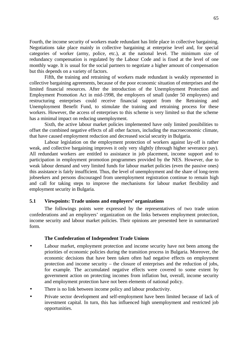Fourth, the income security of workers made redundant has little place in collective bargaining. Negotiations take place mainly in collective bargaining at enterprise level and, for special categories of worker (army, police, etc.), at the national level. The minimum size of redundancy compensation is regulated by the Labour Code and is fixed at the level of one monthly wage. It is usual for the social partners to negotiate a higher amount of compensation but this depends on a variety of factors.

Fifth, the training and retraining of workers made redundant is weakly represented in collective bargaining agreements, because of the poor economic situation of enterprises and the limited financial resources. After the introduction of the Unemployment Protection and Employment Promotion Act in mid-1998, the employers of small (under 50 employees) and restructuring enterprises could receive financial support from the Retraining and Unemployment Benefit Fund, to stimulate the training and retraining process for these workers. However, the access of enterprises to this scheme is very limited so that the scheme has a minimal impact on reducing unemployment.

Sixth, the active labour market policies implemented have only limited possibilities to offset the combined negative effects of all other factors, including the macroeconomic climate, that have caused employment reduction and decreased social security in Bulgaria.

Labour legislation on the employment protection of workers against lay-off is rather weak, and collective bargaining improves it only very slightly (through higher severance pay). All redundant workers are entitled to assistance in job placement, income support and to participation in employment promotion programmes provided by the NES. However, due to weak labour demand and very limited funds for labour market policies (even the passive ones) this assistance is fairly insufficient. Thus, the level of unemployment and the share of long-term jobseekers and persons discouraged from unemployment registration continue to remain high and call for taking steps to improve the mechanisms for labour market flexibility and employment security in Bulgaria.

### **5.1 Viewpoints: Trade unions and employers' organizations**

The followings points were expressed by the representatives of two trade union confederations and an employers' organization on the links between employment protection, income security and labour market policies. Their opinions are presented here in summarized form.

### **The Confederation of Independent Trade Unions**

- Labour market, employment protection and income security have not been among the priorities of economic policies during the transition process in Bulgaria. Moreover, the economic decisions that have been taken often had negative effects on employment protection and income security – the closure of enterprises and the reduction of jobs, for example. The accumulated negative effects were covered to some extent by government action on protecting incomes from inflation but, overall, income security and employment protection have not been elements of national policy.
- There is no link between income policy and labour productivity.
- Private sector development and self-employment have been limited because of lack of investment capital. In turn, this has influenced high unemployment and restricted job opportunities.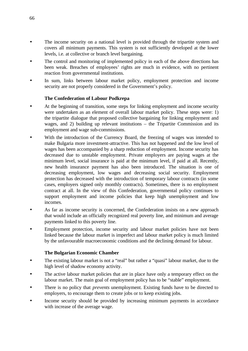- The income security on a national level is provided through the tripartite system and covers all minimum payments. This system is not sufficiently developed at the lower levels, i.e. at collective or branch level bargaining.
- The control and monitoring of implemented policy in each of the above directions has been weak. Breaches of employees' rights are much in evidence, with no pertinent reaction from governmental institutions.
- In sum, links between labour market policy, employment protection and income security are not properly considered in the Government's policy.

## **The Confederation of Labour Podkrepa**

- At the beginning of transition, some steps for linking employment and income security were undertaken as an element of overall labour market policy. These steps were: 1) the tripartite dialogue that proposed collective bargaining for linking employment and wages, and 2) building up relevant institutions – the Tripartite Commission and its employment and wage sub-commissions.
- With the introduction of the Currency Board, the freezing of wages was intended to make Bulgaria more investment-attractive. This has not happened and the low level of wages has been accompanied by a sharp reduction of employment. Income security has decreased due to unstable employment. Private employers are paying wages at the minimum level, social insurance is paid at the minimum level, if paid at all. Recently, new health insurance payment has also been introduced. The situation is one of decreasing employment, low wages and decreasing social security. Employment protection has decreased with the introduction of temporary labour contracts (in some cases, employers signed only monthly contracts). Sometimes, there is no employment contract at all. In the view of this Confederation, governmental policy continues to support employment and income policies that keep high unemployment and low incomes.
- As far as income security is concerned, the Confederation insists on a new approach that would include an officially recognized real poverty line, and minimum and average payments linked to this poverty line.
- Employment protection, income security and labour market policies have not been linked because the labour market is imperfect and labour market policy is much limited by the unfavourable macroeconomic conditions and the declining demand for labour.

## **The Bulgarian Economic Chamber**

- The existing labour market is not a "real" but rather a "quasi" labour market, due to the high level of shadow economy activity.
- The active labour market policies that are in place have only a temporary effect on the labour market. The main goal of employment policy has to be "stable" employment.
- There is no policy that *prevents* unemployment. Existing funds have to be directed to employers, to encourage them to create jobs or to keep existing jobs.
- Income security should be provided by increasing minimum payments in accordance with increase of the average wage.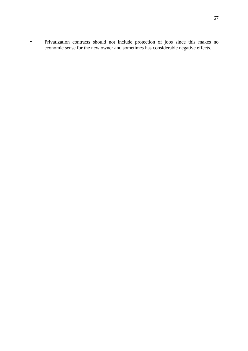• Privatization contracts should not include protection of jobs since this makes no economic sense for the new owner and sometimes has considerable negative effects.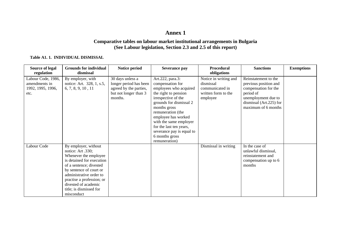# **Annex 1**

# **Comparative tables on labour market institutional arrangements in Bulgaria (See Labour legislation, Section 2.3 and 2.5 of this report)**

### **Table A1. 1. INDIVIDUAL DISMISSAL**

| <b>Source of legal</b> | <b>Grounds for individual</b> | Notice period          | <b>Severance pay</b>      | <b>Procedural</b>     | <b>Sanctions</b>        | <b>Exemptions</b> |
|------------------------|-------------------------------|------------------------|---------------------------|-----------------------|-------------------------|-------------------|
| regulation             | dismissal                     |                        |                           | obligations           |                         |                   |
| Labour Code, 1986,     | By employer, with             | 30 days unless a       | Art.222, para.3:          | Notice in writing and | Reinstatement to the    |                   |
| amendments in          | notice: Art. 328, 1, s.5,     | longer period has been | compensation for          | dismissal             | previous position and   |                   |
| 1992, 1995, 1996,      | 6, 7, 8, 9, 10, 11            | agreed by the parties, | employees who acquired    | communicated in       | compensation for the    |                   |
| etc.                   |                               | but not longer than 3  | the right to pension      | written form to the   | period of               |                   |
|                        |                               | months.                | irrespective of the       | employee              | unemployment due to     |                   |
|                        |                               |                        | grounds for dismissal 2   |                       | dismissal (Art.225) for |                   |
|                        |                               |                        | months gross              |                       | maximum of 6 months     |                   |
|                        |                               |                        | remuneration (the         |                       |                         |                   |
|                        |                               |                        | employee has worked       |                       |                         |                   |
|                        |                               |                        | with the same employer    |                       |                         |                   |
|                        |                               |                        | for the last ten years,   |                       |                         |                   |
|                        |                               |                        | severance pay is equal to |                       |                         |                   |
|                        |                               |                        | 6 months gross            |                       |                         |                   |
|                        |                               |                        | remuneration)             |                       |                         |                   |
| Labour Code            | By employer, without          |                        |                           | Dismissal in writing  | In the case of          |                   |
|                        | notice: Art .330;             |                        |                           |                       | unlawful dismissal,     |                   |
|                        | Whenever the employee         |                        |                           |                       | reinstatement and       |                   |
|                        | is detained for execution     |                        |                           |                       | compensation up to 6    |                   |
|                        | of a sentence; divested       |                        |                           |                       | months                  |                   |
|                        | by sentence of court or       |                        |                           |                       |                         |                   |
|                        | administrative order to       |                        |                           |                       |                         |                   |
|                        | practise a profession; or     |                        |                           |                       |                         |                   |
|                        | divested of academic          |                        |                           |                       |                         |                   |
|                        | title; is dismissed for       |                        |                           |                       |                         |                   |
|                        | misconduct                    |                        |                           |                       |                         |                   |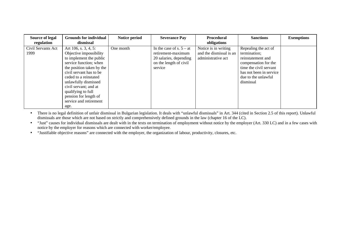| Source of legal<br>regulation | <b>Grounds for individual</b><br>dismissal                                                                                                                                                                                                                                                                                 | Notice period | <b>Severance Pay</b>                                                                                            | <b>Procedural</b><br>obligations                                      | <b>Sanctions</b>                                                                                                                                                           | <b>Exemptions</b> |
|-------------------------------|----------------------------------------------------------------------------------------------------------------------------------------------------------------------------------------------------------------------------------------------------------------------------------------------------------------------------|---------------|-----------------------------------------------------------------------------------------------------------------|-----------------------------------------------------------------------|----------------------------------------------------------------------------------------------------------------------------------------------------------------------------|-------------------|
| Civil Servants Act<br>1999.   | Art 106, s. $3, 4, 5$ :<br>Objective impossibility<br>to implement the public<br>service function; when<br>the position taken by the<br>civil servant has to be<br>ceded to a reinstated<br>unlawfully dismissed<br>civil servant; and at<br>qualifying to full<br>pension for length of<br>service and retirement<br>age. | One month     | In the case of s. $5 - at$<br>retirement-maximum<br>20 salaries, depending<br>on the length of civil<br>service | Notice is in writing<br>and the dismissal is an<br>administrative act | Repealing the act of<br>termination;<br>reinstatement and<br>compensation for the<br>time the civil servant<br>has not been in service<br>due to the unlawful<br>dismissal |                   |

• There is no legal definition of unfair dismissal in Bulgarian legislation. It deals with "unlawful dismissals" in Art. 344 (cited in Section 2.5 of this report). Unlawful dismissals are those which are not based on strictly and comprehensively defined grounds in the law (chapter 16 of the LC).

• "Just" causes for individual dismissals are dealt with in the texts on termination of employment without notice by the employer (Art. 330 LC) and in a few cases with notice by the employer for reasons which are connected with worker/employee.

• "Justifiable objective reasons" are connected with the employer, the organization of labour, productivity, closures, etc.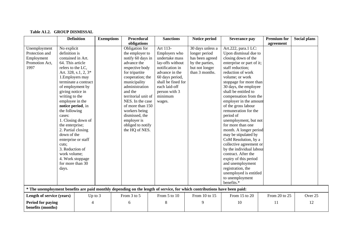### **Table A1.2. GROUP DISMISSAL**

|                                        |                     | <b>Definition</b>    | <b>Exemptions</b> | <b>Procedural</b>                                                                                                        | <b>Sanctions</b>   | Notice period    | <b>Severance pay</b>      | <b>Premium</b> for | Social plans |
|----------------------------------------|---------------------|----------------------|-------------------|--------------------------------------------------------------------------------------------------------------------------|--------------------|------------------|---------------------------|--------------------|--------------|
|                                        |                     |                      |                   | obligations                                                                                                              |                    |                  |                           | agreement          |              |
| Unemployment                           | No explicit         |                      |                   | Obligation for                                                                                                           | Art 113-           | 30 days unless a | Art.222, para.1 LC:       |                    |              |
| Protection and                         | definition is       |                      |                   | the employer to                                                                                                          | Employers who      | longer period    | Upon dismissal due to     |                    |              |
| Employment                             | contained in Art.   |                      |                   | notify 60 days in                                                                                                        | undertake mass     | has been agreed  | closing down of the       |                    |              |
| Promotion Act,                         | 64. This article    |                      |                   | advance the                                                                                                              | lay-offs without   | by the parties,  | enterprise or part of it; |                    |              |
| 1997                                   | refers to the LC,   |                      |                   | respective body                                                                                                          | notification in    | but not longer   | staff reduction;          |                    |              |
|                                        |                     | Art. 328, s.1, 2, 3* |                   | for tripartite                                                                                                           | advance in the     | than 3 months.   | reduction of work         |                    |              |
|                                        | 1. Employers may    |                      |                   | cooperation; the                                                                                                         | 60 days period,    |                  | volume; or work           |                    |              |
|                                        |                     | terminate a contract |                   | municipality                                                                                                             | shall be fined for |                  | stoppage for more than    |                    |              |
|                                        | of employment by    |                      |                   | administration                                                                                                           | each laid-off      |                  | 30 days, the employee     |                    |              |
|                                        | giving notice in    |                      |                   | and the                                                                                                                  | person with 3      |                  | shall be entitled to      |                    |              |
|                                        | writing to the      |                      |                   | territorial unit of                                                                                                      | minimum            |                  | compensation from the     |                    |              |
|                                        | employee in the     |                      |                   | NES. In the case                                                                                                         | wages.             |                  | employer in the amount    |                    |              |
|                                        | notice period, in   |                      |                   | of more than 150                                                                                                         |                    |                  | of the gross labour       |                    |              |
|                                        | the following       |                      |                   | workers being                                                                                                            |                    |                  | remuneration for the      |                    |              |
|                                        | cases:              |                      |                   | dismissed, the                                                                                                           |                    |                  | period of                 |                    |              |
|                                        |                     | 1. Closing down of   |                   | employer is                                                                                                              |                    |                  | unemployment, but not     |                    |              |
|                                        | the enterprise;     |                      |                   | obliged to notify                                                                                                        |                    |                  | for more than one         |                    |              |
|                                        | 2. Partial closing  |                      |                   | the HQ of NES.                                                                                                           |                    |                  | month. A longer period    |                    |              |
|                                        | down of the         |                      |                   |                                                                                                                          |                    |                  | may be stipulated by      |                    |              |
|                                        | enterprise or staff |                      |                   |                                                                                                                          |                    |                  | CoM Resolution, by a      |                    |              |
|                                        | cuts;               |                      |                   |                                                                                                                          |                    |                  | collective agreement or   |                    |              |
|                                        | 3. Reduction of     |                      |                   |                                                                                                                          |                    |                  | by the individual labour  |                    |              |
|                                        | work volume;        |                      |                   |                                                                                                                          |                    |                  | contract. After the       |                    |              |
|                                        | 4. Work stoppage    |                      |                   |                                                                                                                          |                    |                  | expiry of this period     |                    |              |
|                                        | for more than 30    |                      |                   |                                                                                                                          |                    |                  | and unemployment          |                    |              |
|                                        | days.               |                      |                   |                                                                                                                          |                    |                  | registration, the         |                    |              |
|                                        |                     |                      |                   |                                                                                                                          |                    |                  | unemployed is entitled    |                    |              |
|                                        |                     |                      |                   |                                                                                                                          |                    |                  | to unemployment           |                    |              |
|                                        |                     |                      |                   |                                                                                                                          |                    |                  | benefits.*                |                    |              |
|                                        |                     |                      |                   | * The unemployment benefits are paid monthly depending on the length of service, for which contributions have been paid: |                    |                  |                           |                    |              |
| Length of service (years)              |                     | Up to $3$            |                   | From 3 to 5                                                                                                              | From 5 to 10       | From 10 to 15    | From 15 to 20             | From 20 to 25      | Over 25      |
| Period for paying<br>benefits (months) |                     | $\overline{4}$       |                   | 6                                                                                                                        | 8                  | 9                | 10                        | 11                 | 12           |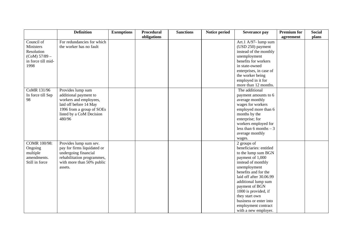|                    | <b>Definition</b>           | <b>Exemptions</b> | <b>Procedural</b> | <b>Sanctions</b> | Notice period | Severance pay             | <b>Premium for</b> | <b>Social</b> |
|--------------------|-----------------------------|-------------------|-------------------|------------------|---------------|---------------------------|--------------------|---------------|
|                    |                             |                   | obligations       |                  |               |                           | agreement          | plans         |
| Council of         | For redundancies for which  |                   |                   |                  |               | Art.1 A/97- lump sum      |                    |               |
| Ministers          | the worker has no fault     |                   |                   |                  |               | (USD 250) payment         |                    |               |
| Resolution         |                             |                   |                   |                  |               | instead of the monthly    |                    |               |
| $(CoM) 57/89 -$    |                             |                   |                   |                  |               | unemployment              |                    |               |
| in force till mid- |                             |                   |                   |                  |               | benefits for workers      |                    |               |
| 1998               |                             |                   |                   |                  |               | in state-owned            |                    |               |
|                    |                             |                   |                   |                  |               | enterprises, in case of   |                    |               |
|                    |                             |                   |                   |                  |               | the worker being          |                    |               |
|                    |                             |                   |                   |                  |               | employed in it for        |                    |               |
|                    |                             |                   |                   |                  |               | more than 12 months.      |                    |               |
| <b>CoMR 131/96</b> | Provides lump sum           |                   |                   |                  |               | The additional            |                    |               |
| In force till Sep  | additional payment to       |                   |                   |                  |               | payment amounts to 6      |                    |               |
| 98                 | workers and employees,      |                   |                   |                  |               | average monthly           |                    |               |
|                    | laid off before 14 May      |                   |                   |                  |               | wages for workers         |                    |               |
|                    | 1996 from a group of SOEs   |                   |                   |                  |               | employed more than 6      |                    |               |
|                    | listed by a CoM Decision    |                   |                   |                  |               | months by the             |                    |               |
|                    | 480/96                      |                   |                   |                  |               | enterprise; for           |                    |               |
|                    |                             |                   |                   |                  |               | workers employed for      |                    |               |
|                    |                             |                   |                   |                  |               | less than $6$ months $-3$ |                    |               |
|                    |                             |                   |                   |                  |               | average monthly           |                    |               |
|                    |                             |                   |                   |                  |               | wages.                    |                    |               |
| COMR 100/98:       | Provides lump sum sev.      |                   |                   |                  |               | 2 groups of               |                    |               |
| Ongoing            | pay for firms liquidated or |                   |                   |                  |               | beneficiaries: entitled   |                    |               |
| multiple           | undergoing financial        |                   |                   |                  |               | to the lump sum BGN       |                    |               |
| amendments.        | rehabilitation programmes,  |                   |                   |                  |               | payment of 1,000          |                    |               |
| Still in force     | with more than 50% public   |                   |                   |                  |               | instead of monthly        |                    |               |
|                    | assets.                     |                   |                   |                  |               | unemployment              |                    |               |
|                    |                             |                   |                   |                  |               | benefits and for the      |                    |               |
|                    |                             |                   |                   |                  |               | laid off after 30.06.99   |                    |               |
|                    |                             |                   |                   |                  |               | additional lump sum       |                    |               |
|                    |                             |                   |                   |                  |               | payment of BGN            |                    |               |
|                    |                             |                   |                   |                  |               | 1000 is provided, if      |                    |               |
|                    |                             |                   |                   |                  |               | they start own            |                    |               |
|                    |                             |                   |                   |                  |               | business or enter into    |                    |               |
|                    |                             |                   |                   |                  |               | employment contract       |                    |               |
|                    |                             |                   |                   |                  |               | with a new employer.      |                    |               |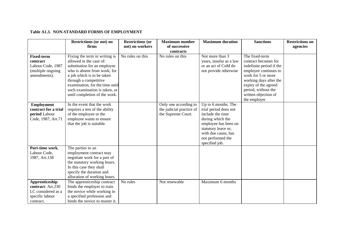### **Table A1.3. NON-STANDARD FORMS OF EMPLOYMENT**

|                                                                                           | <b>Restrictions (or not) on</b>                                                                                                                                                                                                                                                      | <b>Restrictions (or</b> | <b>Maximum number</b>                                                   | <b>Maximum duration</b>                                                                                                                                                                           | <b>Sanctions</b>                                                                                                                                                                                                                   | <b>Restrictions on</b> |
|-------------------------------------------------------------------------------------------|--------------------------------------------------------------------------------------------------------------------------------------------------------------------------------------------------------------------------------------------------------------------------------------|-------------------------|-------------------------------------------------------------------------|---------------------------------------------------------------------------------------------------------------------------------------------------------------------------------------------------|------------------------------------------------------------------------------------------------------------------------------------------------------------------------------------------------------------------------------------|------------------------|
|                                                                                           | firms                                                                                                                                                                                                                                                                                | not) on workers         | of successive                                                           |                                                                                                                                                                                                   |                                                                                                                                                                                                                                    | agencies               |
|                                                                                           |                                                                                                                                                                                                                                                                                      |                         | contracts                                                               |                                                                                                                                                                                                   |                                                                                                                                                                                                                                    |                        |
| <b>Fixed-term</b><br>contract<br>Labour Code, 1987<br>(multiple ongoing<br>amendments).   | Fixing the term in writing is<br>allowed in the case of:<br>substitution for an employee<br>who is absent from work; for<br>a job which is to be taken<br>through a competitive<br>examination, for the time until<br>such examination is taken, or<br>until completion of the work. | No rules on this        | No rules on this                                                        | Not more than 3<br>years, insofar as a law<br>or an act of CoM do<br>not provide otherwise                                                                                                        | The fixed-term<br>contract becomes for<br>indefinite period if the<br>employee continues to<br>work for 5 or more<br>working days after the<br>expiry of the agreed<br>period, without the<br>written objection of<br>the employer |                        |
| <b>Employment</b><br>contract for a trial<br>period Labour<br>Code, 1987, Art.71          | In the event that the work<br>requires a test of the ability<br>of the employee or the<br>employee wants to ensure<br>that the job is suitable.                                                                                                                                      |                         | Only one according to<br>the judicial practice of<br>the Supreme Court. | Up to 6 months. The<br>trial period does not<br>include the time<br>during which the<br>employee has been on<br>statutory leave or,<br>with due cause, has<br>not performed the<br>specified job. |                                                                                                                                                                                                                                    |                        |
| Part-time work,<br>Labour Code,<br>1987, Art.138                                          | The parties to an<br>employment contract may<br>negotiate work for a part of<br>the statutory working hours.<br>In this case they shall<br>specify the duration and<br>allocation of working hours.                                                                                  |                         |                                                                         |                                                                                                                                                                                                   |                                                                                                                                                                                                                                    |                        |
| Apprenticeship<br>contract: Art.230<br>LC considered as a<br>specific labour<br>contract. | The apprenticeship contract<br>binds the employer to train<br>the novice while working in<br>a specified profession and<br>binds the novice to master it.                                                                                                                            | No rules                | Not renewable                                                           | Maximum 6 months                                                                                                                                                                                  |                                                                                                                                                                                                                                    |                        |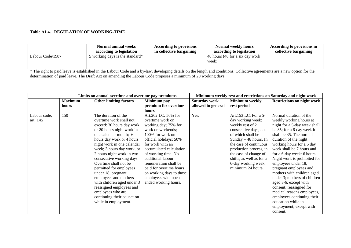## **Table A1.4. REGULATION OF WORKING-TIME**

|                  | Normal annual weeks<br>according to legislation | <b>According to provisions</b><br>in collective bargaining | <b>Normal weekly hours</b><br>according to legislation | According to provisions in<br>collective bargaining |
|------------------|-------------------------------------------------|------------------------------------------------------------|--------------------------------------------------------|-----------------------------------------------------|
| Labour Code/1987 | 5 working days is the standard*                 |                                                            | 40 hours (46 for a six day work<br>week                |                                                     |
|                  |                                                 |                                                            |                                                        |                                                     |

\* The right to paid leave is established in the Labour Code and a by-law, developing details on the length and conditions. Collective agreements are a new option for the determination of paid leave. The Draft Act on amending the Labour Code proposes a minimum of 20 working days.

|                          |                | Limits on annual overtime and overtime pay premiums                                                                                                                                                                                                                                                                                                                                                                                                                                                                          |                                                                                                                                                                                                                                                                                                                                                               |                    | Minimum weekly rest and restrictions on Saturday and night work                                                                                                                                                                                                                            |                                                                                                                                                                                                                                                                                                                                                                                                                                                                                                                                                                                         |
|--------------------------|----------------|------------------------------------------------------------------------------------------------------------------------------------------------------------------------------------------------------------------------------------------------------------------------------------------------------------------------------------------------------------------------------------------------------------------------------------------------------------------------------------------------------------------------------|---------------------------------------------------------------------------------------------------------------------------------------------------------------------------------------------------------------------------------------------------------------------------------------------------------------------------------------------------------------|--------------------|--------------------------------------------------------------------------------------------------------------------------------------------------------------------------------------------------------------------------------------------------------------------------------------------|-----------------------------------------------------------------------------------------------------------------------------------------------------------------------------------------------------------------------------------------------------------------------------------------------------------------------------------------------------------------------------------------------------------------------------------------------------------------------------------------------------------------------------------------------------------------------------------------|
|                          | <b>Maximum</b> | <b>Other limiting factors</b>                                                                                                                                                                                                                                                                                                                                                                                                                                                                                                | Minimum pay                                                                                                                                                                                                                                                                                                                                                   | Saturday work      | <b>Minimum</b> weekly                                                                                                                                                                                                                                                                      | <b>Restrictions on night work</b>                                                                                                                                                                                                                                                                                                                                                                                                                                                                                                                                                       |
|                          | hours          |                                                                                                                                                                                                                                                                                                                                                                                                                                                                                                                              | premium for overtime                                                                                                                                                                                                                                                                                                                                          | allowed in general | rest period                                                                                                                                                                                                                                                                                |                                                                                                                                                                                                                                                                                                                                                                                                                                                                                                                                                                                         |
|                          |                |                                                                                                                                                                                                                                                                                                                                                                                                                                                                                                                              | hours                                                                                                                                                                                                                                                                                                                                                         |                    |                                                                                                                                                                                                                                                                                            |                                                                                                                                                                                                                                                                                                                                                                                                                                                                                                                                                                                         |
| Labour code,<br>art. 145 | 150            | The duration of the<br>overtime work shall not<br>exceed: 30 hours day work<br>or 20 hours night work in<br>one calendar month; 6<br>hours day work or 4 hours<br>night work in one calendar<br>week; 3 hours day work, or<br>2 hours night work in two<br>consecutive working days.<br>Overtime shall not be<br>permitted for employees<br>under 18, pregnant<br>employees and mothers<br>with children aged under 3<br>reassigned employees and<br>employees who are<br>continuing their education<br>while in employment. | Art.262 LC: 50% for<br>overtime work on<br>working day; 75% for<br>work on weekends;<br>100% for work on<br>official holidays; 50%<br>for work with an<br>accumulated calculation<br>of working time. No<br>additional labour<br>remuneration shall be<br>paid for overtime hours<br>on working days to those<br>employees with open-<br>ended working hours. | Yes.               | Art.153 LC. For a 5-<br>day working week:<br>weekly rest of 2<br>consecutive days, one<br>of which shall be<br>Sunday $-48$ hours. In<br>the case of continuous<br>production process, in<br>the case of change of<br>shifts, as well as for a<br>6-day working week:<br>minimum 24 hours. | Normal duration of the<br>weekly working hours at<br>night for a 5-day week shall<br>be 35; for a 6-day week it<br>shall be 35. The normal<br>duration of the night<br>working hours for a 5 day<br>week shall be 7 hours and<br>for a 6-day week: 6 hours.<br>Night work is prohibited for<br>employees under 18;<br>pregnant employees and<br>mothers with children aged<br>under 3; mothers of children<br>aged 3-6, except with<br>consent; reassigned for<br>medical reasons employees,<br>employees continuing their<br>education while in<br>employment; except with<br>consent. |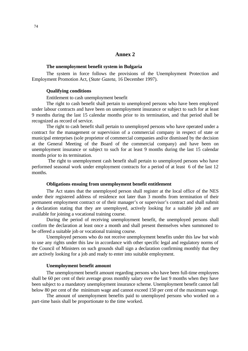# **Annex 2**

### **The unemployment benefit system in Bulgaria**

The system in force follows the provisions of the Unemployment Protection and Employment Promotion Act, (*State Gazeta,* 16 December 1997).

#### **Qualifying conditions**

Entitlement to cash unemployment benefit

The right to cash benefit shall pertain to unemployed persons who have been employed under labour contracts and have been on unemployment insurance or subject to such for at least 9 months during the last 15 calendar months prior to its termination, and that period shall be recognized as record of service.

The right to cash benefit shall pertain to unemployed persons who have operated under a contract for the management or supervision of a commercial company in respect of state or municipal enterprises (sole proprietor of commercial companies and/or dismissed by the decision at the General Meeting of the Board of the commercial company) and have been on unemployment insurance or subject to such for at least 9 months during the last 15 calendar months prior to its termination.

 The right to unemployment cash benefit shall pertain to unemployed persons who have performed seasonal work under employment contracts for a period of at least 6 of the last 12 months.

#### **Obligations ensuing from unemployment benefit entitlement**

The Act states that the unemployed person shall register at the local office of the NES under their registered address of residence not later than 3 months from termination of their permanent employment contract or of their manager's or supervisor's contract and shall submit a declaration stating that they are unemployed, actively looking for a suitable job and are available for joining a vocational training course.

During the period of receiving unemployment benefit, the unemployed persons shall confirm the declaration at least once a month and shall present themselves when summoned to be offered a suitable job or vocational training course.

Unemployed persons who do not receive unemployment benefits under this law but wish to use any rights under this law in accordance with other specific legal and regulatory norms of the Council of Ministers on such grounds shall sign a declaration confirming monthly that they are actively looking for a job and ready to enter into suitable employment.

#### **Unemployment benefit amount**

The unemployment benefit amount regarding persons who have been full-time employees shall be 60 per cent of their average gross monthly salary over the last 9 months when they have been subject to a mandatory unemployment insurance scheme. Unemployment benefit cannot fall below 80 per cent of the minimum wage and cannot exceed 150 per cent of the maximum wage.

The amount of unemployment benefits paid to unemployed persons who worked on a part-time basis shall be proportionate to the time worked.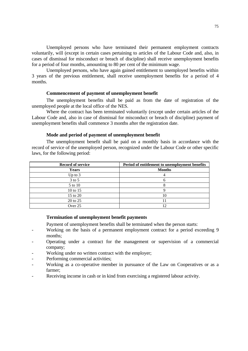Unemployed persons who have terminated their permanent employment contracts voluntarily, will (except in certain cases pertaining to articles of the Labour Code and, also, in cases of dismissal for misconduct or breach of discipline) shall receive unemployment benefits for a period of four months, amounting to 80 per cent of the minimum wage.

Unemployed persons, who have again gained entitlement to unemployed benefits within 3 years of the previous entitlement, shall receive unemployment benefits for a period of 4 months.

### **Commencement of payment of unemployment benefit**

The unemployment benefits shall be paid as from the date of registration of the unemployed people at the local office of the NES.

Where the contract has been terminated voluntarily (except under certain articles of the Labour Code and, also in case of dismissal for misconduct or breach of discipline) payment of unemployment benefits shall commence 3 months after the registration date.

### **Mode and period of payment of unemployment benefit**

The unemployment benefit shall be paid on a monthly basis in accordance with the record of service of the unemployed person, recognized under the Labour Code or other specific laws, for the following period:

| <b>Record of service</b> | Period of entitlement to unemployment benefits |
|--------------------------|------------------------------------------------|
| <b>Years</b>             | <b>Months</b>                                  |
| Up to $3$                |                                                |
| $3$ to $5$               |                                                |
| 5 to 10                  |                                                |
| 10 to 15                 |                                                |
| 15 to 20                 | 10                                             |
| 20 to 25                 |                                                |
| Over 25                  | 12                                             |

### **Termination of unemployment benefit payments**

Payment of unemployment benefits shall be terminated when the person starts:

- Working on the basis of a permanent employment contract for a period exceeding 9 months;
- Operating under a contract for the management or supervision of a commercial company;
- Working under no written contract with the employer;
- Performing commercial activities;
- Working as a co-operative member in pursuance of the Law on Cooperatives or as a farmer;
- Receiving income in cash or in kind from exercising a registered labour activity.